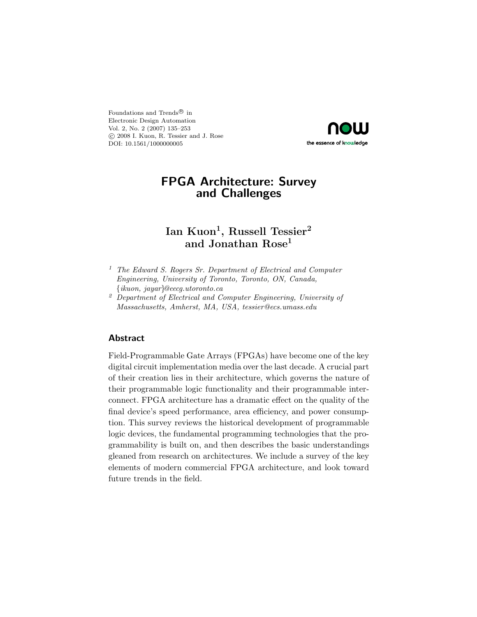Foundations and Trends $^{\textcircled{\tiny{\textregistered}}}$  in Electronic Design Automation Vol. 2, No. 2 (2007) 135–253 c 2008 I. Kuon, R. Tessier and J. Rose DOI: 10.1561/1000000005



# **FPGA Architecture: Survey and Challenges**

### Ian Kuon<sup>1</sup>, Russell Tessier<sup>2</sup> **and Jonathan Rose1**

- <sup>1</sup> *The Edward S. Rogers Sr. Department of Electrical and Computer Engineering, University of Toronto, Toronto, ON, Canada,* {*ikuon, jayar*}*@eecg.utoronto.ca*
- <sup>2</sup> *Department of Electrical and Computer Engineering, University of Massachusetts, Amherst, MA, USA, tessier@ecs.umass.edu*

#### **Abstract**

Field-Programmable Gate Arrays (FPGAs) have become one of the key digital circuit implementation media over the last decade. A crucial part of their creation lies in their architecture, which governs the nature of their programmable logic functionality and their programmable interconnect. FPGA architecture has a dramatic effect on the quality of the final device's speed performance, area efficiency, and power consumption. This survey reviews the historical development of programmable logic devices, the fundamental programming technologies that the programmability is built on, and then describes the basic understandings gleaned from research on architectures. We include a survey of the key elements of modern commercial FPGA architecture, and look toward future trends in the field.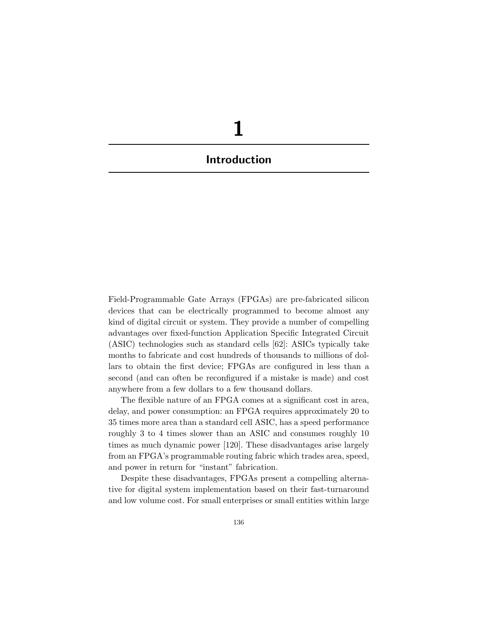## **1 Introduction**

Field-Programmable Gate Arrays (FPGAs) are pre-fabricated silicon devices that can be electrically programmed to become almost any kind of digital circuit or system. They provide a number of compelling advantages over fixed-function Application Specific Integrated Circuit (ASIC) technologies such as standard cells [62]: ASICs typically take months to fabricate and cost hundreds of thousands to millions of dollars to obtain the first device; FPGAs are configured in less than a second (and can often be reconfigured if a mistake is made) and cost anywhere from a few dollars to a few thousand dollars.

The flexible nature of an FPGA comes at a significant cost in area, delay, and power consumption: an FPGA requires approximately 20 to 35 times more area than a standard cell ASIC, has a speed performance roughly 3 to 4 times slower than an ASIC and consumes roughly 10 times as much dynamic power [120]. These disadvantages arise largely from an FPGA's programmable routing fabric which trades area, speed, and power in return for "instant" fabrication.

Despite these disadvantages, FPGAs present a compelling alternative for digital system implementation based on their fast-turnaround and low volume cost. For small enterprises or small entities within large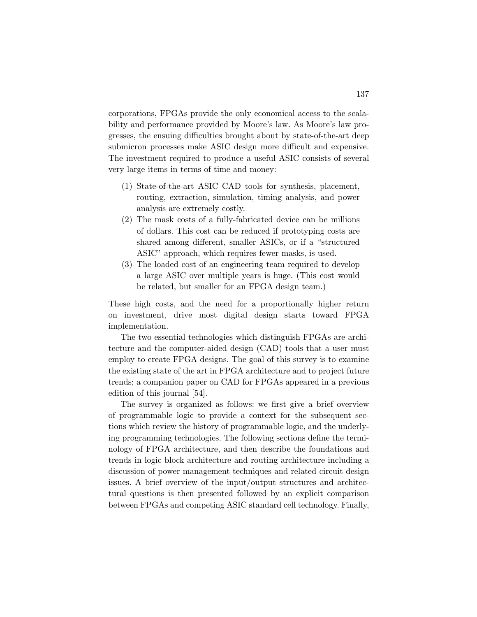corporations, FPGAs provide the only economical access to the scalability and performance provided by Moore's law. As Moore's law progresses, the ensuing difficulties brought about by state-of-the-art deep submicron processes make ASIC design more difficult and expensive. The investment required to produce a useful ASIC consists of several very large items in terms of time and money:

- (1) State-of-the-art ASIC CAD tools for synthesis, placement, routing, extraction, simulation, timing analysis, and power analysis are extremely costly.
- (2) The mask costs of a fully-fabricated device can be millions of dollars. This cost can be reduced if prototyping costs are shared among different, smaller ASICs, or if a "structured ASIC" approach, which requires fewer masks, is used.
- (3) The loaded cost of an engineering team required to develop a large ASIC over multiple years is huge. (This cost would be related, but smaller for an FPGA design team.)

These high costs, and the need for a proportionally higher return on investment, drive most digital design starts toward FPGA implementation.

The two essential technologies which distinguish FPGAs are architecture and the computer-aided design (CAD) tools that a user must employ to create FPGA designs. The goal of this survey is to examine the existing state of the art in FPGA architecture and to project future trends; a companion paper on CAD for FPGAs appeared in a previous edition of this journal [54].

The survey is organized as follows: we first give a brief overview of programmable logic to provide a context for the subsequent sections which review the history of programmable logic, and the underlying programming technologies. The following sections define the terminology of FPGA architecture, and then describe the foundations and trends in logic block architecture and routing architecture including a discussion of power management techniques and related circuit design issues. A brief overview of the input/output structures and architectural questions is then presented followed by an explicit comparison between FPGAs and competing ASIC standard cell technology. Finally,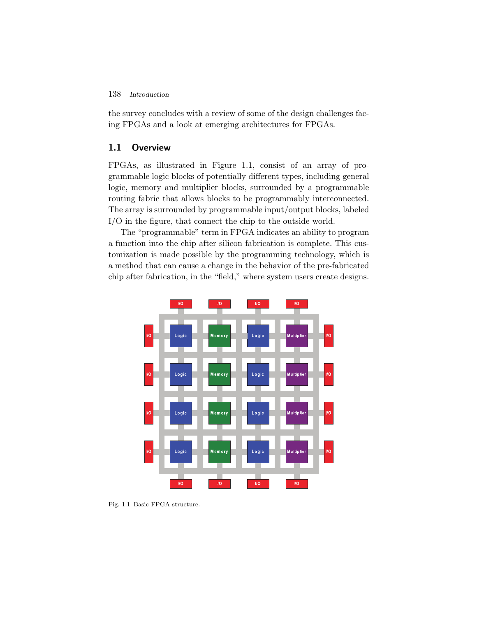#### 138 *Introduction*

the survey concludes with a review of some of the design challenges facing FPGAs and a look at emerging architectures for FPGAs.

#### **1.1 Overview**

FPGAs, as illustrated in Figure 1.1, consist of an array of programmable logic blocks of potentially different types, including general logic, memory and multiplier blocks, surrounded by a programmable routing fabric that allows blocks to be programmably interconnected. The array is surrounded by programmable input/output blocks, labeled I/O in the figure, that connect the chip to the outside world.

The "programmable" term in FPGA indicates an ability to program a function into the chip after silicon fabrication is complete. This customization is made possible by the programming technology, which is a method that can cause a change in the behavior of the pre-fabricated chip after fabrication, in the "field," where system users create designs.



Fig. 1.1 Basic FPGA structure.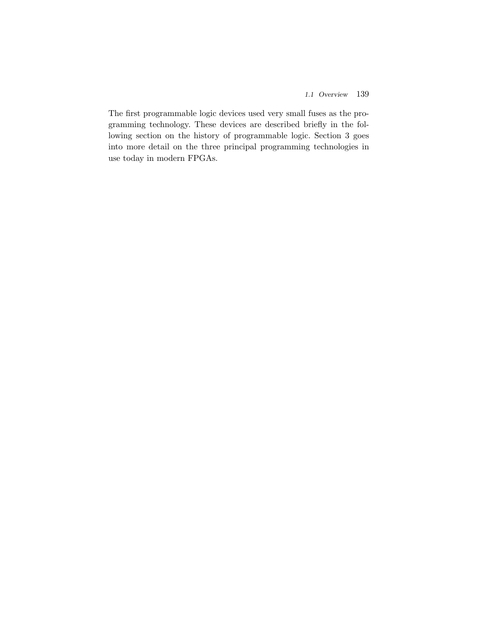The first programmable logic devices used very small fuses as the programming technology. These devices are described briefly in the following section on the history of programmable logic. Section 3 goes into more detail on the three principal programming technologies in use today in modern FPGAs.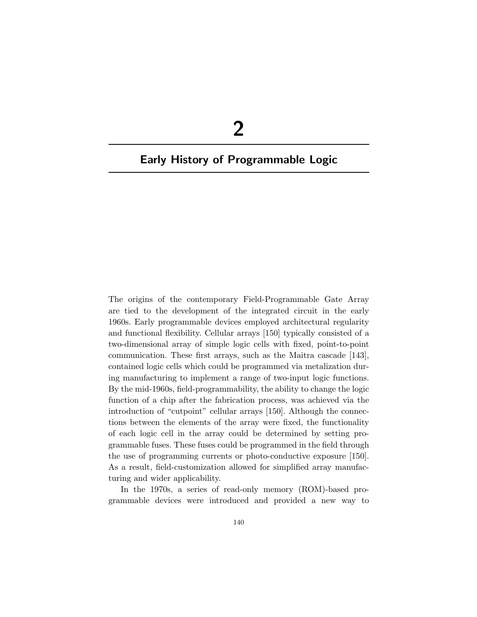## **Early History of Programmable Logic**

The origins of the contemporary Field-Programmable Gate Array are tied to the development of the integrated circuit in the early 1960s. Early programmable devices employed architectural regularity and functional flexibility. Cellular arrays [150] typically consisted of a two-dimensional array of simple logic cells with fixed, point-to-point communication. These first arrays, such as the Maitra cascade [143], contained logic cells which could be programmed via metalization during manufacturing to implement a range of two-input logic functions. By the mid-1960s, field-programmability, the ability to change the logic function of a chip after the fabrication process, was achieved via the introduction of "cutpoint" cellular arrays [150]. Although the connections between the elements of the array were fixed, the functionality of each logic cell in the array could be determined by setting programmable fuses. These fuses could be programmed in the field through the use of programming currents or photo-conductive exposure [150]. As a result, field-customization allowed for simplified array manufacturing and wider applicability.

In the 1970s, a series of read-only memory (ROM)-based programmable devices were introduced and provided a new way to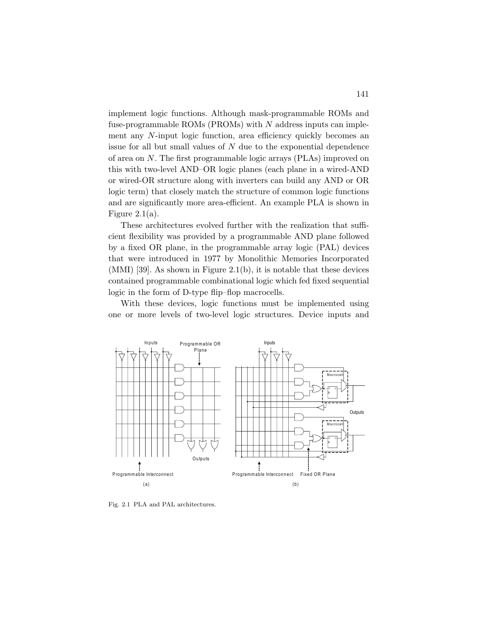implement logic functions. Although mask-programmable ROMs and fuse-programmable ROMs (PROMs) with  $N$  address inputs can implement any N-input logic function, area efficiency quickly becomes an issue for all but small values of  $N$  due to the exponential dependence of area on N. The first programmable logic arrays (PLAs) improved on this with two-level AND–OR logic planes (each plane in a wired-AND or wired-OR structure along with inverters can build any AND or OR logic term) that closely match the structure of common logic functions and are significantly more area-efficient. An example PLA is shown in Figure  $2.1(a)$ .

These architectures evolved further with the realization that sufficient flexibility was provided by a programmable AND plane followed by a fixed OR plane, in the programmable array logic (PAL) devices that were introduced in 1977 by Monolithic Memories Incorporated (MMI) [39]. As shown in Figure 2.1(b), it is notable that these devices contained programmable combinational logic which fed fixed sequential logic in the form of D-type flip–flop macrocells.

With these devices, logic functions must be implemented using one or more levels of two-level logic structures. Device inputs and



Fig. 2.1 PLA and PAL architectures.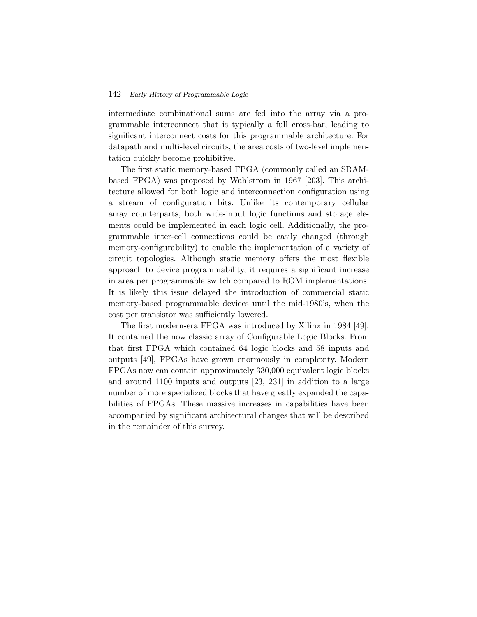#### 142 *Early History of Programmable Logic*

intermediate combinational sums are fed into the array via a programmable interconnect that is typically a full cross-bar, leading to significant interconnect costs for this programmable architecture. For datapath and multi-level circuits, the area costs of two-level implementation quickly become prohibitive.

The first static memory-based FPGA (commonly called an SRAMbased FPGA) was proposed by Wahlstrom in 1967 [203]. This architecture allowed for both logic and interconnection configuration using a stream of configuration bits. Unlike its contemporary cellular array counterparts, both wide-input logic functions and storage elements could be implemented in each logic cell. Additionally, the programmable inter-cell connections could be easily changed (through memory-configurability) to enable the implementation of a variety of circuit topologies. Although static memory offers the most flexible approach to device programmability, it requires a significant increase in area per programmable switch compared to ROM implementations. It is likely this issue delayed the introduction of commercial static memory-based programmable devices until the mid-1980's, when the cost per transistor was sufficiently lowered.

The first modern-era FPGA was introduced by Xilinx in 1984 [49]. It contained the now classic array of Configurable Logic Blocks. From that first FPGA which contained 64 logic blocks and 58 inputs and outputs [49], FPGAs have grown enormously in complexity. Modern FPGAs now can contain approximately 330,000 equivalent logic blocks and around 1100 inputs and outputs [23, 231] in addition to a large number of more specialized blocks that have greatly expanded the capabilities of FPGAs. These massive increases in capabilities have been accompanied by significant architectural changes that will be described in the remainder of this survey.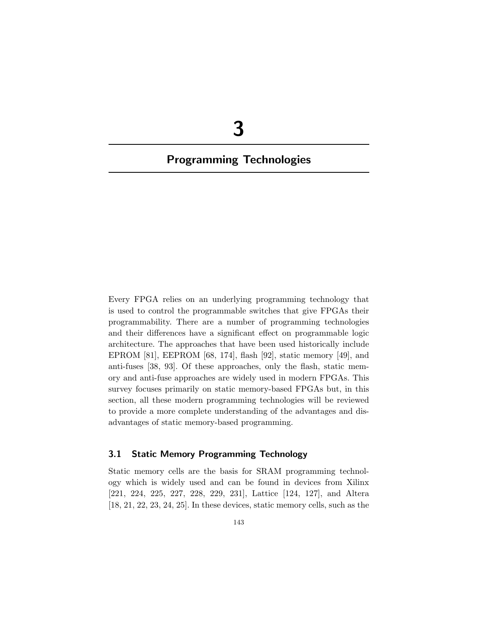## **Programming Technologies**

Every FPGA relies on an underlying programming technology that is used to control the programmable switches that give FPGAs their programmability. There are a number of programming technologies and their differences have a significant effect on programmable logic architecture. The approaches that have been used historically include EPROM [81], EEPROM [68, 174], flash [92], static memory [49], and anti-fuses [38, 93]. Of these approaches, only the flash, static memory and anti-fuse approaches are widely used in modern FPGAs. This survey focuses primarily on static memory-based FPGAs but, in this section, all these modern programming technologies will be reviewed to provide a more complete understanding of the advantages and disadvantages of static memory-based programming.

#### **3.1 Static Memory Programming Technology**

Static memory cells are the basis for SRAM programming technology which is widely used and can be found in devices from Xilinx [221, 224, 225, 227, 228, 229, 231], Lattice [124, 127], and Altera [18, 21, 22, 23, 24, 25]. In these devices, static memory cells, such as the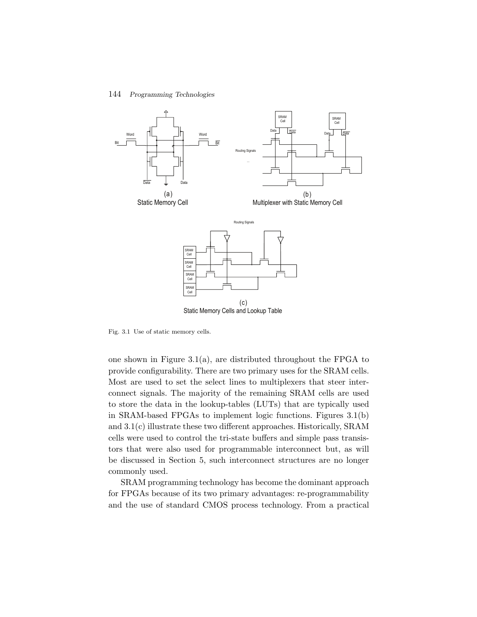#### 144 *Programming Technologies*



Fig. 3.1 Use of static memory cells.

one shown in Figure 3.1(a), are distributed throughout the FPGA to provide configurability. There are two primary uses for the SRAM cells. Most are used to set the select lines to multiplexers that steer interconnect signals. The majority of the remaining SRAM cells are used to store the data in the lookup-tables (LUTs) that are typically used in SRAM-based FPGAs to implement logic functions. Figures 3.1(b) and 3.1(c) illustrate these two different approaches. Historically, SRAM cells were used to control the tri-state buffers and simple pass transistors that were also used for programmable interconnect but, as will be discussed in Section 5, such interconnect structures are no longer commonly used.

SRAM programming technology has become the dominant approach for FPGAs because of its two primary advantages: re-programmability and the use of standard CMOS process technology. From a practical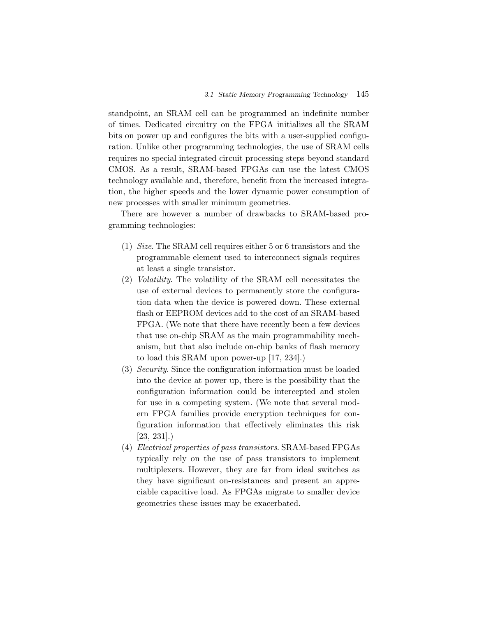standpoint, an SRAM cell can be programmed an indefinite number of times. Dedicated circuitry on the FPGA initializes all the SRAM bits on power up and configures the bits with a user-supplied configuration. Unlike other programming technologies, the use of SRAM cells requires no special integrated circuit processing steps beyond standard CMOS. As a result, SRAM-based FPGAs can use the latest CMOS technology available and, therefore, benefit from the increased integration, the higher speeds and the lower dynamic power consumption of new processes with smaller minimum geometries.

There are however a number of drawbacks to SRAM-based programming technologies:

- (1) *Size*. The SRAM cell requires either 5 or 6 transistors and the programmable element used to interconnect signals requires at least a single transistor.
- (2) *Volatility*. The volatility of the SRAM cell necessitates the use of external devices to permanently store the configuration data when the device is powered down. These external flash or EEPROM devices add to the cost of an SRAM-based FPGA. (We note that there have recently been a few devices that use on-chip SRAM as the main programmability mechanism, but that also include on-chip banks of flash memory to load this SRAM upon power-up [17, 234].)
- (3) *Security*. Since the configuration information must be loaded into the device at power up, there is the possibility that the configuration information could be intercepted and stolen for use in a competing system. (We note that several modern FPGA families provide encryption techniques for configuration information that effectively eliminates this risk [23, 231].)
- (4) *Electrical properties of pass transistors*. SRAM-based FPGAs typically rely on the use of pass transistors to implement multiplexers. However, they are far from ideal switches as they have significant on-resistances and present an appreciable capacitive load. As FPGAs migrate to smaller device geometries these issues may be exacerbated.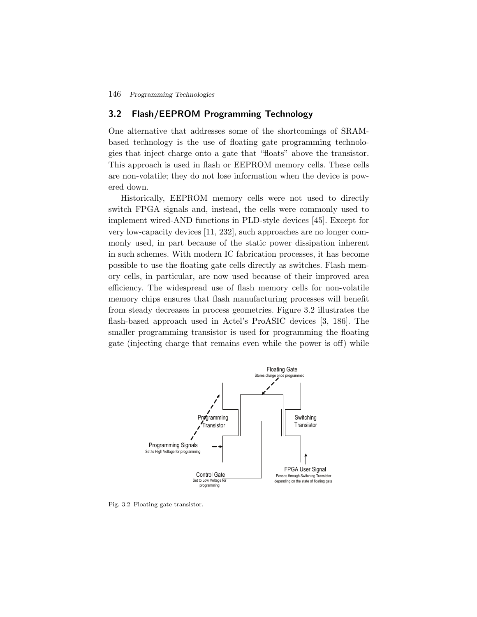#### 146 *Programming Technologies*

#### **3.2 Flash/EEPROM Programming Technology**

One alternative that addresses some of the shortcomings of SRAMbased technology is the use of floating gate programming technologies that inject charge onto a gate that "floats" above the transistor. This approach is used in flash or EEPROM memory cells. These cells are non-volatile; they do not lose information when the device is powered down.

Historically, EEPROM memory cells were not used to directly switch FPGA signals and, instead, the cells were commonly used to implement wired-AND functions in PLD-style devices [45]. Except for very low-capacity devices [11, 232], such approaches are no longer commonly used, in part because of the static power dissipation inherent in such schemes. With modern IC fabrication processes, it has become possible to use the floating gate cells directly as switches. Flash memory cells, in particular, are now used because of their improved area efficiency. The widespread use of flash memory cells for non-volatile memory chips ensures that flash manufacturing processes will benefit from steady decreases in process geometries. Figure 3.2 illustrates the flash-based approach used in Actel's ProASIC devices [3, 186]. The smaller programming transistor is used for programming the floating gate (injecting charge that remains even while the power is off) while



Fig. 3.2 Floating gate transistor.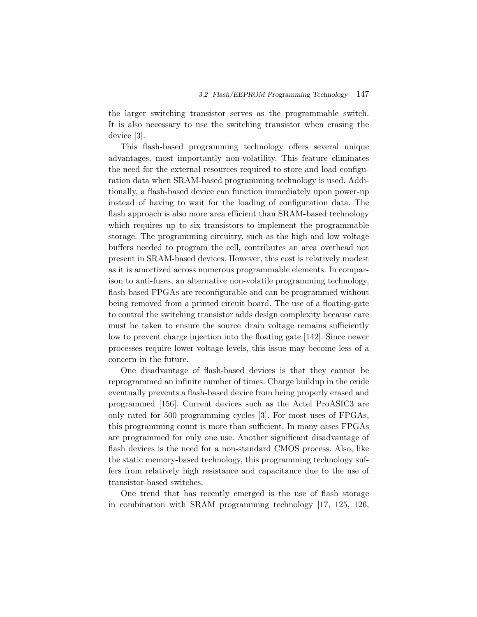the larger switching transistor serves as the programmable switch. It is also necessary to use the switching transistor when erasing the device [3].

This flash-based programming technology offers several unique advantages, most importantly non-volatility. This feature eliminates the need for the external resources required to store and load configuration data when SRAM-based programming technology is used. Additionally, a flash-based device can function immediately upon power-up instead of having to wait for the loading of configuration data. The flash approach is also more area efficient than SRAM-based technology which requires up to six transistors to implement the programmable storage. The programming circuitry, such as the high and low voltage buffers needed to program the cell, contributes an area overhead not present in SRAM-based devices. However, this cost is relatively modest as it is amortized across numerous programmable elements. In comparison to anti-fuses, an alternative non-volatile programming technology, flash-based FPGAs are reconfigurable and can be programmed without being removed from a printed circuit board. The use of a floating-gate to control the switching transistor adds design complexity because care must be taken to ensure the source–drain voltage remains sufficiently low to prevent charge injection into the floating gate [142]. Since newer processes require lower voltage levels, this issue may become less of a concern in the future.

One disadvantage of flash-based devices is that they cannot be reprogrammed an infinite number of times. Charge buildup in the oxide eventually prevents a flash-based device from being properly erased and programmed [156]. Current devices such as the Actel ProASIC3 are only rated for 500 programming cycles [3]. For most uses of FPGAs, this programming count is more than sufficient. In many cases FPGAs are programmed for only one use. Another significant disadvantage of flash devices is the need for a non-standard CMOS process. Also, like the static memory-based technology, this programming technology suffers from relatively high resistance and capacitance due to the use of transistor-based switches.

One trend that has recently emerged is the use of flash storage in combination with SRAM programming technology [17, 125, 126,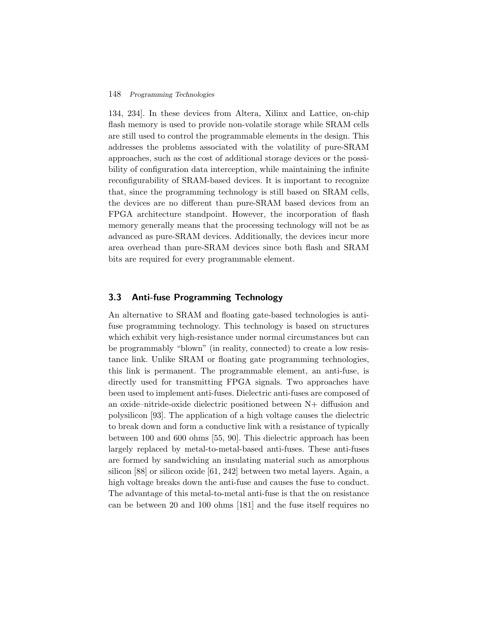#### 148 *Programming Technologies*

134, 234]. In these devices from Altera, Xilinx and Lattice, on-chip flash memory is used to provide non-volatile storage while SRAM cells are still used to control the programmable elements in the design. This addresses the problems associated with the volatility of pure-SRAM approaches, such as the cost of additional storage devices or the possibility of configuration data interception, while maintaining the infinite reconfigurability of SRAM-based devices. It is important to recognize that, since the programming technology is still based on SRAM cells, the devices are no different than pure-SRAM based devices from an FPGA architecture standpoint. However, the incorporation of flash memory generally means that the processing technology will not be as advanced as pure-SRAM devices. Additionally, the devices incur more area overhead than pure-SRAM devices since both flash and SRAM bits are required for every programmable element.

#### **3.3 Anti-fuse Programming Technology**

An alternative to SRAM and floating gate-based technologies is antifuse programming technology. This technology is based on structures which exhibit very high-resistance under normal circumstances but can be programmably "blown" (in reality, connected) to create a low resistance link. Unlike SRAM or floating gate programming technologies, this link is permanent. The programmable element, an anti-fuse, is directly used for transmitting FPGA signals. Two approaches have been used to implement anti-fuses. Dielectric anti-fuses are composed of an oxide–nitride-oxide dielectric positioned between N+ diffusion and polysilicon [93]. The application of a high voltage causes the dielectric to break down and form a conductive link with a resistance of typically between 100 and 600 ohms [55, 90]. This dielectric approach has been largely replaced by metal-to-metal-based anti-fuses. These anti-fuses are formed by sandwiching an insulating material such as amorphous silicon [88] or silicon oxide [61, 242] between two metal layers. Again, a high voltage breaks down the anti-fuse and causes the fuse to conduct. The advantage of this metal-to-metal anti-fuse is that the on resistance can be between 20 and 100 ohms [181] and the fuse itself requires no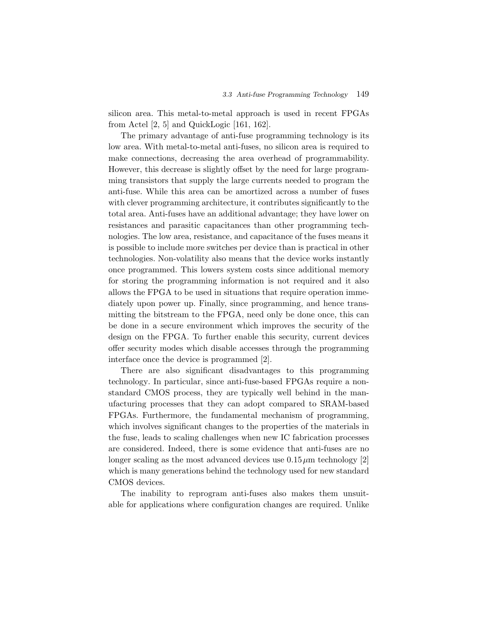silicon area. This metal-to-metal approach is used in recent FPGAs from Actel [2, 5] and QuickLogic [161, 162].

The primary advantage of anti-fuse programming technology is its low area. With metal-to-metal anti-fuses, no silicon area is required to make connections, decreasing the area overhead of programmability. However, this decrease is slightly offset by the need for large programming transistors that supply the large currents needed to program the anti-fuse. While this area can be amortized across a number of fuses with clever programming architecture, it contributes significantly to the total area. Anti-fuses have an additional advantage; they have lower on resistances and parasitic capacitances than other programming technologies. The low area, resistance, and capacitance of the fuses means it is possible to include more switches per device than is practical in other technologies. Non-volatility also means that the device works instantly once programmed. This lowers system costs since additional memory for storing the programming information is not required and it also allows the FPGA to be used in situations that require operation immediately upon power up. Finally, since programming, and hence transmitting the bitstream to the FPGA, need only be done once, this can be done in a secure environment which improves the security of the design on the FPGA. To further enable this security, current devices offer security modes which disable accesses through the programming interface once the device is programmed [2].

There are also significant disadvantages to this programming technology. In particular, since anti-fuse-based FPGAs require a nonstandard CMOS process, they are typically well behind in the manufacturing processes that they can adopt compared to SRAM-based FPGAs. Furthermore, the fundamental mechanism of programming, which involves significant changes to the properties of the materials in the fuse, leads to scaling challenges when new IC fabrication processes are considered. Indeed, there is some evidence that anti-fuses are no longer scaling as the most advanced devices use  $0.15 \mu m$  technology [2] which is many generations behind the technology used for new standard CMOS devices.

The inability to reprogram anti-fuses also makes them unsuitable for applications where configuration changes are required. Unlike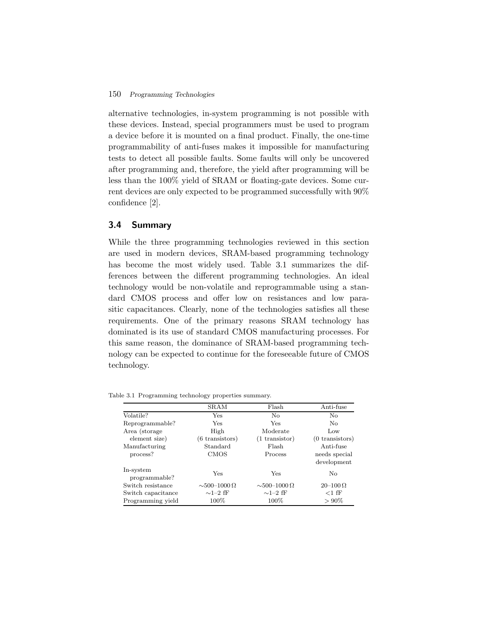#### 150 *Programming Technologies*

alternative technologies, in-system programming is not possible with these devices. Instead, special programmers must be used to program a device before it is mounted on a final product. Finally, the one-time programmability of anti-fuses makes it impossible for manufacturing tests to detect all possible faults. Some faults will only be uncovered after programming and, therefore, the yield after programming will be less than the 100% yield of SRAM or floating-gate devices. Some current devices are only expected to be programmed successfully with 90% confidence [2].

#### **3.4 Summary**

While the three programming technologies reviewed in this section are used in modern devices, SRAM-based programming technology has become the most widely used. Table 3.1 summarizes the differences between the different programming technologies. An ideal technology would be non-volatile and reprogrammable using a standard CMOS process and offer low on resistances and low parasitic capacitances. Clearly, none of the technologies satisfies all these requirements. One of the primary reasons SRAM technology has dominated is its use of standard CMOS manufacturing processes. For this same reason, the dominance of SRAM-based programming technology can be expected to continue for the foreseeable future of CMOS technology.

|  | Table 3.1 Programming technology properties summary. |  |  |  |
|--|------------------------------------------------------|--|--|--|
|--|------------------------------------------------------|--|--|--|

|                    | SRAM                               | Flash                    | Anti-fuse       |
|--------------------|------------------------------------|--------------------------|-----------------|
| Volatile?          | Yes                                | No                       | No              |
| Reprogrammable?    | Yes                                | Yes                      | No.             |
| Area (storage)     | High                               | Moderate                 | Low             |
| element size)      | (6 transistors)                    | $(1$ transistor)         | (0 transistors) |
| Manufacturing      | Standard                           | Flash                    | Anti-fuse       |
| process?           | CMOS                               | Process                  | needs special   |
|                    |                                    |                          | development     |
| In-system          | Yes                                | Yes                      | No              |
| programmable?      |                                    |                          |                 |
| Switch resistance  | $\sim\!\!500\text{--}1000\,\Omega$ | $\sim$ 500-1000 $\Omega$ | $20-100\Omega$  |
| Switch capacitance | $\sim$ 1-2 fF                      | $\sim$ 1-2 fF            | $<$ 1 fF        |
| Programming yield  | 100%                               | $100\%$                  | $> 90\%$        |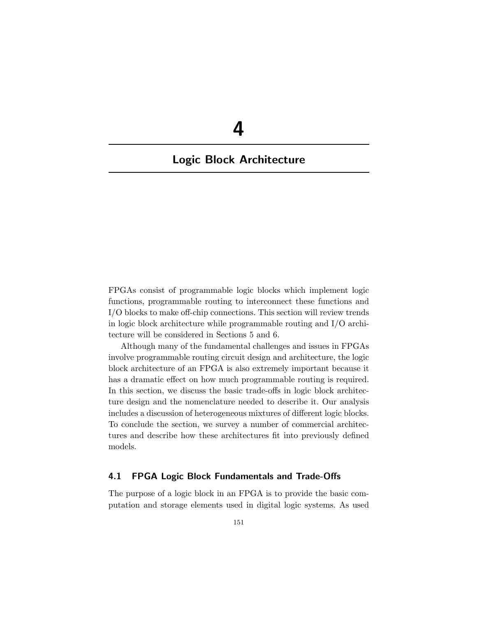## **4**

## **Logic Block Architecture**

FPGAs consist of programmable logic blocks which implement logic functions, programmable routing to interconnect these functions and I/O blocks to make off-chip connections. This section will review trends in logic block architecture while programmable routing and I/O architecture will be considered in Sections 5 and 6.

Although many of the fundamental challenges and issues in FPGAs involve programmable routing circuit design and architecture, the logic block architecture of an FPGA is also extremely important because it has a dramatic effect on how much programmable routing is required. In this section, we discuss the basic trade-offs in logic block architecture design and the nomenclature needed to describe it. Our analysis includes a discussion of heterogeneous mixtures of different logic blocks. To conclude the section, we survey a number of commercial architectures and describe how these architectures fit into previously defined models.

#### **4.1 FPGA Logic Block Fundamentals and Trade-Offs**

The purpose of a logic block in an FPGA is to provide the basic computation and storage elements used in digital logic systems. As used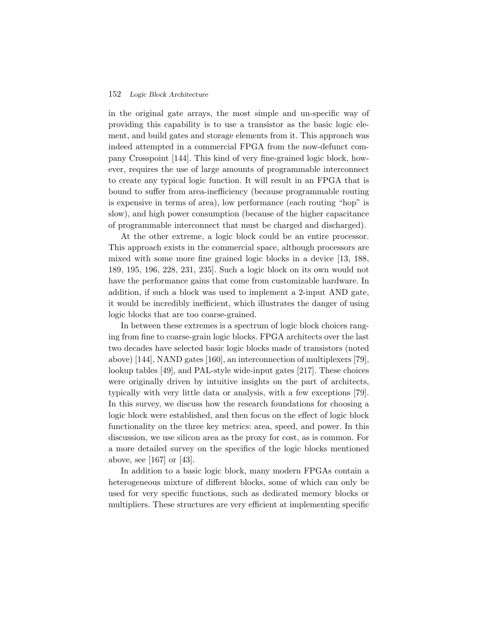in the original gate arrays, the most simple and un-specific way of providing this capability is to use a transistor as the basic logic element, and build gates and storage elements from it. This approach was indeed attempted in a commercial FPGA from the now-defunct company Crosspoint [144]. This kind of very fine-grained logic block, however, requires the use of large amounts of programmable interconnect to create any typical logic function. It will result in an FPGA that is bound to suffer from area-inefficiency (because programmable routing is expensive in terms of area), low performance (each routing "hop" is slow), and high power consumption (because of the higher capacitance of programmable interconnect that must be charged and discharged).

At the other extreme, a logic block could be an entire processor. This approach exists in the commercial space, although processors are mixed with some more fine grained logic blocks in a device [13, 188, 189, 195, 196, 228, 231, 235]. Such a logic block on its own would not have the performance gains that come from customizable hardware. In addition, if such a block was used to implement a 2-input AND gate, it would be incredibly inefficient, which illustrates the danger of using logic blocks that are too coarse-grained.

In between these extremes is a spectrum of logic block choices ranging from fine to coarse-grain logic blocks. FPGA architects over the last two decades have selected basic logic blocks made of transistors (noted above) [144], NAND gates [160], an interconnection of multiplexers [79], lookup tables [49], and PAL-style wide-input gates [217]. These choices were originally driven by intuitive insights on the part of architects, typically with very little data or analysis, with a few exceptions [79]. In this survey, we discuss how the research foundations for choosing a logic block were established, and then focus on the effect of logic block functionality on the three key metrics: area, speed, and power. In this discussion, we use silicon area as the proxy for cost, as is common. For a more detailed survey on the specifics of the logic blocks mentioned above, see [167] or [43].

In addition to a basic logic block, many modern FPGAs contain a heterogeneous mixture of different blocks, some of which can only be used for very specific functions, such as dedicated memory blocks or multipliers. These structures are very efficient at implementing specific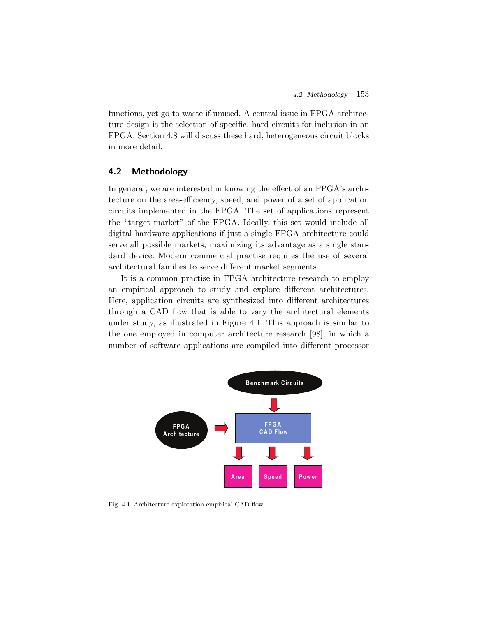functions, yet go to waste if unused. A central issue in FPGA architecture design is the selection of specific, hard circuits for inclusion in an FPGA. Section 4.8 will discuss these hard, heterogeneous circuit blocks in more detail.

#### **4.2 Methodology**

In general, we are interested in knowing the effect of an FPGA's architecture on the area-efficiency, speed, and power of a set of application circuits implemented in the FPGA. The set of applications represent the "target market" of the FPGA. Ideally, this set would include all digital hardware applications if just a single FPGA architecture could serve all possible markets, maximizing its advantage as a single standard device. Modern commercial practise requires the use of several architectural families to serve different market segments.

It is a common practise in FPGA architecture research to employ an empirical approach to study and explore different architectures. Here, application circuits are synthesized into different architectures through a CAD flow that is able to vary the architectural elements under study, as illustrated in Figure 4.1. This approach is similar to the one employed in computer architecture research [98], in which a number of software applications are compiled into different processor



Fig. 4.1 Architecture exploration empirical CAD flow.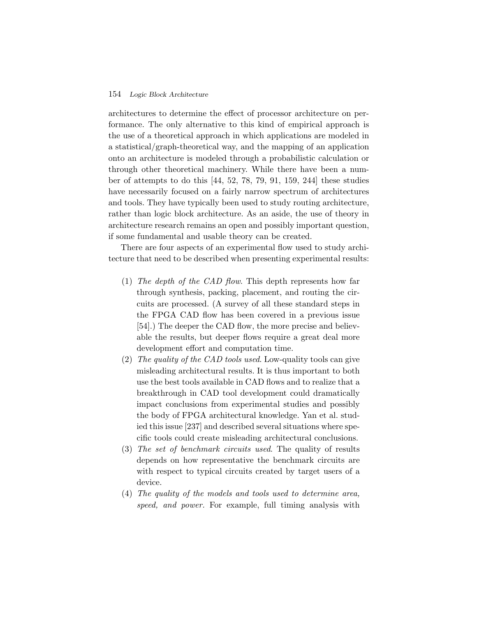architectures to determine the effect of processor architecture on performance. The only alternative to this kind of empirical approach is the use of a theoretical approach in which applications are modeled in a statistical/graph-theoretical way, and the mapping of an application onto an architecture is modeled through a probabilistic calculation or through other theoretical machinery. While there have been a number of attempts to do this [44, 52, 78, 79, 91, 159, 244] these studies have necessarily focused on a fairly narrow spectrum of architectures and tools. They have typically been used to study routing architecture, rather than logic block architecture. As an aside, the use of theory in architecture research remains an open and possibly important question, if some fundamental and usable theory can be created.

There are four aspects of an experimental flow used to study architecture that need to be described when presenting experimental results:

- (1) *The depth of the CAD flow*. This depth represents how far through synthesis, packing, placement, and routing the circuits are processed. (A survey of all these standard steps in the FPGA CAD flow has been covered in a previous issue [54].) The deeper the CAD flow, the more precise and believable the results, but deeper flows require a great deal more development effort and computation time.
- (2) *The quality of the CAD tools used*. Low-quality tools can give misleading architectural results. It is thus important to both use the best tools available in CAD flows and to realize that a breakthrough in CAD tool development could dramatically impact conclusions from experimental studies and possibly the body of FPGA architectural knowledge. Yan et al. studied this issue [237] and described several situations where specific tools could create misleading architectural conclusions.
- (3) *The set of benchmark circuits used*. The quality of results depends on how representative the benchmark circuits are with respect to typical circuits created by target users of a device.
- (4) *The quality of the models and tools used to determine area, speed, and power.* For example, full timing analysis with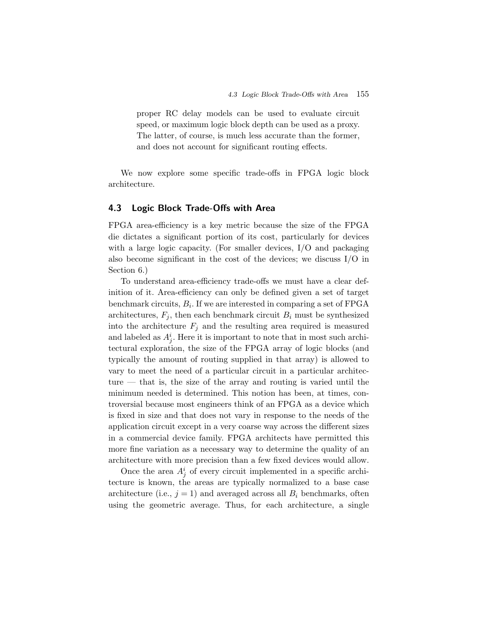proper RC delay models can be used to evaluate circuit speed, or maximum logic block depth can be used as a proxy. The latter, of course, is much less accurate than the former, and does not account for significant routing effects.

We now explore some specific trade-offs in FPGA logic block architecture.

#### **4.3 Logic Block Trade-Offs with Area**

FPGA area-efficiency is a key metric because the size of the FPGA die dictates a significant portion of its cost, particularly for devices with a large logic capacity. (For smaller devices, I/O and packaging also become significant in the cost of the devices; we discuss I/O in Section 6.)

To understand area-efficiency trade-offs we must have a clear definition of it. Area-efficiency can only be defined given a set of target benchmark circuits,  $B_i$ . If we are interested in comparing a set of FPGA architectures,  $F_j$ , then each benchmark circuit  $B_i$  must be synthesized into the architecture  $F_j$  and the resulting area required is measured and labeled as  $A_j^i$ . Here it is important to note that in most such architectural exploration, the size of the FPGA array of logic blocks (and typically the amount of routing supplied in that array) is allowed to vary to meet the need of a particular circuit in a particular architecture — that is, the size of the array and routing is varied until the minimum needed is determined. This notion has been, at times, controversial because most engineers think of an FPGA as a device which is fixed in size and that does not vary in response to the needs of the application circuit except in a very coarse way across the different sizes in a commercial device family. FPGA architects have permitted this more fine variation as a necessary way to determine the quality of an architecture with more precision than a few fixed devices would allow.

Once the area  $A_j^i$  of every circuit implemented in a specific architecture is known, the areas are typically normalized to a base case architecture (i.e.,  $j = 1$ ) and averaged across all  $B<sub>i</sub>$  benchmarks, often using the geometric average. Thus, for each architecture, a single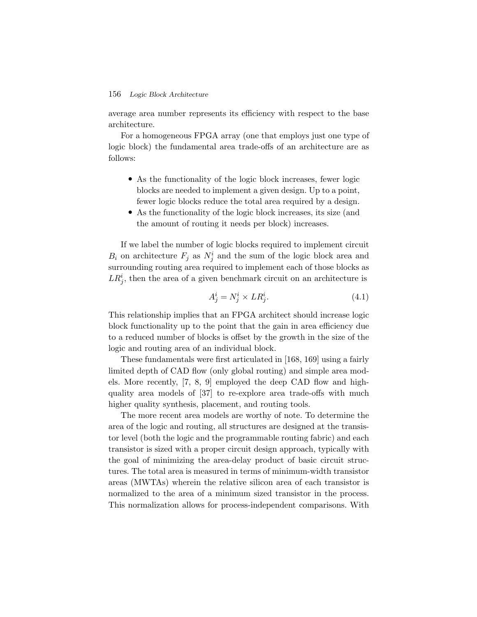average area number represents its efficiency with respect to the base architecture.

For a homogeneous FPGA array (one that employs just one type of logic block) the fundamental area trade-offs of an architecture are as follows:

- As the functionality of the logic block increases, fewer logic blocks are needed to implement a given design. Up to a point, fewer logic blocks reduce the total area required by a design.
- As the functionality of the logic block increases, its size (and the amount of routing it needs per block) increases.

If we label the number of logic blocks required to implement circuit  $B_i$  on architecture  $F_j$  as  $N_j^i$  and the sum of the logic block area and surrounding routing area required to implement each of those blocks as  $LR_j^i$ , then the area of a given benchmark circuit on an architecture is

$$
A_j^i = N_j^i \times LR_j^i. \tag{4.1}
$$

This relationship implies that an FPGA architect should increase logic block functionality up to the point that the gain in area efficiency due to a reduced number of blocks is offset by the growth in the size of the logic and routing area of an individual block.

These fundamentals were first articulated in [168, 169] using a fairly limited depth of CAD flow (only global routing) and simple area models. More recently, [7, 8, 9] employed the deep CAD flow and highquality area models of [37] to re-explore area trade-offs with much higher quality synthesis, placement, and routing tools.

The more recent area models are worthy of note. To determine the area of the logic and routing, all structures are designed at the transistor level (both the logic and the programmable routing fabric) and each transistor is sized with a proper circuit design approach, typically with the goal of minimizing the area-delay product of basic circuit structures. The total area is measured in terms of minimum-width transistor areas (MWTAs) wherein the relative silicon area of each transistor is normalized to the area of a minimum sized transistor in the process. This normalization allows for process-independent comparisons. With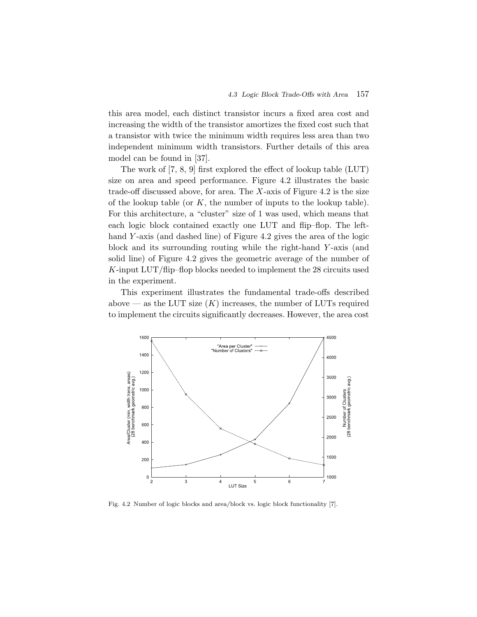this area model, each distinct transistor incurs a fixed area cost and increasing the width of the transistor amortizes the fixed cost such that a transistor with twice the minimum width requires less area than two independent minimum width transistors. Further details of this area model can be found in [37].

The work of [7, 8, 9] first explored the effect of lookup table (LUT) size on area and speed performance. Figure 4.2 illustrates the basic trade-off discussed above, for area. The  $X$ -axis of Figure 4.2 is the size of the lookup table (or  $K$ , the number of inputs to the lookup table). For this architecture, a "cluster" size of 1 was used, which means that each logic block contained exactly one LUT and flip–flop. The lefthand Y-axis (and dashed line) of Figure 4.2 gives the area of the logic block and its surrounding routing while the right-hand Y -axis (and solid line) of Figure 4.2 gives the geometric average of the number of  $K$ -input LUT/flip–flop blocks needed to implement the 28 circuits used in the experiment.

This experiment illustrates the fundamental trade-offs described above — as the LUT size  $(K)$  increases, the number of LUTs required to implement the circuits significantly decreases. However, the area cost



Fig. 4.2 Number of logic blocks and area/block vs. logic block functionality [7].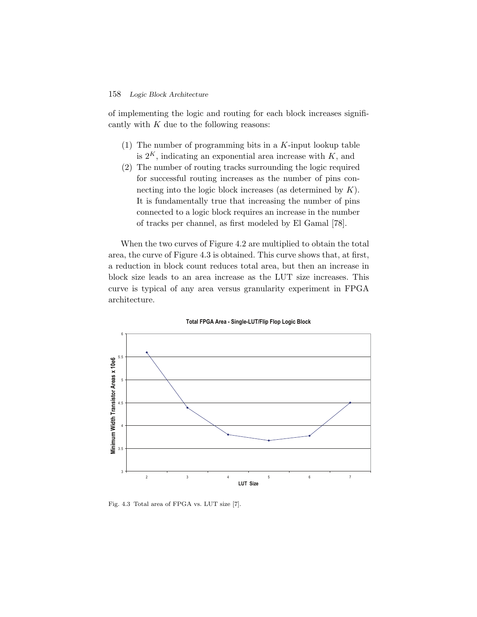of implementing the logic and routing for each block increases significantly with  $K$  due to the following reasons:

- (1) The number of programming bits in a  $K$ -input lookup table is  $2^K$ , indicating an exponential area increase with K, and
- (2) The number of routing tracks surrounding the logic required for successful routing increases as the number of pins connecting into the logic block increases (as determined by  $K$ ). It is fundamentally true that increasing the number of pins connected to a logic block requires an increase in the number of tracks per channel, as first modeled by El Gamal [78].

When the two curves of Figure 4.2 are multiplied to obtain the total area, the curve of Figure 4.3 is obtained. This curve shows that, at first, a reduction in block count reduces total area, but then an increase in block size leads to an area increase as the LUT size increases. This curve is typical of any area versus granularity experiment in FPGA architecture.



**Total FPGA Area - Single-LUT/Flip Flop Logic Block**

Fig. 4.3 Total area of FPGA vs. LUT size [7].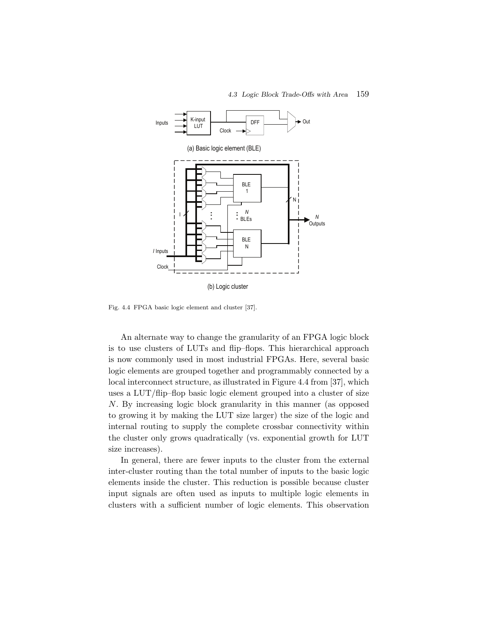

Fig. 4.4 FPGA basic logic element and cluster [37].

An alternate way to change the granularity of an FPGA logic block is to use clusters of LUTs and flip–flops. This hierarchical approach is now commonly used in most industrial FPGAs. Here, several basic logic elements are grouped together and programmably connected by a local interconnect structure, as illustrated in Figure 4.4 from [37], which uses a LUT/flip–flop basic logic element grouped into a cluster of size N. By increasing logic block granularity in this manner (as opposed to growing it by making the LUT size larger) the size of the logic and internal routing to supply the complete crossbar connectivity within the cluster only grows quadratically (vs. exponential growth for LUT size increases).

In general, there are fewer inputs to the cluster from the external inter-cluster routing than the total number of inputs to the basic logic elements inside the cluster. This reduction is possible because cluster input signals are often used as inputs to multiple logic elements in clusters with a sufficient number of logic elements. This observation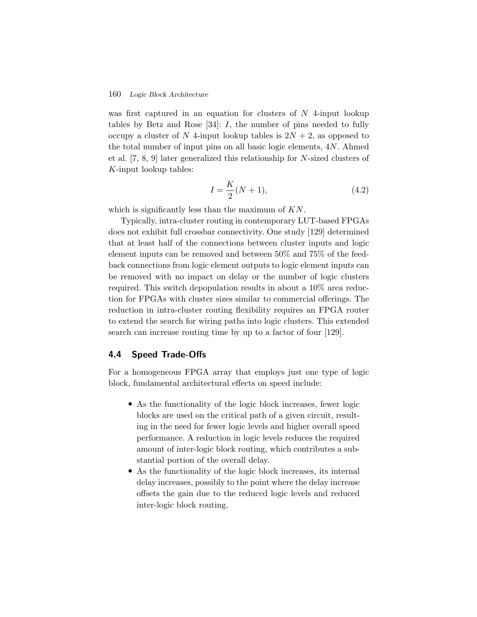was first captured in an equation for clusters of  $N$  4-input lookup tables by Betz and Rose  $[34]$ : I, the number of pins needed to fully occupy a cluster of N 4-input lookup tables is  $2N + 2$ , as opposed to the total number of input pins on all basic logic elements, 4N. Ahmed et al. [7, 8, 9] later generalized this relationship for N-sized clusters of K-input lookup tables:

$$
I = \frac{K}{2}(N+1),
$$
\n(4.2)

which is significantly less than the maximum of  $KN$ .

Typically, intra-cluster routing in contemporary LUT-based FPGAs does not exhibit full crossbar connectivity. One study [129] determined that at least half of the connections between cluster inputs and logic element inputs can be removed and between 50% and 75% of the feedback connections from logic element outputs to logic element inputs can be removed with no impact on delay or the number of logic clusters required. This switch depopulation results in about a 10% area reduction for FPGAs with cluster sizes similar to commercial offerings. The reduction in intra-cluster routing flexibility requires an FPGA router to extend the search for wiring paths into logic clusters. This extended search can increase routing time by up to a factor of four [129].

#### **4.4 Speed Trade-Offs**

For a homogeneous FPGA array that employs just one type of logic block, fundamental architectural effects on speed include:

- As the functionality of the logic block increases, fewer logic blocks are used on the critical path of a given circuit, resulting in the need for fewer logic levels and higher overall speed performance. A reduction in logic levels reduces the required amount of inter-logic block routing, which contributes a substantial portion of the overall delay.
- As the functionality of the logic block increases, its internal delay increases, possibly to the point where the delay increase offsets the gain due to the reduced logic levels and reduced inter-logic block routing.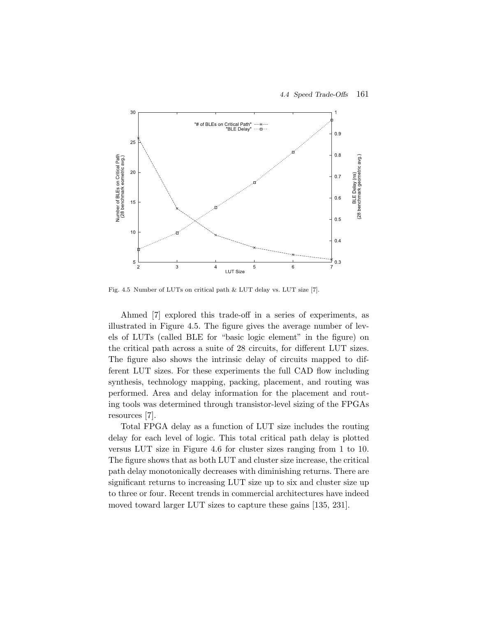*4.4 Speed Trade-Offs* 161



Fig. 4.5 Number of LUTs on critical path & LUT delay vs. LUT size [7].

Ahmed [7] explored this trade-off in a series of experiments, as illustrated in Figure 4.5. The figure gives the average number of levels of LUTs (called BLE for "basic logic element" in the figure) on the critical path across a suite of 28 circuits, for different LUT sizes. The figure also shows the intrinsic delay of circuits mapped to different LUT sizes. For these experiments the full CAD flow including synthesis, technology mapping, packing, placement, and routing was performed. Area and delay information for the placement and routing tools was determined through transistor-level sizing of the FPGAs resources [7].

Total FPGA delay as a function of LUT size includes the routing delay for each level of logic. This total critical path delay is plotted versus LUT size in Figure 4.6 for cluster sizes ranging from 1 to 10. The figure shows that as both LUT and cluster size increase, the critical path delay monotonically decreases with diminishing returns. There are significant returns to increasing LUT size up to six and cluster size up to three or four. Recent trends in commercial architectures have indeed moved toward larger LUT sizes to capture these gains [135, 231].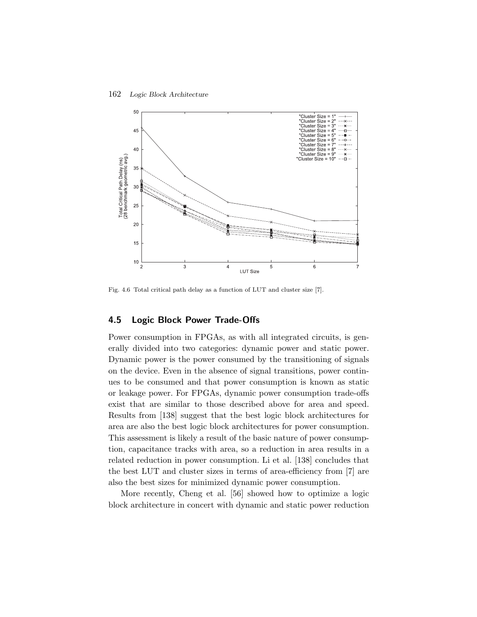

Fig. 4.6 Total critical path delay as a function of LUT and cluster size [7].

#### **4.5 Logic Block Power Trade-Offs**

Power consumption in FPGAs, as with all integrated circuits, is generally divided into two categories: dynamic power and static power. Dynamic power is the power consumed by the transitioning of signals on the device. Even in the absence of signal transitions, power continues to be consumed and that power consumption is known as static or leakage power. For FPGAs, dynamic power consumption trade-offs exist that are similar to those described above for area and speed. Results from [138] suggest that the best logic block architectures for area are also the best logic block architectures for power consumption. This assessment is likely a result of the basic nature of power consumption, capacitance tracks with area, so a reduction in area results in a related reduction in power consumption. Li et al. [138] concludes that the best LUT and cluster sizes in terms of area-efficiency from [7] are also the best sizes for minimized dynamic power consumption.

More recently, Cheng et al. [56] showed how to optimize a logic block architecture in concert with dynamic and static power reduction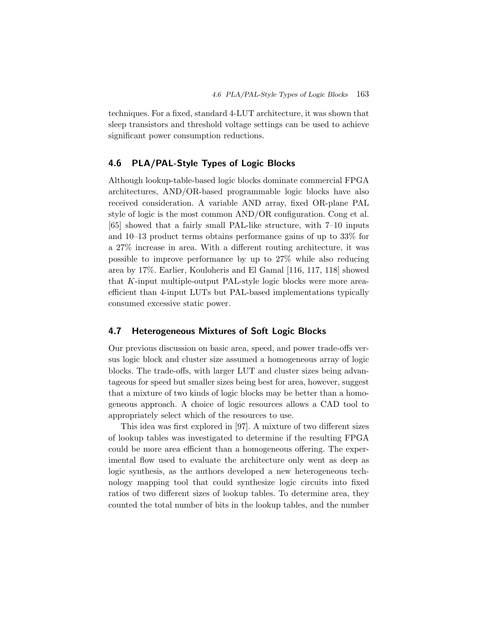techniques. For a fixed, standard 4-LUT architecture, it was shown that sleep transistors and threshold voltage settings can be used to achieve significant power consumption reductions.

#### **4.6 PLA/PAL-Style Types of Logic Blocks**

Although lookup-table-based logic blocks dominate commercial FPGA architectures, AND/OR-based programmable logic blocks have also received consideration. A variable AND array, fixed OR-plane PAL style of logic is the most common AND/OR configuration. Cong et al. [65] showed that a fairly small PAL-like structure, with 7–10 inputs and 10–13 product terms obtains performance gains of up to 33% for a 27% increase in area. With a different routing architecture, it was possible to improve performance by up to 27% while also reducing area by 17%. Earlier, Kouloheris and El Gamal [116, 117, 118] showed that K-input multiple-output PAL-style logic blocks were more areaefficient than 4-input LUTs but PAL-based implementations typically consumed excessive static power.

#### **4.7 Heterogeneous Mixtures of Soft Logic Blocks**

Our previous discussion on basic area, speed, and power trade-offs versus logic block and cluster size assumed a homogeneous array of logic blocks. The trade-offs, with larger LUT and cluster sizes being advantageous for speed but smaller sizes being best for area, however, suggest that a mixture of two kinds of logic blocks may be better than a homogeneous approach. A choice of logic resources allows a CAD tool to appropriately select which of the resources to use.

This idea was first explored in [97]. A mixture of two different sizes of lookup tables was investigated to determine if the resulting FPGA could be more area efficient than a homogeneous offering. The experimental flow used to evaluate the architecture only went as deep as logic synthesis, as the authors developed a new heterogeneous technology mapping tool that could synthesize logic circuits into fixed ratios of two different sizes of lookup tables. To determine area, they counted the total number of bits in the lookup tables, and the number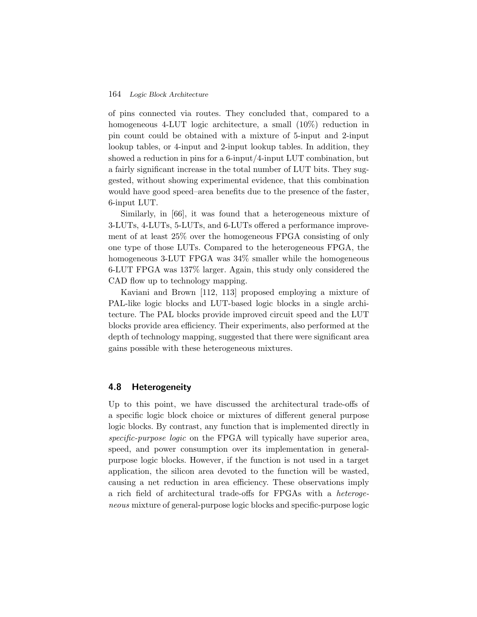of pins connected via routes. They concluded that, compared to a homogeneous 4-LUT logic architecture, a small  $(10\%)$  reduction in pin count could be obtained with a mixture of 5-input and 2-input lookup tables, or 4-input and 2-input lookup tables. In addition, they showed a reduction in pins for a 6-input/4-input LUT combination, but a fairly significant increase in the total number of LUT bits. They suggested, without showing experimental evidence, that this combination would have good speed–area benefits due to the presence of the faster, 6-input LUT.

Similarly, in [66], it was found that a heterogeneous mixture of 3-LUTs, 4-LUTs, 5-LUTs, and 6-LUTs offered a performance improvement of at least 25% over the homogeneous FPGA consisting of only one type of those LUTs. Compared to the heterogeneous FPGA, the homogeneous 3-LUT FPGA was  $34\%$  smaller while the homogeneous 6-LUT FPGA was 137% larger. Again, this study only considered the CAD flow up to technology mapping.

Kaviani and Brown [112, 113] proposed employing a mixture of PAL-like logic blocks and LUT-based logic blocks in a single architecture. The PAL blocks provide improved circuit speed and the LUT blocks provide area efficiency. Their experiments, also performed at the depth of technology mapping, suggested that there were significant area gains possible with these heterogeneous mixtures.

#### **4.8 Heterogeneity**

Up to this point, we have discussed the architectural trade-offs of a specific logic block choice or mixtures of different general purpose logic blocks. By contrast, any function that is implemented directly in *specific-purpose logic* on the FPGA will typically have superior area, speed, and power consumption over its implementation in generalpurpose logic blocks. However, if the function is not used in a target application, the silicon area devoted to the function will be wasted, causing a net reduction in area efficiency. These observations imply a rich field of architectural trade-offs for FPGAs with a *heterogeneous* mixture of general-purpose logic blocks and specific-purpose logic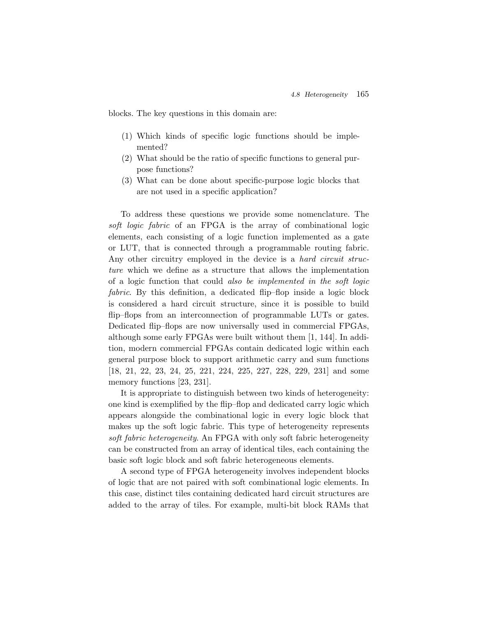blocks. The key questions in this domain are:

- (1) Which kinds of specific logic functions should be implemented?
- (2) What should be the ratio of specific functions to general purpose functions?
- (3) What can be done about specific-purpose logic blocks that are not used in a specific application?

To address these questions we provide some nomenclature. The *soft logic fabric* of an FPGA is the array of combinational logic elements, each consisting of a logic function implemented as a gate or LUT, that is connected through a programmable routing fabric. Any other circuitry employed in the device is a *hard circuit structure* which we define as a structure that allows the implementation of a logic function that could *also be implemented in the soft logic fabric*. By this definition, a dedicated flip–flop inside a logic block is considered a hard circuit structure, since it is possible to build flip–flops from an interconnection of programmable LUTs or gates. Dedicated flip–flops are now universally used in commercial FPGAs, although some early FPGAs were built without them [1, 144]. In addition, modern commercial FPGAs contain dedicated logic within each general purpose block to support arithmetic carry and sum functions [18, 21, 22, 23, 24, 25, 221, 224, 225, 227, 228, 229, 231] and some memory functions [23, 231].

It is appropriate to distinguish between two kinds of heterogeneity: one kind is exemplified by the flip–flop and dedicated carry logic which appears alongside the combinational logic in every logic block that makes up the soft logic fabric. This type of heterogeneity represents *soft fabric heterogeneity*. An FPGA with only soft fabric heterogeneity can be constructed from an array of identical tiles, each containing the basic soft logic block and soft fabric heterogeneous elements.

A second type of FPGA heterogeneity involves independent blocks of logic that are not paired with soft combinational logic elements. In this case, distinct tiles containing dedicated hard circuit structures are added to the array of tiles. For example, multi-bit block RAMs that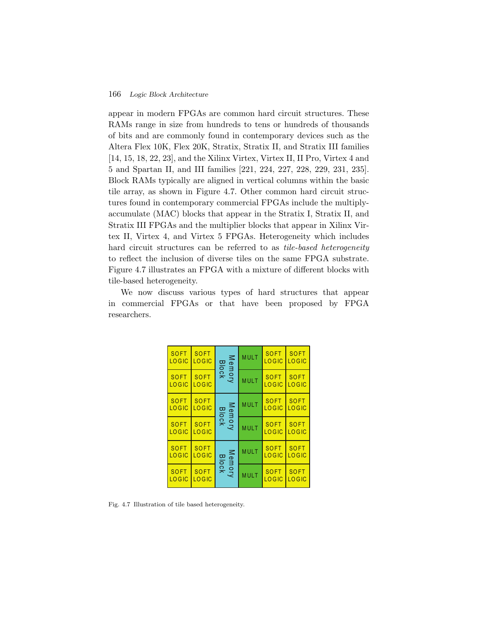appear in modern FPGAs are common hard circuit structures. These RAMs range in size from hundreds to tens or hundreds of thousands of bits and are commonly found in contemporary devices such as the Altera Flex 10K, Flex 20K, Stratix, Stratix II, and Stratix III families [14, 15, 18, 22, 23], and the Xilinx Virtex, Virtex II, II Pro, Virtex 4 and 5 and Spartan II, and III families [221, 224, 227, 228, 229, 231, 235]. Block RAMs typically are aligned in vertical columns within the basic tile array, as shown in Figure 4.7. Other common hard circuit structures found in contemporary commercial FPGAs include the multiplyaccumulate (MAC) blocks that appear in the Stratix I, Stratix II, and Stratix III FPGAs and the multiplier blocks that appear in Xilinx Virtex II, Virtex 4, and Virtex 5 FPGAs. Heterogeneity which includes hard circuit structures can be referred to as *tile-based heterogeneity* to reflect the inclusion of diverse tiles on the same FPGA substrate. Figure 4.7 illustrates an FPGA with a mixture of different blocks with tile-based heterogeneity.

We now discuss various types of hard structures that appear in commercial FPGAs or that have been proposed by FPGA researchers.

| <b>SOFT</b><br>LOGIC | <b>SOFT</b><br>LOGIC | $\overline{\mathbf{u}}$ | <b>MULT</b> | <b>SOFT</b><br><b>LOGIC</b> | <b>SOFT</b><br>LOGIC        |
|----------------------|----------------------|-------------------------|-------------|-----------------------------|-----------------------------|
| <b>SOFT</b><br>LOGIC | <b>SOFT</b><br>LOGIC | Memory<br><b>Sock</b>   | <b>MULT</b> | <b>SOFT</b><br><b>LOGIC</b> | <b>SOFT</b><br><b>LOGIC</b> |
| <b>SOFT</b><br>LOGIC | <b>SOFT</b><br>LOGIC | Memory<br>Block         | <b>MULT</b> | <b>SOFT</b><br>LOGIC        | <b>SOFT</b><br><b>LOGIC</b> |
| <b>SOFT</b><br>LOGIC | <b>SOFT</b><br>LOGIC |                         | <b>MULT</b> | <b>SOFT</b><br>LOGIC        | <b>SOFT</b><br>LOGIC        |
| <b>SOFT</b><br>LOGIC | <b>SOFT</b><br>LOGIC | Memory<br><b>Block</b>  | <b>MULT</b> | <b>SOFT</b><br>LOGIC        | <b>SOFT</b><br><b>LOGIC</b> |
| <b>SOFT</b><br>LOGIC | <b>SOFT</b><br>LOGIC |                         | <b>MULT</b> | <b>SOFT</b><br>LOGIC        | <b>SOFT</b><br><b>LOGIC</b> |

Fig. 4.7 Illustration of tile based heterogeneity.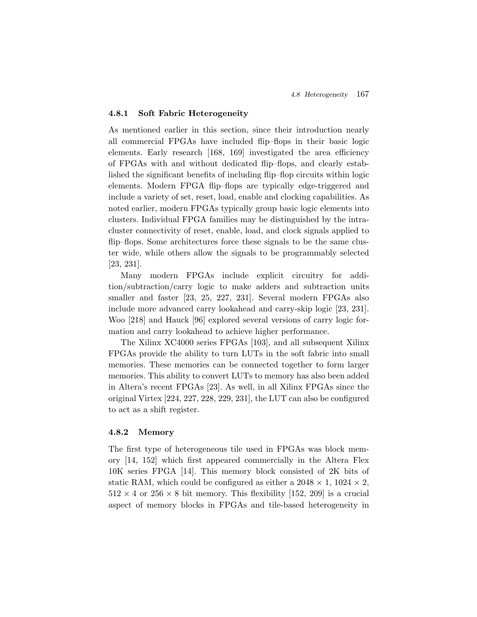#### **4.8.1 Soft Fabric Heterogeneity**

As mentioned earlier in this section, since their introduction nearly all commercial FPGAs have included flip–flops in their basic logic elements. Early research [168, 169] investigated the area efficiency of FPGAs with and without dedicated flip–flops, and clearly established the significant benefits of including flip–flop circuits within logic elements. Modern FPGA flip–flops are typically edge-triggered and include a variety of set, reset, load, enable and clocking capabilities. As noted earlier, modern FPGAs typically group basic logic elements into clusters. Individual FPGA families may be distinguished by the intracluster connectivity of reset, enable, load, and clock signals applied to flip–flops. Some architectures force these signals to be the same cluster wide, while others allow the signals to be programmably selected [23, 231].

Many modern FPGAs include explicit circuitry for addition/subtraction/carry logic to make adders and subtraction units smaller and faster [23, 25, 227, 231]. Several modern FPGAs also include more advanced carry lookahead and carry-skip logic [23, 231]. Woo [218] and Hauck [96] explored several versions of carry logic formation and carry lookahead to achieve higher performance.

The Xilinx XC4000 series FPGAs [103], and all subsequent Xilinx FPGAs provide the ability to turn LUTs in the soft fabric into small memories. These memories can be connected together to form larger memories. This ability to convert LUTs to memory has also been added in Altera's recent FPGAs [23]. As well, in all Xilinx FPGAs since the original Virtex [224, 227, 228, 229, 231], the LUT can also be configured to act as a shift register.

#### **4.8.2 Memory**

The first type of heterogeneous tile used in FPGAs was block memory [14, 152] which first appeared commercially in the Altera Flex 10K series FPGA [14]. This memory block consisted of 2K bits of static RAM, which could be configured as either a  $2048 \times 1$ ,  $1024 \times 2$ ,  $512 \times 4$  or  $256 \times 8$  bit memory. This flexibility [152, 209] is a crucial aspect of memory blocks in FPGAs and tile-based heterogeneity in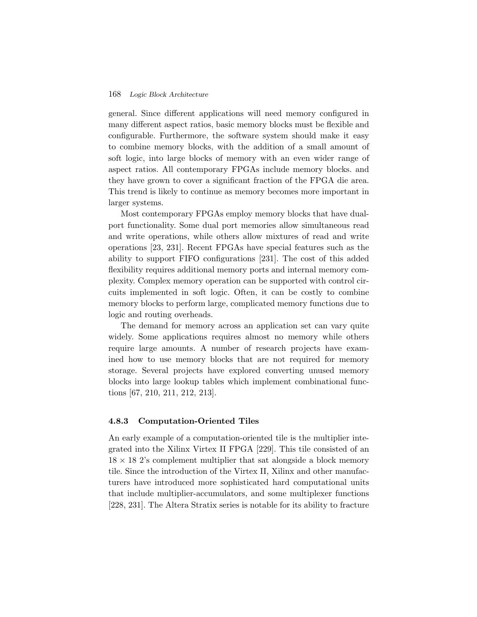general. Since different applications will need memory configured in many different aspect ratios, basic memory blocks must be flexible and configurable. Furthermore, the software system should make it easy to combine memory blocks, with the addition of a small amount of soft logic, into large blocks of memory with an even wider range of aspect ratios. All contemporary FPGAs include memory blocks. and they have grown to cover a significant fraction of the FPGA die area. This trend is likely to continue as memory becomes more important in larger systems.

Most contemporary FPGAs employ memory blocks that have dualport functionality. Some dual port memories allow simultaneous read and write operations, while others allow mixtures of read and write operations [23, 231]. Recent FPGAs have special features such as the ability to support FIFO configurations [231]. The cost of this added flexibility requires additional memory ports and internal memory complexity. Complex memory operation can be supported with control circuits implemented in soft logic. Often, it can be costly to combine memory blocks to perform large, complicated memory functions due to logic and routing overheads.

The demand for memory across an application set can vary quite widely. Some applications requires almost no memory while others require large amounts. A number of research projects have examined how to use memory blocks that are not required for memory storage. Several projects have explored converting unused memory blocks into large lookup tables which implement combinational functions [67, 210, 211, 212, 213].

#### **4.8.3 Computation-Oriented Tiles**

An early example of a computation-oriented tile is the multiplier integrated into the Xilinx Virtex II FPGA [229]. This tile consisted of an  $18 \times 18$  2's complement multiplier that sat alongside a block memory tile. Since the introduction of the Virtex II, Xilinx and other manufacturers have introduced more sophisticated hard computational units that include multiplier-accumulators, and some multiplexer functions [228, 231]. The Altera Stratix series is notable for its ability to fracture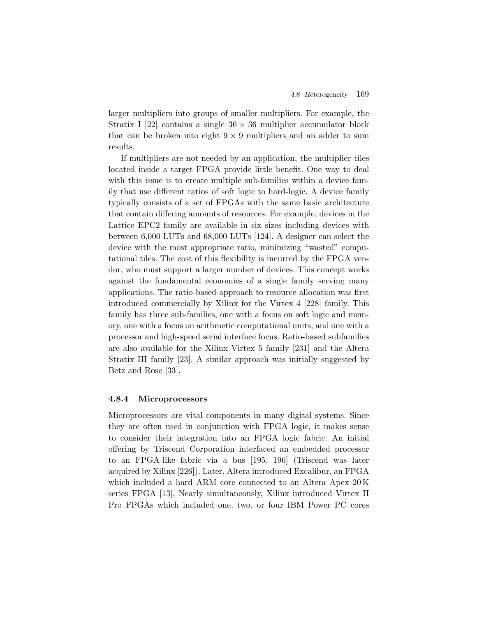larger multipliers into groups of smaller multipliers. For example, the Stratix I [22] contains a single  $36 \times 36$  multiplier accumulator block that can be broken into eight  $9 \times 9$  multipliers and an adder to sum results.

If multipliers are not needed by an application, the multiplier tiles located inside a target FPGA provide little benefit. One way to deal with this issue is to create multiple sub-families within a device family that use different ratios of soft logic to hard-logic. A device family typically consists of a set of FPGAs with the same basic architecture that contain differing amounts of resources. For example, devices in the Lattice EPC2 family are available in six sizes including devices with between 6,000 LUTs and 68,000 LUTs [124]. A designer can select the device with the most appropriate ratio, minimizing "wasted" computational tiles. The cost of this flexibility is incurred by the FPGA vendor, who must support a larger number of devices. This concept works against the fundamental economies of a single family serving many applications. The ratio-based approach to resource allocation was first introduced commercially by Xilinx for the Virtex 4 [228] family. This family has three sub-families, one with a focus on soft logic and memory, one with a focus on arithmetic computational units, and one with a processor and high-speed serial interface focus. Ratio-based subfamilies are also available for the Xilinx Virtex 5 family [231] and the Altera Stratix III family [23]. A similar approach was initially suggested by Betz and Rose [33].

#### **4.8.4 Microprocessors**

Microprocessors are vital components in many digital systems. Since they are often used in conjunction with FPGA logic, it makes sense to consider their integration into an FPGA logic fabric. An initial offering by Triscend Corporation interfaced an embedded processor to an FPGA-like fabric via a bus [195, 196] (Triscend was later acquired by Xilinx [226]). Later, Altera introduced Excalibur, an FPGA which included a hard ARM core connected to an Altera Apex 20 K series FPGA [13]. Nearly simultaneously, Xilinx introduced Virtex II Pro FPGAs which included one, two, or four IBM Power PC cores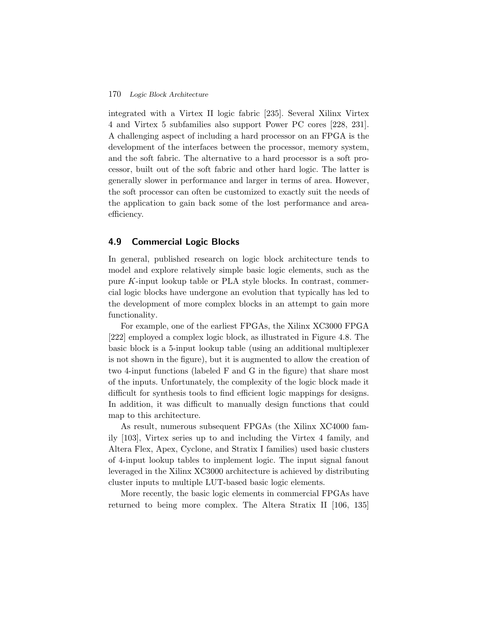integrated with a Virtex II logic fabric [235]. Several Xilinx Virtex 4 and Virtex 5 subfamilies also support Power PC cores [228, 231]. A challenging aspect of including a hard processor on an FPGA is the development of the interfaces between the processor, memory system, and the soft fabric. The alternative to a hard processor is a soft processor, built out of the soft fabric and other hard logic. The latter is generally slower in performance and larger in terms of area. However, the soft processor can often be customized to exactly suit the needs of the application to gain back some of the lost performance and areaefficiency.

#### **4.9 Commercial Logic Blocks**

In general, published research on logic block architecture tends to model and explore relatively simple basic logic elements, such as the pure K-input lookup table or PLA style blocks. In contrast, commercial logic blocks have undergone an evolution that typically has led to the development of more complex blocks in an attempt to gain more functionality.

For example, one of the earliest FPGAs, the Xilinx XC3000 FPGA [222] employed a complex logic block, as illustrated in Figure 4.8. The basic block is a 5-input lookup table (using an additional multiplexer is not shown in the figure), but it is augmented to allow the creation of two 4-input functions (labeled F and G in the figure) that share most of the inputs. Unfortunately, the complexity of the logic block made it difficult for synthesis tools to find efficient logic mappings for designs. In addition, it was difficult to manually design functions that could map to this architecture.

As result, numerous subsequent FPGAs (the Xilinx XC4000 family [103], Virtex series up to and including the Virtex 4 family, and Altera Flex, Apex, Cyclone, and Stratix I families) used basic clusters of 4-input lookup tables to implement logic. The input signal fanout leveraged in the Xilinx XC3000 architecture is achieved by distributing cluster inputs to multiple LUT-based basic logic elements.

More recently, the basic logic elements in commercial FPGAs have returned to being more complex. The Altera Stratix II [106, 135]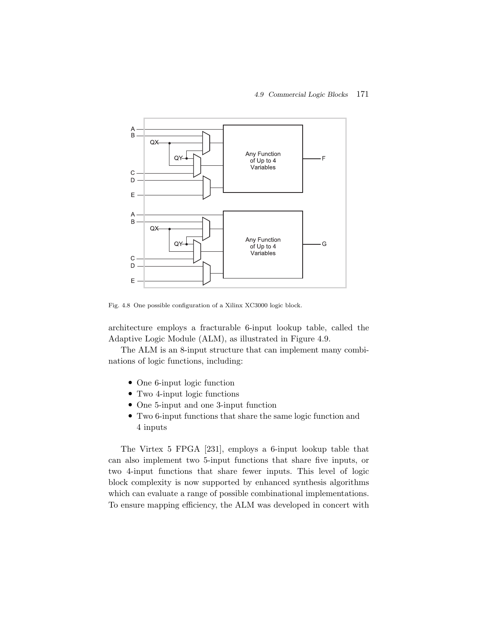# *4.9 Commercial Logic Blocks* 171



Fig. 4.8 One possible configuration of a Xilinx XC3000 logic block.

architecture employs a fracturable 6-input lookup table, called the Adaptive Logic Module (ALM), as illustrated in Figure 4.9.

The ALM is an 8-input structure that can implement many combinations of logic functions, including:

- One 6-input logic function
- Two 4-input logic functions
- One 5-input and one 3-input function
- Two 6-input functions that share the same logic function and 4 inputs

The Virtex 5 FPGA [231], employs a 6-input lookup table that can also implement two 5-input functions that share five inputs, or two 4-input functions that share fewer inputs. This level of logic block complexity is now supported by enhanced synthesis algorithms which can evaluate a range of possible combinational implementations. To ensure mapping efficiency, the ALM was developed in concert with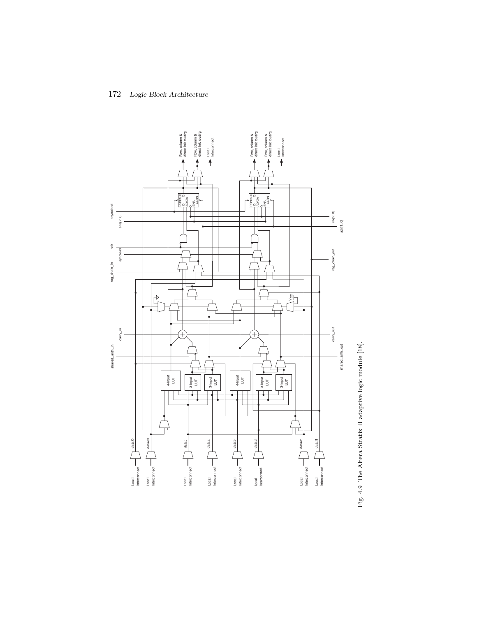

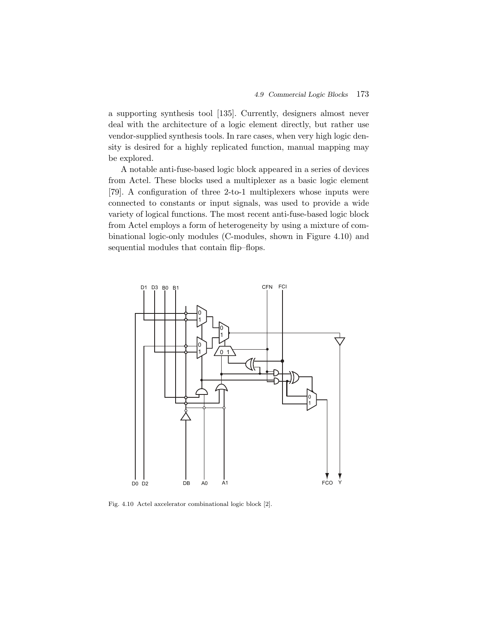a supporting synthesis tool [135]. Currently, designers almost never deal with the architecture of a logic element directly, but rather use vendor-supplied synthesis tools. In rare cases, when very high logic density is desired for a highly replicated function, manual mapping may be explored.

A notable anti-fuse-based logic block appeared in a series of devices from Actel. These blocks used a multiplexer as a basic logic element [79]. A configuration of three 2-to-1 multiplexers whose inputs were connected to constants or input signals, was used to provide a wide variety of logical functions. The most recent anti-fuse-based logic block from Actel employs a form of heterogeneity by using a mixture of combinational logic-only modules (C-modules, shown in Figure 4.10) and sequential modules that contain flip–flops.



Fig. 4.10 Actel axcelerator combinational logic block [2].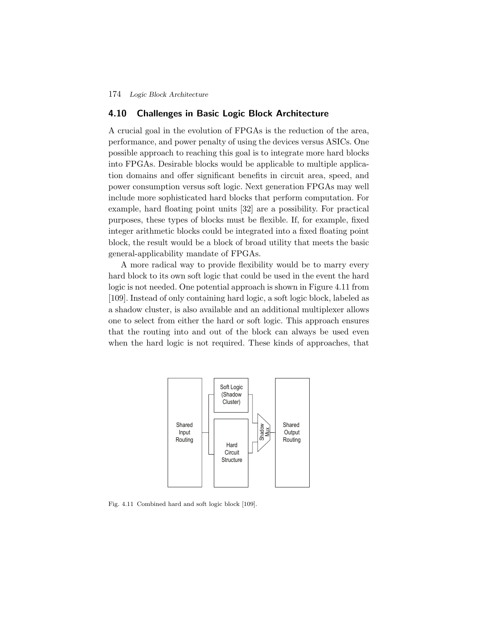# 174 *Logic Block Architecture*

# **4.10 Challenges in Basic Logic Block Architecture**

A crucial goal in the evolution of FPGAs is the reduction of the area, performance, and power penalty of using the devices versus ASICs. One possible approach to reaching this goal is to integrate more hard blocks into FPGAs. Desirable blocks would be applicable to multiple application domains and offer significant benefits in circuit area, speed, and power consumption versus soft logic. Next generation FPGAs may well include more sophisticated hard blocks that perform computation. For example, hard floating point units [32] are a possibility. For practical purposes, these types of blocks must be flexible. If, for example, fixed integer arithmetic blocks could be integrated into a fixed floating point block, the result would be a block of broad utility that meets the basic general-applicability mandate of FPGAs.

A more radical way to provide flexibility would be to marry every hard block to its own soft logic that could be used in the event the hard logic is not needed. One potential approach is shown in Figure 4.11 from [109]. Instead of only containing hard logic, a soft logic block, labeled as a shadow cluster, is also available and an additional multiplexer allows one to select from either the hard or soft logic. This approach ensures that the routing into and out of the block can always be used even when the hard logic is not required. These kinds of approaches, that



Fig. 4.11 Combined hard and soft logic block [109].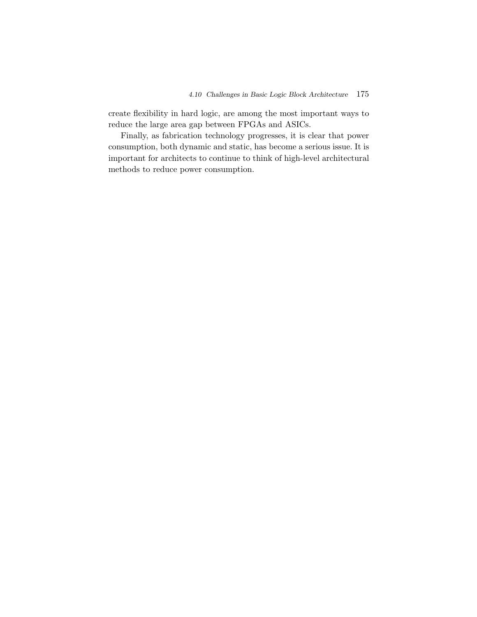create flexibility in hard logic, are among the most important ways to reduce the large area gap between FPGAs and ASICs.

Finally, as fabrication technology progresses, it is clear that power consumption, both dynamic and static, has become a serious issue. It is important for architects to continue to think of high-level architectural methods to reduce power consumption.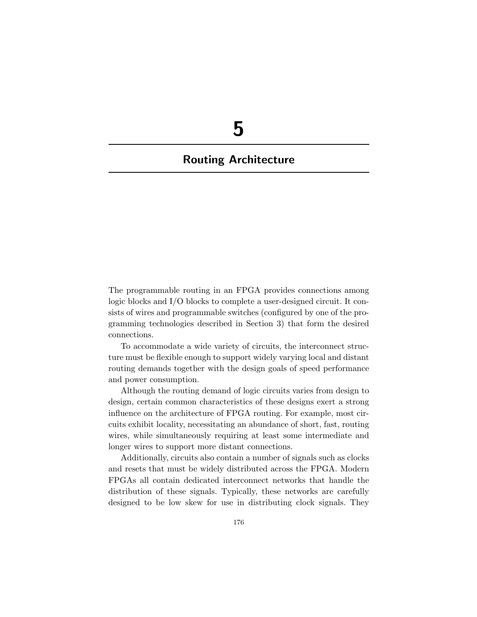# **5**

# **Routing Architecture**

The programmable routing in an FPGA provides connections among logic blocks and I/O blocks to complete a user-designed circuit. It consists of wires and programmable switches (configured by one of the programming technologies described in Section 3) that form the desired connections.

To accommodate a wide variety of circuits, the interconnect structure must be flexible enough to support widely varying local and distant routing demands together with the design goals of speed performance and power consumption.

Although the routing demand of logic circuits varies from design to design, certain common characteristics of these designs exert a strong influence on the architecture of FPGA routing. For example, most circuits exhibit locality, necessitating an abundance of short, fast, routing wires, while simultaneously requiring at least some intermediate and longer wires to support more distant connections.

Additionally, circuits also contain a number of signals such as clocks and resets that must be widely distributed across the FPGA. Modern FPGAs all contain dedicated interconnect networks that handle the distribution of these signals. Typically, these networks are carefully designed to be low skew for use in distributing clock signals. They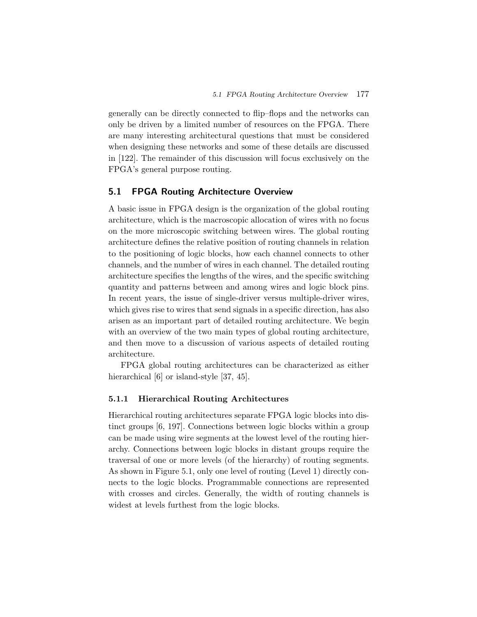generally can be directly connected to flip–flops and the networks can only be driven by a limited number of resources on the FPGA. There are many interesting architectural questions that must be considered when designing these networks and some of these details are discussed in [122]. The remainder of this discussion will focus exclusively on the FPGA's general purpose routing.

# **5.1 FPGA Routing Architecture Overview**

A basic issue in FPGA design is the organization of the global routing architecture, which is the macroscopic allocation of wires with no focus on the more microscopic switching between wires. The global routing architecture defines the relative position of routing channels in relation to the positioning of logic blocks, how each channel connects to other channels, and the number of wires in each channel. The detailed routing architecture specifies the lengths of the wires, and the specific switching quantity and patterns between and among wires and logic block pins. In recent years, the issue of single-driver versus multiple-driver wires, which gives rise to wires that send signals in a specific direction, has also arisen as an important part of detailed routing architecture. We begin with an overview of the two main types of global routing architecture, and then move to a discussion of various aspects of detailed routing architecture.

FPGA global routing architectures can be characterized as either hierarchical [6] or island-style [37, 45].

# **5.1.1 Hierarchical Routing Architectures**

Hierarchical routing architectures separate FPGA logic blocks into distinct groups [6, 197]. Connections between logic blocks within a group can be made using wire segments at the lowest level of the routing hierarchy. Connections between logic blocks in distant groups require the traversal of one or more levels (of the hierarchy) of routing segments. As shown in Figure 5.1, only one level of routing (Level 1) directly connects to the logic blocks. Programmable connections are represented with crosses and circles. Generally, the width of routing channels is widest at levels furthest from the logic blocks.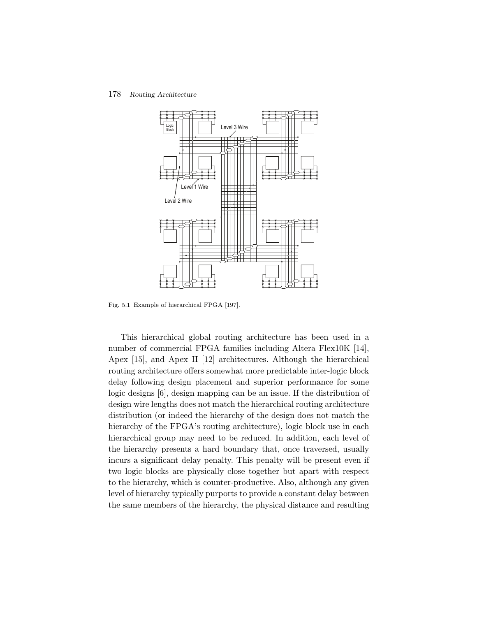

Fig. 5.1 Example of hierarchical FPGA [197].

This hierarchical global routing architecture has been used in a number of commercial FPGA families including Altera Flex10K [14], Apex [15], and Apex II [12] architectures. Although the hierarchical routing architecture offers somewhat more predictable inter-logic block delay following design placement and superior performance for some logic designs [6], design mapping can be an issue. If the distribution of design wire lengths does not match the hierarchical routing architecture distribution (or indeed the hierarchy of the design does not match the hierarchy of the FPGA's routing architecture), logic block use in each hierarchical group may need to be reduced. In addition, each level of the hierarchy presents a hard boundary that, once traversed, usually incurs a significant delay penalty. This penalty will be present even if two logic blocks are physically close together but apart with respect to the hierarchy, which is counter-productive. Also, although any given level of hierarchy typically purports to provide a constant delay between the same members of the hierarchy, the physical distance and resulting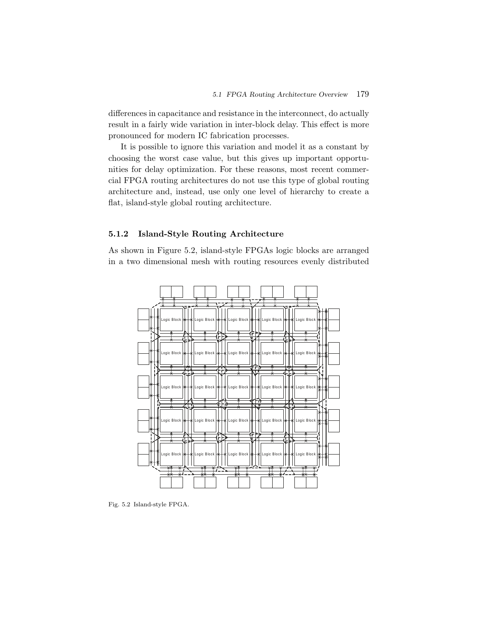differences in capacitance and resistance in the interconnect, do actually result in a fairly wide variation in inter-block delay. This effect is more pronounced for modern IC fabrication processes.

It is possible to ignore this variation and model it as a constant by choosing the worst case value, but this gives up important opportunities for delay optimization. For these reasons, most recent commercial FPGA routing architectures do not use this type of global routing architecture and, instead, use only one level of hierarchy to create a flat, island-style global routing architecture.

### **5.1.2 Island-Style Routing Architecture**

As shown in Figure 5.2, island-style FPGAs logic blocks are arranged in a two dimensional mesh with routing resources evenly distributed



Fig. 5.2 Island-style FPGA.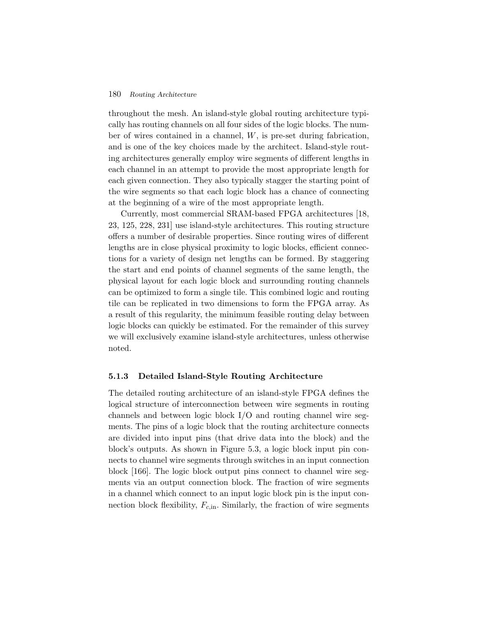throughout the mesh. An island-style global routing architecture typically has routing channels on all four sides of the logic blocks. The number of wires contained in a channel, W, is pre-set during fabrication, and is one of the key choices made by the architect. Island-style routing architectures generally employ wire segments of different lengths in each channel in an attempt to provide the most appropriate length for each given connection. They also typically stagger the starting point of the wire segments so that each logic block has a chance of connecting at the beginning of a wire of the most appropriate length.

Currently, most commercial SRAM-based FPGA architectures [18, 23, 125, 228, 231] use island-style architectures. This routing structure offers a number of desirable properties. Since routing wires of different lengths are in close physical proximity to logic blocks, efficient connections for a variety of design net lengths can be formed. By staggering the start and end points of channel segments of the same length, the physical layout for each logic block and surrounding routing channels can be optimized to form a single tile. This combined logic and routing tile can be replicated in two dimensions to form the FPGA array. As a result of this regularity, the minimum feasible routing delay between logic blocks can quickly be estimated. For the remainder of this survey we will exclusively examine island-style architectures, unless otherwise noted.

# **5.1.3 Detailed Island-Style Routing Architecture**

The detailed routing architecture of an island-style FPGA defines the logical structure of interconnection between wire segments in routing channels and between logic block I/O and routing channel wire segments. The pins of a logic block that the routing architecture connects are divided into input pins (that drive data into the block) and the block's outputs. As shown in Figure 5.3, a logic block input pin connects to channel wire segments through switches in an input connection block [166]. The logic block output pins connect to channel wire segments via an output connection block. The fraction of wire segments in a channel which connect to an input logic block pin is the input connection block flexibility,  $F_{c,in}$ . Similarly, the fraction of wire segments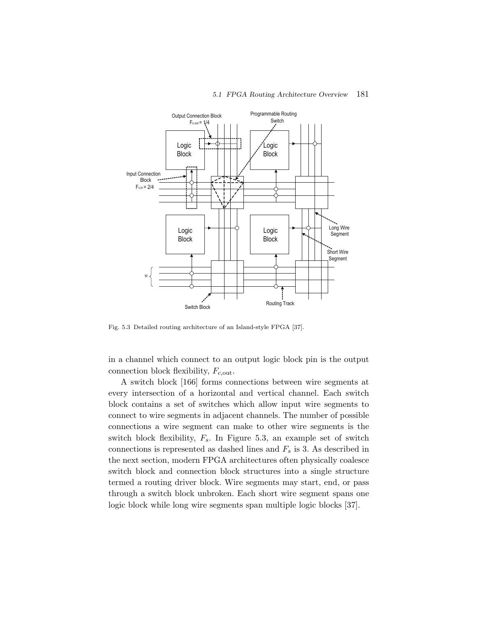#### *5.1 FPGA Routing Architecture Overview* 181



Fig. 5.3 Detailed routing architecture of an Island-style FPGA [37].

in a channel which connect to an output logic block pin is the output connection block flexibility,  $F_{c,\text{out}}$ .

A switch block [166] forms connections between wire segments at every intersection of a horizontal and vertical channel. Each switch block contains a set of switches which allow input wire segments to connect to wire segments in adjacent channels. The number of possible connections a wire segment can make to other wire segments is the switch block flexibility,  $F_s$ . In Figure 5.3, an example set of switch connections is represented as dashed lines and  $F_s$  is 3. As described in the next section, modern FPGA architectures often physically coalesce switch block and connection block structures into a single structure termed a routing driver block. Wire segments may start, end, or pass through a switch block unbroken. Each short wire segment spans one logic block while long wire segments span multiple logic blocks [37].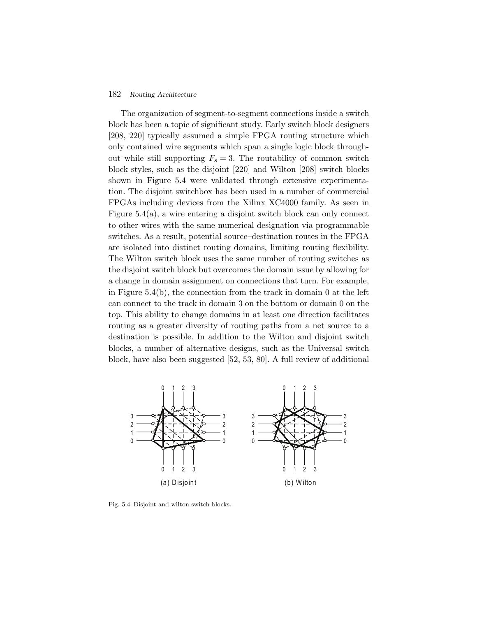The organization of segment-to-segment connections inside a switch block has been a topic of significant study. Early switch block designers [208, 220] typically assumed a simple FPGA routing structure which only contained wire segments which span a single logic block throughout while still supporting  $F_s = 3$ . The routability of common switch block styles, such as the disjoint [220] and Wilton [208] switch blocks shown in Figure 5.4 were validated through extensive experimentation. The disjoint switchbox has been used in a number of commercial FPGAs including devices from the Xilinx XC4000 family. As seen in Figure 5.4(a), a wire entering a disjoint switch block can only connect to other wires with the same numerical designation via programmable switches. As a result, potential source–destination routes in the FPGA are isolated into distinct routing domains, limiting routing flexibility. The Wilton switch block uses the same number of routing switches as the disjoint switch block but overcomes the domain issue by allowing for a change in domain assignment on connections that turn. For example, in Figure 5.4(b), the connection from the track in domain 0 at the left can connect to the track in domain 3 on the bottom or domain 0 on the top. This ability to change domains in at least one direction facilitates routing as a greater diversity of routing paths from a net source to a destination is possible. In addition to the Wilton and disjoint switch blocks, a number of alternative designs, such as the Universal switch block, have also been suggested [52, 53, 80]. A full review of additional



Fig. 5.4 Disjoint and wilton switch blocks.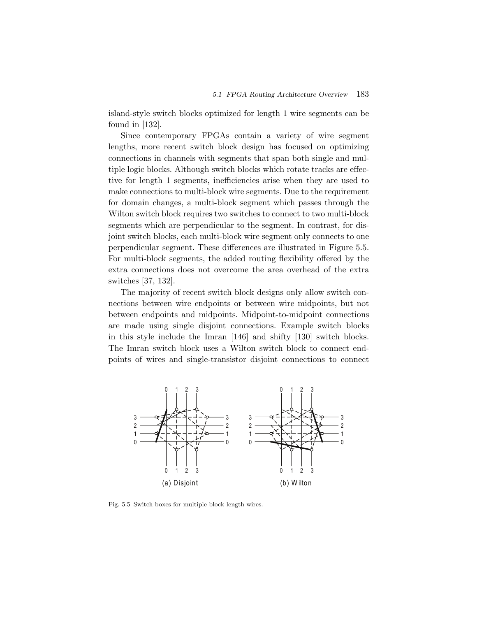island-style switch blocks optimized for length 1 wire segments can be found in [132].

Since contemporary FPGAs contain a variety of wire segment lengths, more recent switch block design has focused on optimizing connections in channels with segments that span both single and multiple logic blocks. Although switch blocks which rotate tracks are effective for length 1 segments, inefficiencies arise when they are used to make connections to multi-block wire segments. Due to the requirement for domain changes, a multi-block segment which passes through the Wilton switch block requires two switches to connect to two multi-block segments which are perpendicular to the segment. In contrast, for disjoint switch blocks, each multi-block wire segment only connects to one perpendicular segment. These differences are illustrated in Figure 5.5. For multi-block segments, the added routing flexibility offered by the extra connections does not overcome the area overhead of the extra switches [37, 132].

The majority of recent switch block designs only allow switch connections between wire endpoints or between wire midpoints, but not between endpoints and midpoints. Midpoint-to-midpoint connections are made using single disjoint connections. Example switch blocks in this style include the Imran [146] and shifty [130] switch blocks. The Imran switch block uses a Wilton switch block to connect endpoints of wires and single-transistor disjoint connections to connect



Fig. 5.5 Switch boxes for multiple block length wires.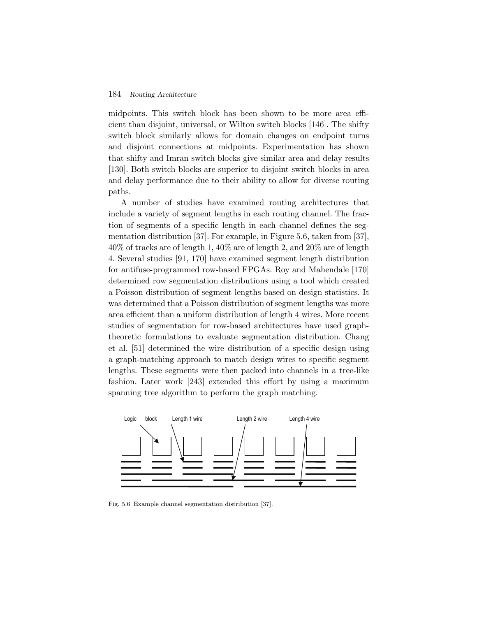midpoints. This switch block has been shown to be more area efficient than disjoint, universal, or Wilton switch blocks [146]. The shifty switch block similarly allows for domain changes on endpoint turns and disjoint connections at midpoints. Experimentation has shown that shifty and Imran switch blocks give similar area and delay results [130]. Both switch blocks are superior to disjoint switch blocks in area and delay performance due to their ability to allow for diverse routing paths.

A number of studies have examined routing architectures that include a variety of segment lengths in each routing channel. The fraction of segments of a specific length in each channel defines the segmentation distribution [37]. For example, in Figure 5.6, taken from [37], 40% of tracks are of length 1, 40% are of length 2, and 20% are of length 4. Several studies [91, 170] have examined segment length distribution for antifuse-programmed row-based FPGAs. Roy and Mahendale [170] determined row segmentation distributions using a tool which created a Poisson distribution of segment lengths based on design statistics. It was determined that a Poisson distribution of segment lengths was more area efficient than a uniform distribution of length 4 wires. More recent studies of segmentation for row-based architectures have used graphtheoretic formulations to evaluate segmentation distribution. Chang et al. [51] determined the wire distribution of a specific design using a graph-matching approach to match design wires to specific segment lengths. These segments were then packed into channels in a tree-like fashion. Later work [243] extended this effort by using a maximum spanning tree algorithm to perform the graph matching.



Fig. 5.6 Example channel segmentation distribution [37].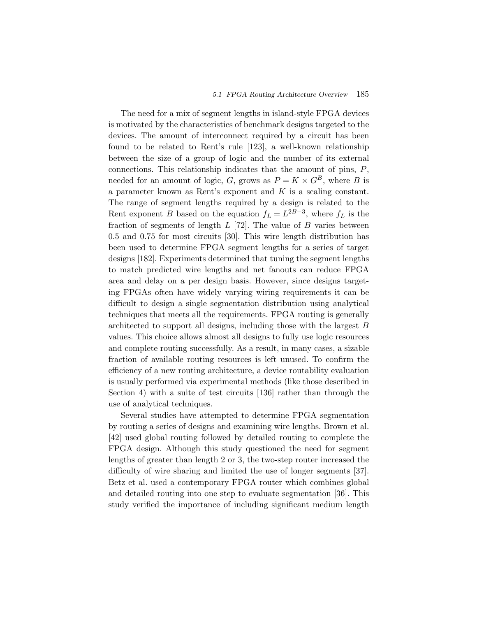The need for a mix of segment lengths in island-style FPGA devices is motivated by the characteristics of benchmark designs targeted to the devices. The amount of interconnect required by a circuit has been found to be related to Rent's rule [123], a well-known relationship between the size of a group of logic and the number of its external connections. This relationship indicates that the amount of pins,  $P$ , needed for an amount of logic, G, grows as  $P = K \times G^B$ , where B is a parameter known as Rent's exponent and K is a scaling constant. The range of segment lengths required by a design is related to the Rent exponent B based on the equation  $f_L = L^{2B-3}$ , where  $f_L$  is the fraction of segments of length  $L$  [72]. The value of  $B$  varies between 0.5 and 0.75 for most circuits [30]. This wire length distribution has been used to determine FPGA segment lengths for a series of target designs [182]. Experiments determined that tuning the segment lengths to match predicted wire lengths and net fanouts can reduce FPGA area and delay on a per design basis. However, since designs targeting FPGAs often have widely varying wiring requirements it can be difficult to design a single segmentation distribution using analytical techniques that meets all the requirements. FPGA routing is generally architected to support all designs, including those with the largest B values. This choice allows almost all designs to fully use logic resources and complete routing successfully. As a result, in many cases, a sizable fraction of available routing resources is left unused. To confirm the efficiency of a new routing architecture, a device routability evaluation is usually performed via experimental methods (like those described in Section 4) with a suite of test circuits [136] rather than through the use of analytical techniques.

Several studies have attempted to determine FPGA segmentation by routing a series of designs and examining wire lengths. Brown et al. [42] used global routing followed by detailed routing to complete the FPGA design. Although this study questioned the need for segment lengths of greater than length 2 or 3, the two-step router increased the difficulty of wire sharing and limited the use of longer segments [37]. Betz et al. used a contemporary FPGA router which combines global and detailed routing into one step to evaluate segmentation [36]. This study verified the importance of including significant medium length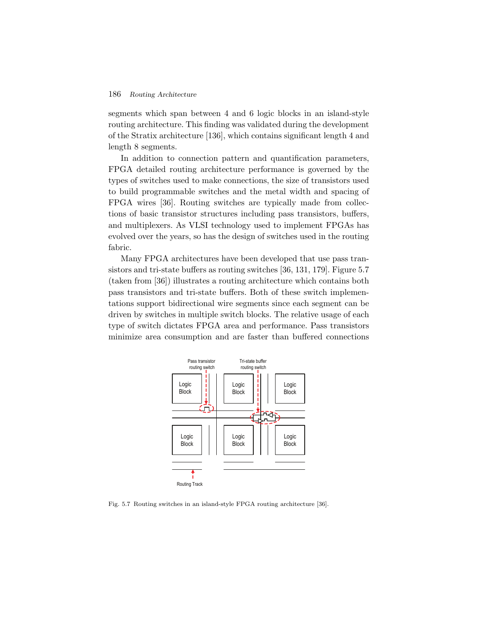segments which span between 4 and 6 logic blocks in an island-style routing architecture. This finding was validated during the development of the Stratix architecture [136], which contains significant length 4 and length 8 segments.

In addition to connection pattern and quantification parameters, FPGA detailed routing architecture performance is governed by the types of switches used to make connections, the size of transistors used to build programmable switches and the metal width and spacing of FPGA wires [36]. Routing switches are typically made from collections of basic transistor structures including pass transistors, buffers, and multiplexers. As VLSI technology used to implement FPGAs has evolved over the years, so has the design of switches used in the routing fabric.

Many FPGA architectures have been developed that use pass transistors and tri-state buffers as routing switches [36, 131, 179]. Figure 5.7 (taken from [36]) illustrates a routing architecture which contains both pass transistors and tri-state buffers. Both of these switch implementations support bidirectional wire segments since each segment can be driven by switches in multiple switch blocks. The relative usage of each type of switch dictates FPGA area and performance. Pass transistors minimize area consumption and are faster than buffered connections



Fig. 5.7 Routing switches in an island-style FPGA routing architecture [36].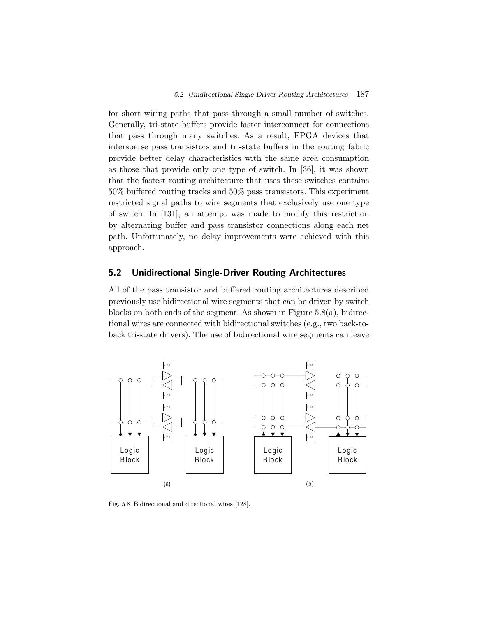for short wiring paths that pass through a small number of switches. Generally, tri-state buffers provide faster interconnect for connections that pass through many switches. As a result, FPGA devices that intersperse pass transistors and tri-state buffers in the routing fabric provide better delay characteristics with the same area consumption as those that provide only one type of switch. In [36], it was shown that the fastest routing architecture that uses these switches contains 50% buffered routing tracks and 50% pass transistors. This experiment restricted signal paths to wire segments that exclusively use one type of switch. In [131], an attempt was made to modify this restriction by alternating buffer and pass transistor connections along each net path. Unfortunately, no delay improvements were achieved with this approach.

# **5.2 Unidirectional Single-Driver Routing Architectures**

All of the pass transistor and buffered routing architectures described previously use bidirectional wire segments that can be driven by switch blocks on both ends of the segment. As shown in Figure  $5.8(a)$ , bidirectional wires are connected with bidirectional switches (e.g., two back-toback tri-state drivers). The use of bidirectional wire segments can leave



Fig. 5.8 Bidirectional and directional wires [128].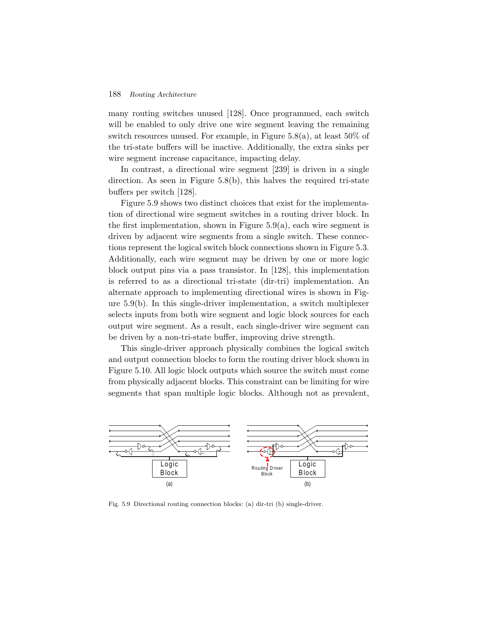many routing switches unused [128]. Once programmed, each switch will be enabled to only drive one wire segment leaving the remaining switch resources unused. For example, in Figure 5.8(a), at least 50% of the tri-state buffers will be inactive. Additionally, the extra sinks per wire segment increase capacitance, impacting delay.

In contrast, a directional wire segment [239] is driven in a single direction. As seen in Figure 5.8(b), this halves the required tri-state buffers per switch [128].

Figure 5.9 shows two distinct choices that exist for the implementation of directional wire segment switches in a routing driver block. In the first implementation, shown in Figure  $5.9(a)$ , each wire segment is driven by adjacent wire segments from a single switch. These connections represent the logical switch block connections shown in Figure 5.3. Additionally, each wire segment may be driven by one or more logic block output pins via a pass transistor. In [128], this implementation is referred to as a directional tri-state (dir-tri) implementation. An alternate approach to implementing directional wires is shown in Figure 5.9(b). In this single-driver implementation, a switch multiplexer selects inputs from both wire segment and logic block sources for each output wire segment. As a result, each single-driver wire segment can be driven by a non-tri-state buffer, improving drive strength.

This single-driver approach physically combines the logical switch and output connection blocks to form the routing driver block shown in Figure 5.10. All logic block outputs which source the switch must come from physically adjacent blocks. This constraint can be limiting for wire segments that span multiple logic blocks. Although not as prevalent,



Fig. 5.9 Directional routing connection blocks: (a) dir-tri (b) single-driver.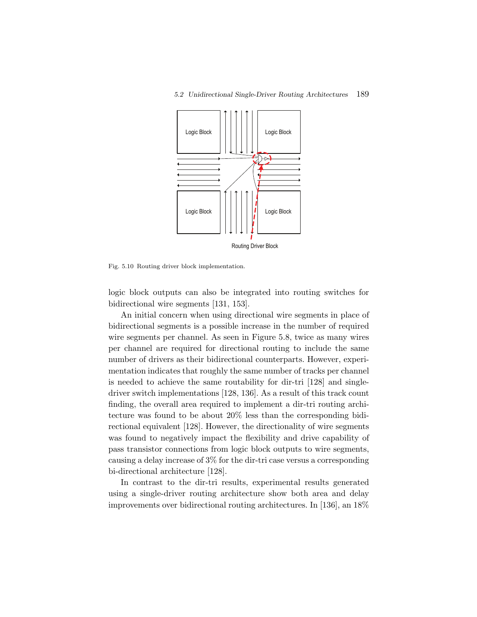

Fig. 5.10 Routing driver block implementation.

logic block outputs can also be integrated into routing switches for bidirectional wire segments [131, 153].

An initial concern when using directional wire segments in place of bidirectional segments is a possible increase in the number of required wire segments per channel. As seen in Figure 5.8, twice as many wires per channel are required for directional routing to include the same number of drivers as their bidirectional counterparts. However, experimentation indicates that roughly the same number of tracks per channel is needed to achieve the same routability for dir-tri [128] and singledriver switch implementations [128, 136]. As a result of this track count finding, the overall area required to implement a dir-tri routing architecture was found to be about 20% less than the corresponding bidirectional equivalent [128]. However, the directionality of wire segments was found to negatively impact the flexibility and drive capability of pass transistor connections from logic block outputs to wire segments, causing a delay increase of 3% for the dir-tri case versus a corresponding bi-directional architecture [128].

In contrast to the dir-tri results, experimental results generated using a single-driver routing architecture show both area and delay improvements over bidirectional routing architectures. In [136], an 18%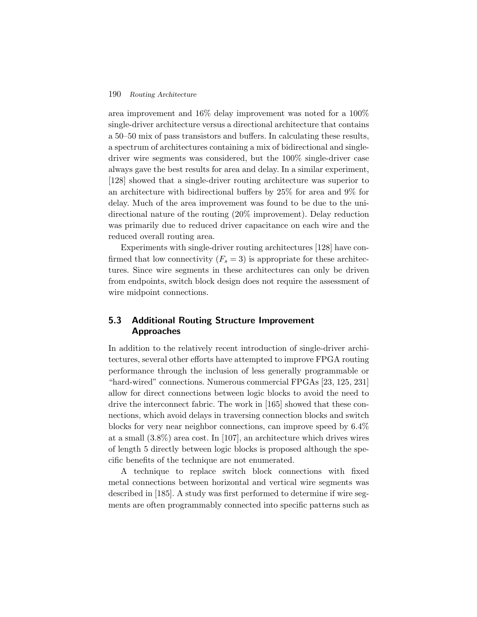area improvement and 16% delay improvement was noted for a 100% single-driver architecture versus a directional architecture that contains a 50–50 mix of pass transistors and buffers. In calculating these results, a spectrum of architectures containing a mix of bidirectional and singledriver wire segments was considered, but the 100% single-driver case always gave the best results for area and delay. In a similar experiment, [128] showed that a single-driver routing architecture was superior to an architecture with bidirectional buffers by 25% for area and 9% for delay. Much of the area improvement was found to be due to the unidirectional nature of the routing (20% improvement). Delay reduction was primarily due to reduced driver capacitance on each wire and the reduced overall routing area.

Experiments with single-driver routing architectures [128] have confirmed that low connectivity  $(F_s = 3)$  is appropriate for these architectures. Since wire segments in these architectures can only be driven from endpoints, switch block design does not require the assessment of wire midpoint connections.

# **5.3 Additional Routing Structure Improvement Approaches**

In addition to the relatively recent introduction of single-driver architectures, several other efforts have attempted to improve FPGA routing performance through the inclusion of less generally programmable or "hard-wired" connections. Numerous commercial FPGAs [23, 125, 231] allow for direct connections between logic blocks to avoid the need to drive the interconnect fabric. The work in [165] showed that these connections, which avoid delays in traversing connection blocks and switch blocks for very near neighbor connections, can improve speed by 6.4% at a small (3.8%) area cost. In [107], an architecture which drives wires of length 5 directly between logic blocks is proposed although the specific benefits of the technique are not enumerated.

A technique to replace switch block connections with fixed metal connections between horizontal and vertical wire segments was described in [185]. A study was first performed to determine if wire segments are often programmably connected into specific patterns such as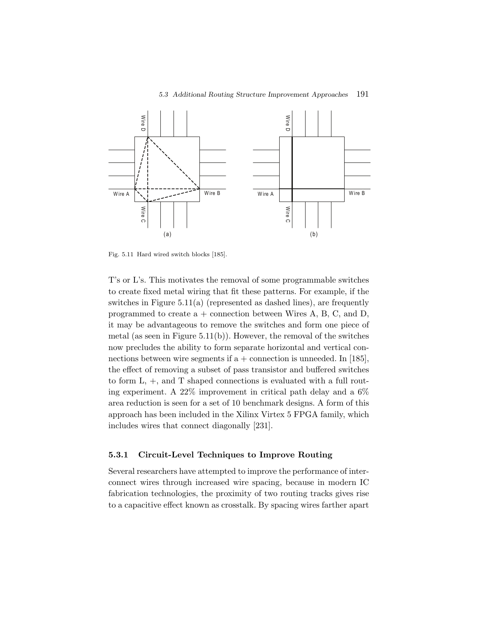#### *5.3 Additional Routing Structure Improvement Approaches* 191



Fig. 5.11 Hard wired switch blocks [185].

T's or L's. This motivates the removal of some programmable switches to create fixed metal wiring that fit these patterns. For example, if the switches in Figure 5.11(a) (represented as dashed lines), are frequently programmed to create  $a +$  connection between Wires A, B, C, and D, it may be advantageous to remove the switches and form one piece of metal (as seen in Figure  $5.11(b)$ ). However, the removal of the switches now precludes the ability to form separate horizontal and vertical connections between wire segments if  $a +$  connection is unneeded. In [185], the effect of removing a subset of pass transistor and buffered switches to form  $L, +$ , and  $T$  shaped connections is evaluated with a full routing experiment. A 22% improvement in critical path delay and a 6% area reduction is seen for a set of 10 benchmark designs. A form of this approach has been included in the Xilinx Virtex 5 FPGA family, which includes wires that connect diagonally [231].

# **5.3.1 Circuit-Level Techniques to Improve Routing**

Several researchers have attempted to improve the performance of interconnect wires through increased wire spacing, because in modern IC fabrication technologies, the proximity of two routing tracks gives rise to a capacitive effect known as crosstalk. By spacing wires farther apart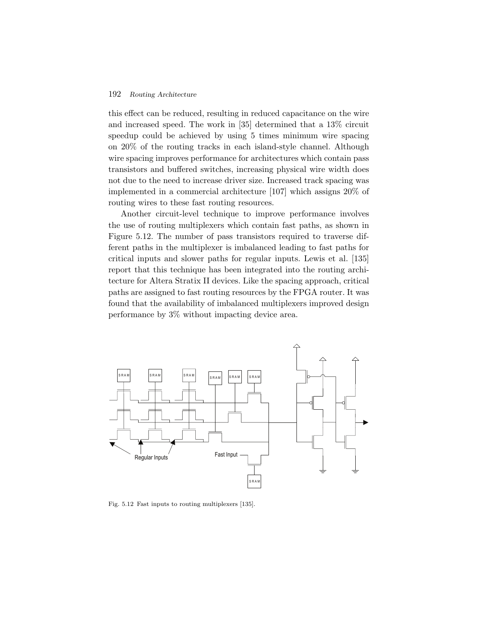this effect can be reduced, resulting in reduced capacitance on the wire and increased speed. The work in [35] determined that a 13% circuit speedup could be achieved by using 5 times minimum wire spacing on 20% of the routing tracks in each island-style channel. Although wire spacing improves performance for architectures which contain pass transistors and buffered switches, increasing physical wire width does not due to the need to increase driver size. Increased track spacing was implemented in a commercial architecture [107] which assigns 20% of routing wires to these fast routing resources.

Another circuit-level technique to improve performance involves the use of routing multiplexers which contain fast paths, as shown in Figure 5.12. The number of pass transistors required to traverse different paths in the multiplexer is imbalanced leading to fast paths for critical inputs and slower paths for regular inputs. Lewis et al. [135] report that this technique has been integrated into the routing architecture for Altera Stratix II devices. Like the spacing approach, critical paths are assigned to fast routing resources by the FPGA router. It was found that the availability of imbalanced multiplexers improved design performance by 3% without impacting device area.



Fig. 5.12 Fast inputs to routing multiplexers [135].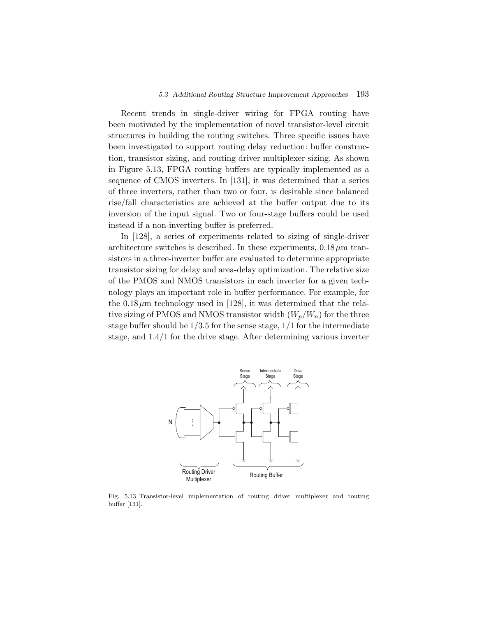Recent trends in single-driver wiring for FPGA routing have been motivated by the implementation of novel transistor-level circuit structures in building the routing switches. Three specific issues have been investigated to support routing delay reduction: buffer construction, transistor sizing, and routing driver multiplexer sizing. As shown in Figure 5.13, FPGA routing buffers are typically implemented as a sequence of CMOS inverters. In [131], it was determined that a series of three inverters, rather than two or four, is desirable since balanced rise/fall characteristics are achieved at the buffer output due to its inversion of the input signal. Two or four-stage buffers could be used instead if a non-inverting buffer is preferred.

In [128], a series of experiments related to sizing of single-driver architecture switches is described. In these experiments,  $0.18 \mu m$  transistors in a three-inverter buffer are evaluated to determine appropriate transistor sizing for delay and area-delay optimization. The relative size of the PMOS and NMOS transistors in each inverter for a given technology plays an important role in buffer performance. For example, for the  $0.18 \mu m$  technology used in [128], it was determined that the relative sizing of PMOS and NMOS transistor width  $(W_p/W_n)$  for the three stage buffer should be  $1/3.5$  for the sense stage,  $1/1$  for the intermediate stage, and 1.4/1 for the drive stage. After determining various inverter



Fig. 5.13 Transistor-level implementation of routing driver multiplexer and routing buffer [131].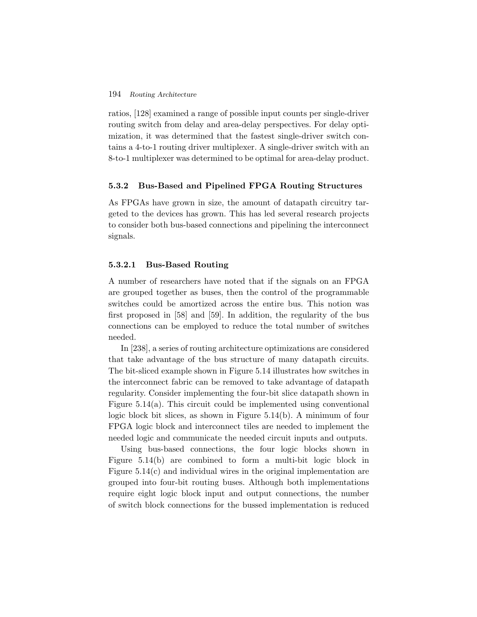ratios, [128] examined a range of possible input counts per single-driver routing switch from delay and area-delay perspectives. For delay optimization, it was determined that the fastest single-driver switch contains a 4-to-1 routing driver multiplexer. A single-driver switch with an 8-to-1 multiplexer was determined to be optimal for area-delay product.

### **5.3.2 Bus-Based and Pipelined FPGA Routing Structures**

As FPGAs have grown in size, the amount of datapath circuitry targeted to the devices has grown. This has led several research projects to consider both bus-based connections and pipelining the interconnect signals.

### **5.3.2.1 Bus-Based Routing**

A number of researchers have noted that if the signals on an FPGA are grouped together as buses, then the control of the programmable switches could be amortized across the entire bus. This notion was first proposed in [58] and [59]. In addition, the regularity of the bus connections can be employed to reduce the total number of switches needed.

In [238], a series of routing architecture optimizations are considered that take advantage of the bus structure of many datapath circuits. The bit-sliced example shown in Figure 5.14 illustrates how switches in the interconnect fabric can be removed to take advantage of datapath regularity. Consider implementing the four-bit slice datapath shown in Figure 5.14(a). This circuit could be implemented using conventional logic block bit slices, as shown in Figure 5.14(b). A minimum of four FPGA logic block and interconnect tiles are needed to implement the needed logic and communicate the needed circuit inputs and outputs.

Using bus-based connections, the four logic blocks shown in Figure 5.14(b) are combined to form a multi-bit logic block in Figure 5.14(c) and individual wires in the original implementation are grouped into four-bit routing buses. Although both implementations require eight logic block input and output connections, the number of switch block connections for the bussed implementation is reduced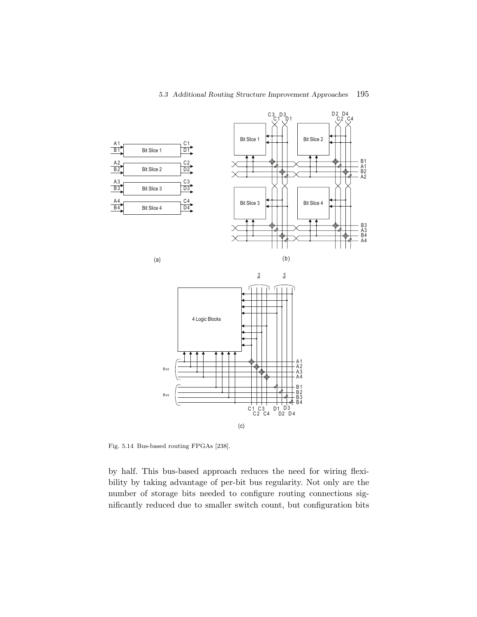



Fig. 5.14 Bus-based routing FPGAs [238].

by half. This bus-based approach reduces the need for wiring flexibility by taking advantage of per-bit bus regularity. Not only are the number of storage bits needed to configure routing connections significantly reduced due to smaller switch count, but configuration bits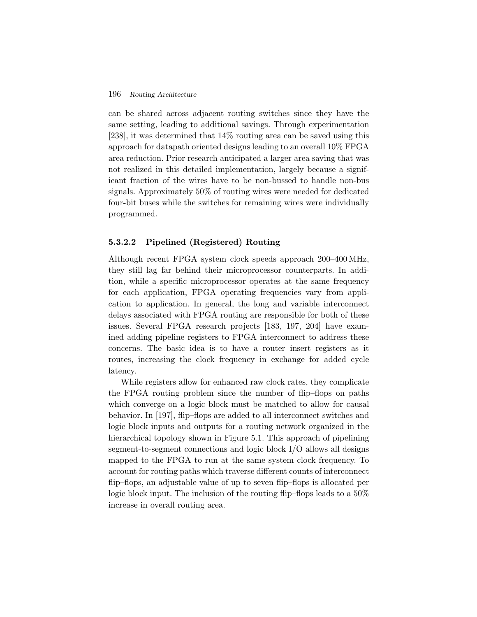can be shared across adjacent routing switches since they have the same setting, leading to additional savings. Through experimentation [238], it was determined that 14% routing area can be saved using this approach for datapath oriented designs leading to an overall 10% FPGA area reduction. Prior research anticipated a larger area saving that was not realized in this detailed implementation, largely because a significant fraction of the wires have to be non-bussed to handle non-bus signals. Approximately 50% of routing wires were needed for dedicated four-bit buses while the switches for remaining wires were individually programmed.

# **5.3.2.2 Pipelined (Registered) Routing**

Although recent FPGA system clock speeds approach 200–400 MHz, they still lag far behind their microprocessor counterparts. In addition, while a specific microprocessor operates at the same frequency for each application, FPGA operating frequencies vary from application to application. In general, the long and variable interconnect delays associated with FPGA routing are responsible for both of these issues. Several FPGA research projects [183, 197, 204] have examined adding pipeline registers to FPGA interconnect to address these concerns. The basic idea is to have a router insert registers as it routes, increasing the clock frequency in exchange for added cycle latency.

While registers allow for enhanced raw clock rates, they complicate the FPGA routing problem since the number of flip–flops on paths which converge on a logic block must be matched to allow for causal behavior. In [197], flip–flops are added to all interconnect switches and logic block inputs and outputs for a routing network organized in the hierarchical topology shown in Figure 5.1. This approach of pipelining segment-to-segment connections and logic block I/O allows all designs mapped to the FPGA to run at the same system clock frequency. To account for routing paths which traverse different counts of interconnect flip–flops, an adjustable value of up to seven flip–flops is allocated per logic block input. The inclusion of the routing flip–flops leads to a 50% increase in overall routing area.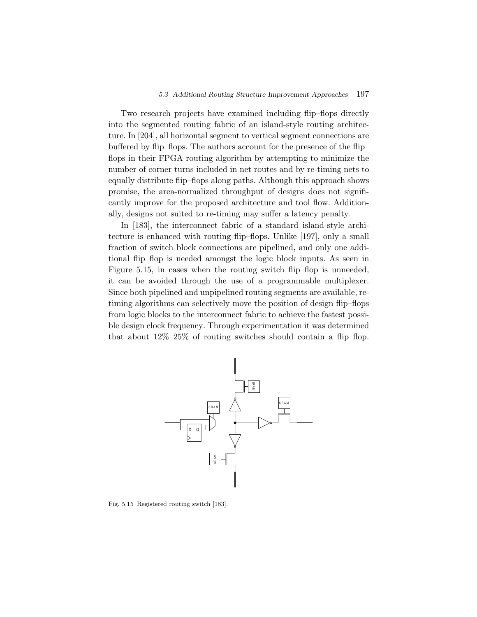Two research projects have examined including flip–flops directly into the segmented routing fabric of an island-style routing architecture. In [204], all horizontal segment to vertical segment connections are buffered by flip–flops. The authors account for the presence of the flip– flops in their FPGA routing algorithm by attempting to minimize the number of corner turns included in net routes and by re-timing nets to equally distribute flip–flops along paths. Although this approach shows promise, the area-normalized throughput of designs does not significantly improve for the proposed architecture and tool flow. Additionally, designs not suited to re-timing may suffer a latency penalty.

In [183], the interconnect fabric of a standard island-style architecture is enhanced with routing flip–flops. Unlike [197], only a small fraction of switch block connections are pipelined, and only one additional flip–flop is needed amongst the logic block inputs. As seen in Figure 5.15, in cases when the routing switch flip–flop is unneeded, it can be avoided through the use of a programmable multiplexer. Since both pipelined and unpipelined routing segments are available, retiming algorithms can selectively move the position of design flip–flops from logic blocks to the interconnect fabric to achieve the fastest possible design clock frequency. Through experimentation it was determined that about  $12\% - 25\%$  of routing switches should contain a flip–flop.



Fig. 5.15 Registered routing switch [183].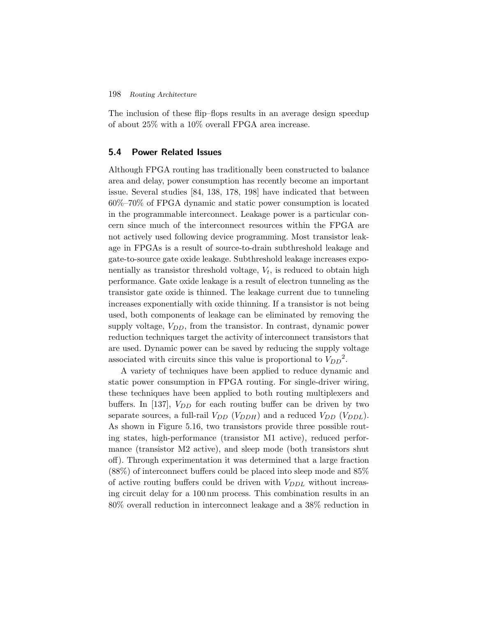The inclusion of these flip–flops results in an average design speedup of about 25% with a 10% overall FPGA area increase.

# **5.4 Power Related Issues**

Although FPGA routing has traditionally been constructed to balance area and delay, power consumption has recently become an important issue. Several studies [84, 138, 178, 198] have indicated that between 60%–70% of FPGA dynamic and static power consumption is located in the programmable interconnect. Leakage power is a particular concern since much of the interconnect resources within the FPGA are not actively used following device programming. Most transistor leakage in FPGAs is a result of source-to-drain subthreshold leakage and gate-to-source gate oxide leakage. Subthreshold leakage increases exponentially as transistor threshold voltage,  $V_t$ , is reduced to obtain high performance. Gate oxide leakage is a result of electron tunneling as the transistor gate oxide is thinned. The leakage current due to tunneling increases exponentially with oxide thinning. If a transistor is not being used, both components of leakage can be eliminated by removing the supply voltage,  $V_{DD}$ , from the transistor. In contrast, dynamic power reduction techniques target the activity of interconnect transistors that are used. Dynamic power can be saved by reducing the supply voltage associated with circuits since this value is proportional to  $V_{DD}^2$ .

A variety of techniques have been applied to reduce dynamic and static power consumption in FPGA routing. For single-driver wiring, these techniques have been applied to both routing multiplexers and buffers. In [137],  $V_{DD}$  for each routing buffer can be driven by two separate sources, a full-rail  $V_{DD}$  ( $V_{DDH}$ ) and a reduced  $V_{DD}$  ( $V_{DDL}$ ). As shown in Figure 5.16, two transistors provide three possible routing states, high-performance (transistor M1 active), reduced performance (transistor M2 active), and sleep mode (both transistors shut off). Through experimentation it was determined that a large fraction  $(88\%)$  of interconnect buffers could be placed into sleep mode and  $85\%$ of active routing buffers could be driven with  $V_{DDL}$  without increasing circuit delay for a 100 nm process. This combination results in an 80% overall reduction in interconnect leakage and a 38% reduction in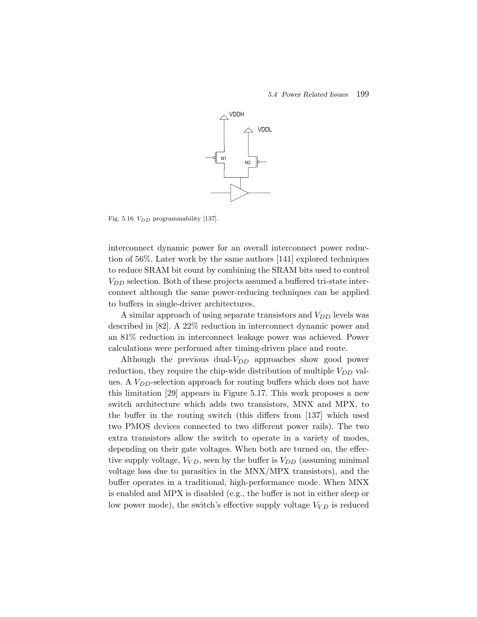

Fig. 5.16  $V_{DD}$  programmability [137].

interconnect dynamic power for an overall interconnect power reduction of 56%. Later work by the same authors [141] explored techniques to reduce SRAM bit count by combining the SRAM bits used to control  $V_{DD}$  selection. Both of these projects assumed a buffered tri-state interconnect although the same power-reducing techniques can be applied to buffers in single-driver architectures.

A similar approach of using separate transistors and  $V_{DD}$  levels was described in [82]. A 22% reduction in interconnect dynamic power and an 81% reduction in interconnect leakage power was achieved. Power calculations were performed after timing-driven place and route.

Although the previous dual- $V_{DD}$  approaches show good power reduction, they require the chip-wide distribution of multiple  $V_{DD}$  values. A  $V_{DD}$ -selection approach for routing buffers which does not have this limitation [29] appears in Figure 5.17. This work proposes a new switch architecture which adds two transistors, MNX and MPX, to the buffer in the routing switch (this differs from [137] which used two PMOS devices connected to two different power rails). The two extra transistors allow the switch to operate in a variety of modes, depending on their gate voltages. When both are turned on, the effective supply voltage,  $V_{VD}$ , seen by the buffer is  $V_{DD}$  (assuming minimal voltage loss due to parasitics in the MNX/MPX transistors), and the buffer operates in a traditional, high-performance mode. When MNX is enabled and MPX is disabled (e.g., the buffer is not in either sleep or low power mode), the switch's effective supply voltage  $V_{VD}$  is reduced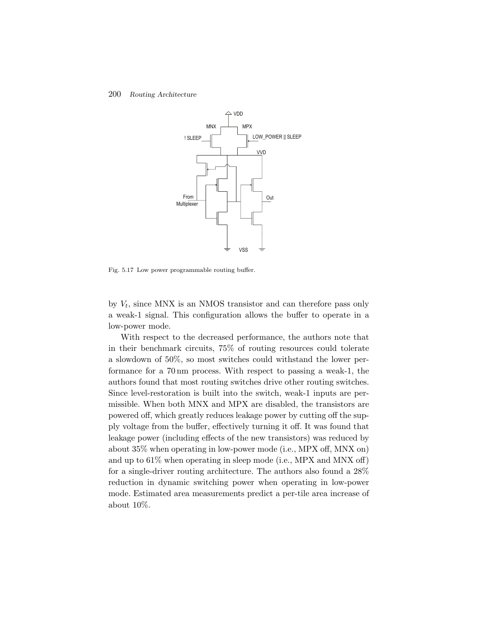

Fig. 5.17 Low power programmable routing buffer.

by  $V_t$ , since MNX is an NMOS transistor and can therefore pass only a weak-1 signal. This configuration allows the buffer to operate in a low-power mode.

With respect to the decreased performance, the authors note that in their benchmark circuits, 75% of routing resources could tolerate a slowdown of 50%, so most switches could withstand the lower performance for a 70 nm process. With respect to passing a weak-1, the authors found that most routing switches drive other routing switches. Since level-restoration is built into the switch, weak-1 inputs are permissible. When both MNX and MPX are disabled, the transistors are powered off, which greatly reduces leakage power by cutting off the supply voltage from the buffer, effectively turning it off. It was found that leakage power (including effects of the new transistors) was reduced by about 35% when operating in low-power mode (i.e., MPX off, MNX on) and up to 61% when operating in sleep mode (i.e., MPX and MNX off) for a single-driver routing architecture. The authors also found a 28% reduction in dynamic switching power when operating in low-power mode. Estimated area measurements predict a per-tile area increase of about 10%.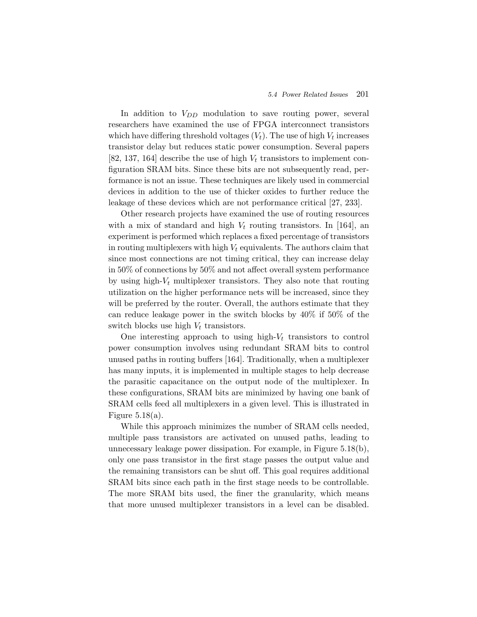### *5.4 Power Related Issues* 201

In addition to  $V_{DD}$  modulation to save routing power, several researchers have examined the use of FPGA interconnect transistors which have differing threshold voltages  $(V_t)$ . The use of high  $V_t$  increases transistor delay but reduces static power consumption. Several papers [82, 137, 164] describe the use of high  $V_t$  transistors to implement configuration SRAM bits. Since these bits are not subsequently read, performance is not an issue. These techniques are likely used in commercial devices in addition to the use of thicker oxides to further reduce the leakage of these devices which are not performance critical [27, 233].

Other research projects have examined the use of routing resources with a mix of standard and high  $V_t$  routing transistors. In [164], an experiment is performed which replaces a fixed percentage of transistors in routing multiplexers with high  $V_t$  equivalents. The authors claim that since most connections are not timing critical, they can increase delay in 50% of connections by 50% and not affect overall system performance by using high- $V_t$  multiplexer transistors. They also note that routing utilization on the higher performance nets will be increased, since they will be preferred by the router. Overall, the authors estimate that they can reduce leakage power in the switch blocks by 40% if 50% of the switch blocks use high  $V_t$  transistors.

One interesting approach to using high- $V_t$  transistors to control power consumption involves using redundant SRAM bits to control unused paths in routing buffers [164]. Traditionally, when a multiplexer has many inputs, it is implemented in multiple stages to help decrease the parasitic capacitance on the output node of the multiplexer. In these configurations, SRAM bits are minimized by having one bank of SRAM cells feed all multiplexers in a given level. This is illustrated in Figure  $5.18(a)$ .

While this approach minimizes the number of SRAM cells needed, multiple pass transistors are activated on unused paths, leading to unnecessary leakage power dissipation. For example, in Figure 5.18(b), only one pass transistor in the first stage passes the output value and the remaining transistors can be shut off. This goal requires additional SRAM bits since each path in the first stage needs to be controllable. The more SRAM bits used, the finer the granularity, which means that more unused multiplexer transistors in a level can be disabled.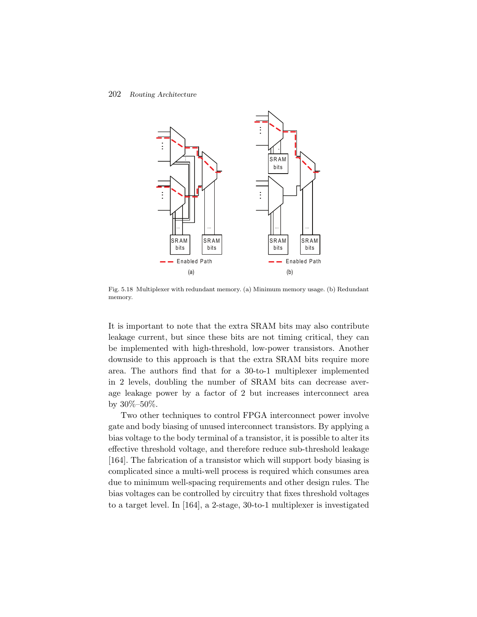

Fig. 5.18 Multiplexer with redundant memory. (a) Minimum memory usage. (b) Redundant memory.

It is important to note that the extra SRAM bits may also contribute leakage current, but since these bits are not timing critical, they can be implemented with high-threshold, low-power transistors. Another downside to this approach is that the extra SRAM bits require more area. The authors find that for a 30-to-1 multiplexer implemented in 2 levels, doubling the number of SRAM bits can decrease average leakage power by a factor of 2 but increases interconnect area by  $30\% - 50\%$ .

Two other techniques to control FPGA interconnect power involve gate and body biasing of unused interconnect transistors. By applying a bias voltage to the body terminal of a transistor, it is possible to alter its effective threshold voltage, and therefore reduce sub-threshold leakage [164]. The fabrication of a transistor which will support body biasing is complicated since a multi-well process is required which consumes area due to minimum well-spacing requirements and other design rules. The bias voltages can be controlled by circuitry that fixes threshold voltages to a target level. In [164], a 2-stage, 30-to-1 multiplexer is investigated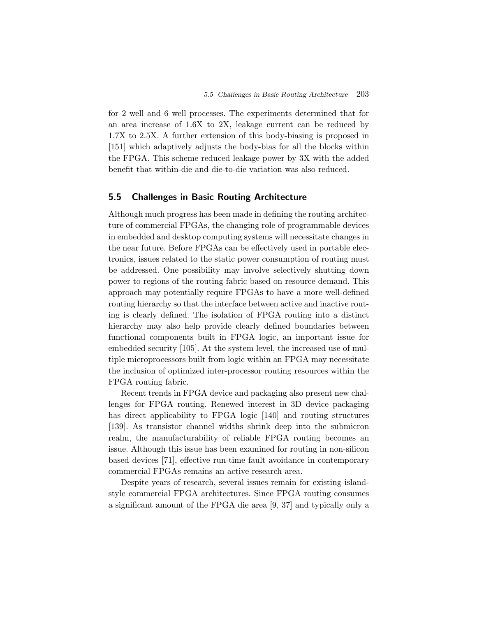for 2 well and 6 well processes. The experiments determined that for an area increase of 1.6X to 2X, leakage current can be reduced by 1.7X to 2.5X. A further extension of this body-biasing is proposed in [151] which adaptively adjusts the body-bias for all the blocks within the FPGA. This scheme reduced leakage power by 3X with the added benefit that within-die and die-to-die variation was also reduced.

# **5.5 Challenges in Basic Routing Architecture**

Although much progress has been made in defining the routing architecture of commercial FPGAs, the changing role of programmable devices in embedded and desktop computing systems will necessitate changes in the near future. Before FPGAs can be effectively used in portable electronics, issues related to the static power consumption of routing must be addressed. One possibility may involve selectively shutting down power to regions of the routing fabric based on resource demand. This approach may potentially require FPGAs to have a more well-defined routing hierarchy so that the interface between active and inactive routing is clearly defined. The isolation of FPGA routing into a distinct hierarchy may also help provide clearly defined boundaries between functional components built in FPGA logic, an important issue for embedded security [105]. At the system level, the increased use of multiple microprocessors built from logic within an FPGA may necessitate the inclusion of optimized inter-processor routing resources within the FPGA routing fabric.

Recent trends in FPGA device and packaging also present new challenges for FPGA routing. Renewed interest in 3D device packaging has direct applicability to FPGA logic [140] and routing structures [139]. As transistor channel widths shrink deep into the submicron realm, the manufacturability of reliable FPGA routing becomes an issue. Although this issue has been examined for routing in non-silicon based devices [71], effective run-time fault avoidance in contemporary commercial FPGAs remains an active research area.

Despite years of research, several issues remain for existing islandstyle commercial FPGA architectures. Since FPGA routing consumes a significant amount of the FPGA die area [9, 37] and typically only a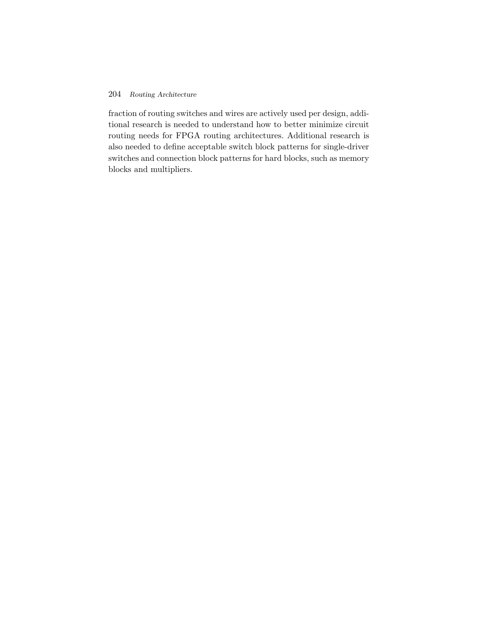fraction of routing switches and wires are actively used per design, additional research is needed to understand how to better minimize circuit routing needs for FPGA routing architectures. Additional research is also needed to define acceptable switch block patterns for single-driver switches and connection block patterns for hard blocks, such as memory blocks and multipliers.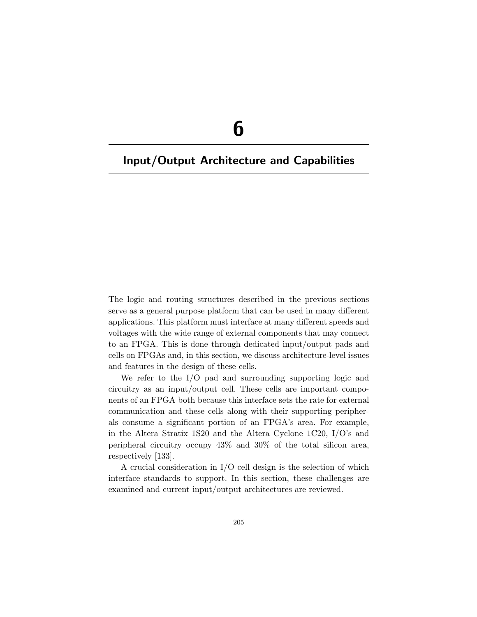# **6**

# **Input/Output Architecture and Capabilities**

The logic and routing structures described in the previous sections serve as a general purpose platform that can be used in many different applications. This platform must interface at many different speeds and voltages with the wide range of external components that may connect to an FPGA. This is done through dedicated input/output pads and cells on FPGAs and, in this section, we discuss architecture-level issues and features in the design of these cells.

We refer to the I/O pad and surrounding supporting logic and circuitry as an input/output cell. These cells are important components of an FPGA both because this interface sets the rate for external communication and these cells along with their supporting peripherals consume a significant portion of an FPGA's area. For example, in the Altera Stratix 1S20 and the Altera Cyclone 1C20, I/O's and peripheral circuitry occupy 43% and 30% of the total silicon area, respectively [133].

A crucial consideration in I/O cell design is the selection of which interface standards to support. In this section, these challenges are examined and current input/output architectures are reviewed.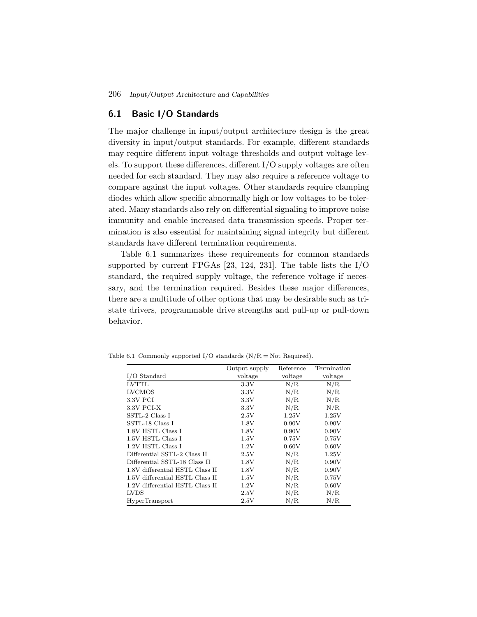# **6.1 Basic I/O Standards**

The major challenge in input/output architecture design is the great diversity in input/output standards. For example, different standards may require different input voltage thresholds and output voltage levels. To support these differences, different I/O supply voltages are often needed for each standard. They may also require a reference voltage to compare against the input voltages. Other standards require clamping diodes which allow specific abnormally high or low voltages to be tolerated. Many standards also rely on differential signaling to improve noise immunity and enable increased data transmission speeds. Proper termination is also essential for maintaining signal integrity but different standards have different termination requirements.

Table 6.1 summarizes these requirements for common standards supported by current FPGAs [23, 124, 231]. The table lists the I/O standard, the required supply voltage, the reference voltage if necessary, and the termination required. Besides these major differences, there are a multitude of other options that may be desirable such as tristate drivers, programmable drive strengths and pull-up or pull-down behavior.

|                                 | Output supply | Reference | Termination |
|---------------------------------|---------------|-----------|-------------|
| $I/O$ Standard                  | voltage       | voltage   | voltage     |
| <b>LVTTL</b>                    | 3.3V          | N/R       | N/R         |
| <b>LVCMOS</b>                   | 3.3V          | N/R       | N/R         |
| 3.3V PCI                        | 3.3V          | N/R       | N/R         |
| 3.3V PCI-X                      | 3.3V          | N/R       | N/R         |
| SSTL-2 Class I                  | 2.5V          | 1.25V     | 1.25V       |
| SSTL-18 Class I                 | 1.8V          | 0.90V     | 0.90V       |
| 1.8V HSTL Class I               | 1.8V          | 0.90V     | 0.90V       |
| 1.5V HSTL Class I               | 1.5V          | 0.75V     | 0.75V       |
| 1.2V HSTL Class I               | 1.2V          | 0.60V     | 0.60V       |
| Differential SSTL-2 Class II    | 2.5V          | N/R       | 1.25V       |
| Differential SSTL-18 Class II   | 1.8V          | N/R       | 0.90V       |
| 1.8V differential HSTL Class II | 1.8V          | N/R       | 0.90V       |
| 1.5V differential HSTL Class II | 1.5V          | N/R       | 0.75V       |
| 1.2V differential HSTL Class II | 1.2V          | N/R       | 0.60V       |
| <b>LVDS</b>                     | 2.5V          | N/R       | N/R         |
| <b>HyperTransport</b>           | 2.5V          | N/R       | N/R         |

Table 6.1 Commonly supported I/O standards  $(N/R = Not Required)$ .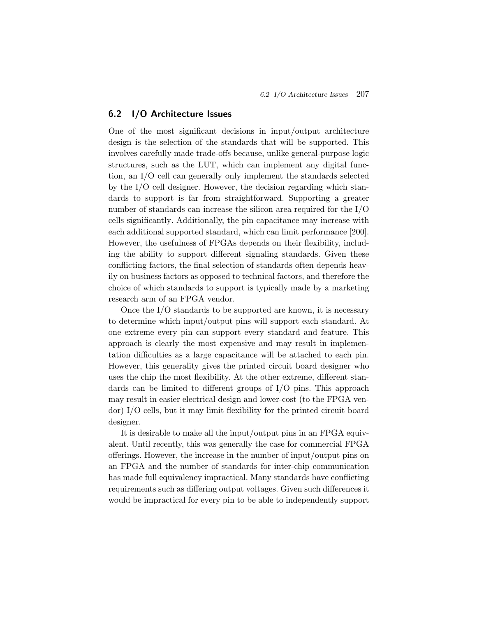## **6.2 I/O Architecture Issues**

One of the most significant decisions in input/output architecture design is the selection of the standards that will be supported. This involves carefully made trade-offs because, unlike general-purpose logic structures, such as the LUT, which can implement any digital function, an I/O cell can generally only implement the standards selected by the I/O cell designer. However, the decision regarding which standards to support is far from straightforward. Supporting a greater number of standards can increase the silicon area required for the I/O cells significantly. Additionally, the pin capacitance may increase with each additional supported standard, which can limit performance [200]. However, the usefulness of FPGAs depends on their flexibility, including the ability to support different signaling standards. Given these conflicting factors, the final selection of standards often depends heavily on business factors as opposed to technical factors, and therefore the choice of which standards to support is typically made by a marketing research arm of an FPGA vendor.

Once the I/O standards to be supported are known, it is necessary to determine which input/output pins will support each standard. At one extreme every pin can support every standard and feature. This approach is clearly the most expensive and may result in implementation difficulties as a large capacitance will be attached to each pin. However, this generality gives the printed circuit board designer who uses the chip the most flexibility. At the other extreme, different standards can be limited to different groups of I/O pins. This approach may result in easier electrical design and lower-cost (to the FPGA vendor) I/O cells, but it may limit flexibility for the printed circuit board designer.

It is desirable to make all the input/output pins in an FPGA equivalent. Until recently, this was generally the case for commercial FPGA offerings. However, the increase in the number of input/output pins on an FPGA and the number of standards for inter-chip communication has made full equivalency impractical. Many standards have conflicting requirements such as differing output voltages. Given such differences it would be impractical for every pin to be able to independently support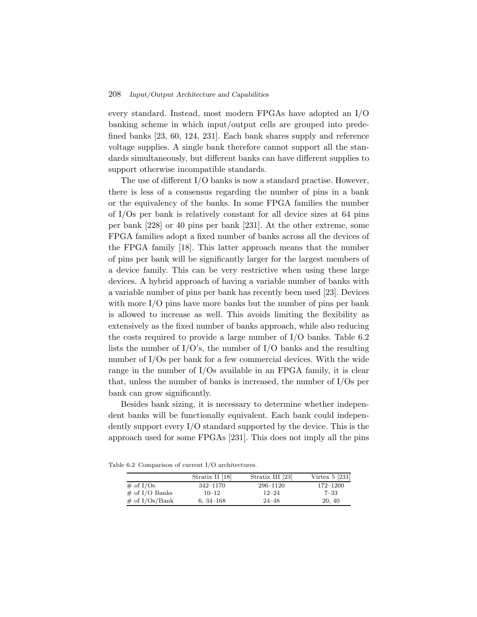#### 208 *Input/Output Architecture and Capabilities*

every standard. Instead, most modern FPGAs have adopted an I/O banking scheme in which input/output cells are grouped into predefined banks [23, 60, 124, 231]. Each bank shares supply and reference voltage supplies. A single bank therefore cannot support all the standards simultaneously, but different banks can have different supplies to support otherwise incompatible standards.

The use of different I/O banks is now a standard practise. However, there is less of a consensus regarding the number of pins in a bank or the equivalency of the banks. In some FPGA families the number of I/Os per bank is relatively constant for all device sizes at 64 pins per bank [228] or 40 pins per bank [231]. At the other extreme, some FPGA families adopt a fixed number of banks across all the devices of the FPGA family [18]. This latter approach means that the number of pins per bank will be significantly larger for the largest members of a device family. This can be very restrictive when using these large devices. A hybrid approach of having a variable number of banks with a variable number of pins per bank has recently been used [23]. Devices with more I/O pins have more banks but the number of pins per bank is allowed to increase as well. This avoids limiting the flexibility as extensively as the fixed number of banks approach, while also reducing the costs required to provide a large number of I/O banks. Table 6.2 lists the number of I/O's, the number of I/O banks and the resulting number of I/Os per bank for a few commercial devices. With the wide range in the number of I/Os available in an FPGA family, it is clear that, unless the number of banks is increased, the number of I/Os per bank can grow significantly.

Besides bank sizing, it is necessary to determine whether independent banks will be functionally equivalent. Each bank could independently support every I/O standard supported by the device. This is the approach used for some FPGAs [231]. This does not imply all the pins

Table 6.2 Comparison of current I/O architectures.

|                   | Stratix II [18] | Stratix III [23] | Virtex $5$ [231] |
|-------------------|-----------------|------------------|------------------|
| $\#$ of I/Os      | 342–1170        | 296-1120         | 172–1200         |
| $\#$ of I/O Banks | $10 - 12$       | $12 - 24$        | $7 - 33$         |
| $\#$ of I/Os/Bank | $6, 34-168$     | $24 - 48$        | 20, 40           |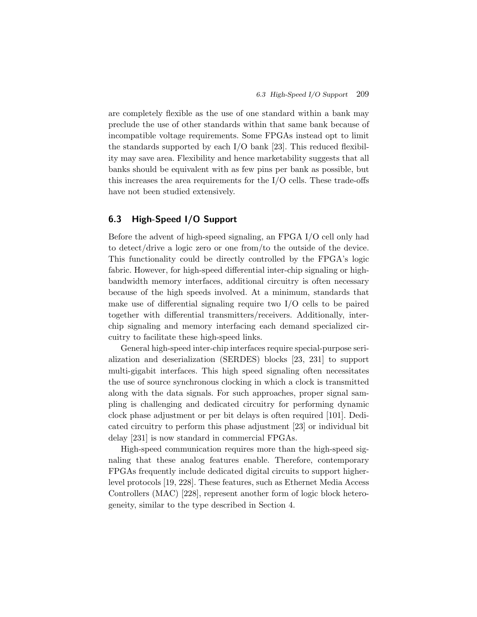are completely flexible as the use of one standard within a bank may preclude the use of other standards within that same bank because of incompatible voltage requirements. Some FPGAs instead opt to limit the standards supported by each I/O bank [23]. This reduced flexibility may save area. Flexibility and hence marketability suggests that all banks should be equivalent with as few pins per bank as possible, but this increases the area requirements for the I/O cells. These trade-offs have not been studied extensively.

# **6.3 High-Speed I/O Support**

Before the advent of high-speed signaling, an FPGA I/O cell only had to detect/drive a logic zero or one from/to the outside of the device. This functionality could be directly controlled by the FPGA's logic fabric. However, for high-speed differential inter-chip signaling or highbandwidth memory interfaces, additional circuitry is often necessary because of the high speeds involved. At a minimum, standards that make use of differential signaling require two I/O cells to be paired together with differential transmitters/receivers. Additionally, interchip signaling and memory interfacing each demand specialized circuitry to facilitate these high-speed links.

General high-speed inter-chip interfaces require special-purpose serialization and deserialization (SERDES) blocks [23, 231] to support multi-gigabit interfaces. This high speed signaling often necessitates the use of source synchronous clocking in which a clock is transmitted along with the data signals. For such approaches, proper signal sampling is challenging and dedicated circuitry for performing dynamic clock phase adjustment or per bit delays is often required [101]. Dedicated circuitry to perform this phase adjustment [23] or individual bit delay [231] is now standard in commercial FPGAs.

High-speed communication requires more than the high-speed signaling that these analog features enable. Therefore, contemporary FPGAs frequently include dedicated digital circuits to support higherlevel protocols [19, 228]. These features, such as Ethernet Media Access Controllers (MAC) [228], represent another form of logic block heterogeneity, similar to the type described in Section 4.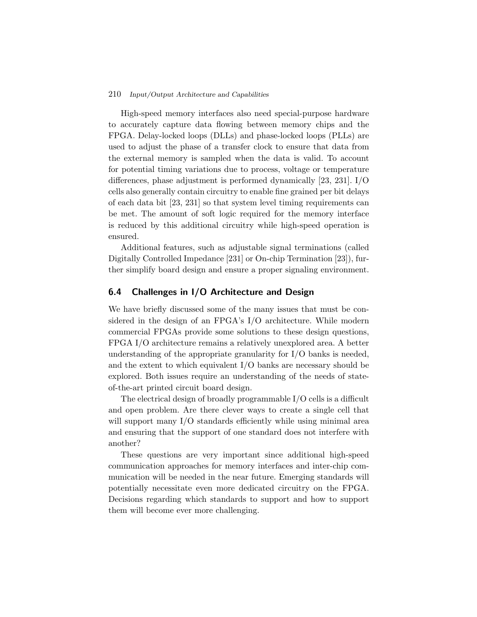#### 210 *Input/Output Architecture and Capabilities*

High-speed memory interfaces also need special-purpose hardware to accurately capture data flowing between memory chips and the FPGA. Delay-locked loops (DLLs) and phase-locked loops (PLLs) are used to adjust the phase of a transfer clock to ensure that data from the external memory is sampled when the data is valid. To account for potential timing variations due to process, voltage or temperature differences, phase adjustment is performed dynamically [23, 231]. I/O cells also generally contain circuitry to enable fine grained per bit delays of each data bit [23, 231] so that system level timing requirements can be met. The amount of soft logic required for the memory interface is reduced by this additional circuitry while high-speed operation is ensured.

Additional features, such as adjustable signal terminations (called Digitally Controlled Impedance [231] or On-chip Termination [23]), further simplify board design and ensure a proper signaling environment.

## **6.4 Challenges in I/O Architecture and Design**

We have briefly discussed some of the many issues that must be considered in the design of an FPGA's I/O architecture. While modern commercial FPGAs provide some solutions to these design questions, FPGA I/O architecture remains a relatively unexplored area. A better understanding of the appropriate granularity for I/O banks is needed, and the extent to which equivalent I/O banks are necessary should be explored. Both issues require an understanding of the needs of stateof-the-art printed circuit board design.

The electrical design of broadly programmable I/O cells is a difficult and open problem. Are there clever ways to create a single cell that will support many I/O standards efficiently while using minimal area and ensuring that the support of one standard does not interfere with another?

These questions are very important since additional high-speed communication approaches for memory interfaces and inter-chip communication will be needed in the near future. Emerging standards will potentially necessitate even more dedicated circuitry on the FPGA. Decisions regarding which standards to support and how to support them will become ever more challenging.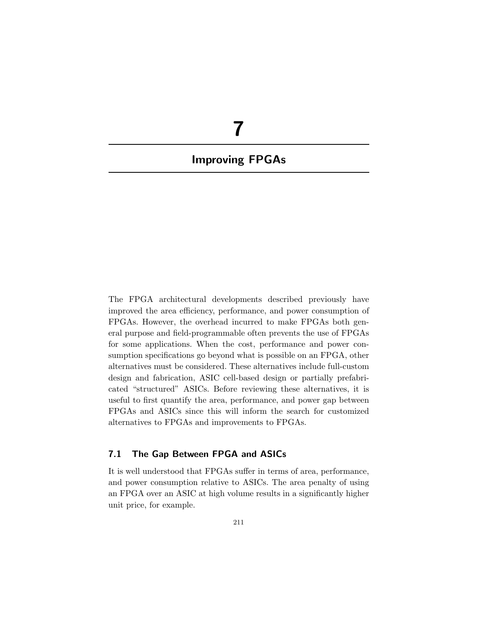# **7**

# **Improving FPGAs**

The FPGA architectural developments described previously have improved the area efficiency, performance, and power consumption of FPGAs. However, the overhead incurred to make FPGAs both general purpose and field-programmable often prevents the use of FPGAs for some applications. When the cost, performance and power consumption specifications go beyond what is possible on an FPGA, other alternatives must be considered. These alternatives include full-custom design and fabrication, ASIC cell-based design or partially prefabricated "structured" ASICs. Before reviewing these alternatives, it is useful to first quantify the area, performance, and power gap between FPGAs and ASICs since this will inform the search for customized alternatives to FPGAs and improvements to FPGAs.

# **7.1 The Gap Between FPGA and ASICs**

It is well understood that FPGAs suffer in terms of area, performance, and power consumption relative to ASICs. The area penalty of using an FPGA over an ASIC at high volume results in a significantly higher unit price, for example.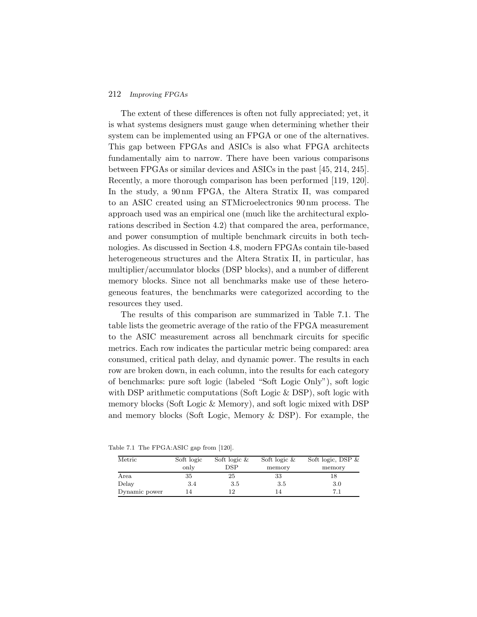#### 212 *Improving FPGAs*

The extent of these differences is often not fully appreciated; yet, it is what systems designers must gauge when determining whether their system can be implemented using an FPGA or one of the alternatives. This gap between FPGAs and ASICs is also what FPGA architects fundamentally aim to narrow. There have been various comparisons between FPGAs or similar devices and ASICs in the past [45, 214, 245]. Recently, a more thorough comparison has been performed [119, 120]. In the study, a 90 nm FPGA, the Altera Stratix II, was compared to an ASIC created using an STMicroelectronics 90 nm process. The approach used was an empirical one (much like the architectural explorations described in Section 4.2) that compared the area, performance, and power consumption of multiple benchmark circuits in both technologies. As discussed in Section 4.8, modern FPGAs contain tile-based heterogeneous structures and the Altera Stratix II, in particular, has multiplier/accumulator blocks (DSP blocks), and a number of different memory blocks. Since not all benchmarks make use of these heterogeneous features, the benchmarks were categorized according to the resources they used.

The results of this comparison are summarized in Table 7.1. The table lists the geometric average of the ratio of the FPGA measurement to the ASIC measurement across all benchmark circuits for specific metrics. Each row indicates the particular metric being compared: area consumed, critical path delay, and dynamic power. The results in each row are broken down, in each column, into the results for each category of benchmarks: pure soft logic (labeled "Soft Logic Only"), soft logic with DSP arithmetic computations (Soft Logic & DSP), soft logic with memory blocks (Soft Logic & Memory), and soft logic mixed with DSP and memory blocks (Soft Logic, Memory & DSP). For example, the

|  |  | Table 7.1 The FPGA:ASIC gap from [120]. |  |  |  |
|--|--|-----------------------------------------|--|--|--|
|--|--|-----------------------------------------|--|--|--|

| Metric        | Soft logic | Soft logic $\&$ | Soft logic $\&$ | Soft logic, DSP $\&$ |
|---------------|------------|-----------------|-----------------|----------------------|
|               | only       | $_{\rm DSP}$    | memory          | memory               |
| Area          | 35         | 25              | 33              | 18                   |
| Delay         | 3.4        | 3.5             | 3.5             | 3.0                  |
| Dynamic power | 14         | 12              | 14              | 7.1                  |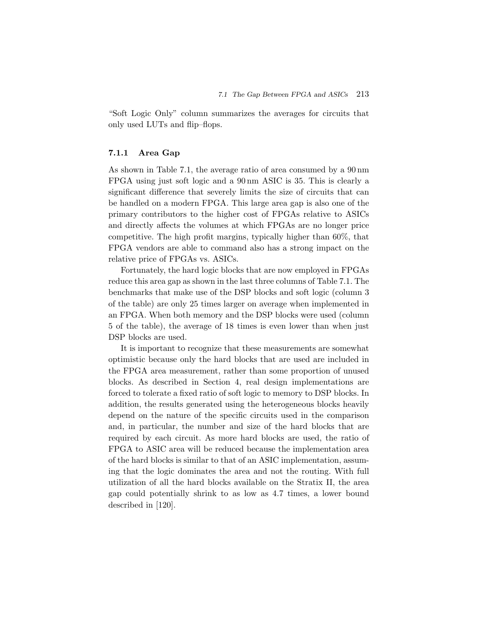"Soft Logic Only" column summarizes the averages for circuits that only used LUTs and flip–flops.

#### **7.1.1 Area Gap**

As shown in Table 7.1, the average ratio of area consumed by a 90 nm FPGA using just soft logic and a 90 nm ASIC is 35. This is clearly a significant difference that severely limits the size of circuits that can be handled on a modern FPGA. This large area gap is also one of the primary contributors to the higher cost of FPGAs relative to ASICs and directly affects the volumes at which FPGAs are no longer price competitive. The high profit margins, typically higher than 60%, that FPGA vendors are able to command also has a strong impact on the relative price of FPGAs vs. ASICs.

Fortunately, the hard logic blocks that are now employed in FPGAs reduce this area gap as shown in the last three columns of Table 7.1. The benchmarks that make use of the DSP blocks and soft logic (column 3 of the table) are only 25 times larger on average when implemented in an FPGA. When both memory and the DSP blocks were used (column 5 of the table), the average of 18 times is even lower than when just DSP blocks are used.

It is important to recognize that these measurements are somewhat optimistic because only the hard blocks that are used are included in the FPGA area measurement, rather than some proportion of unused blocks. As described in Section 4, real design implementations are forced to tolerate a fixed ratio of soft logic to memory to DSP blocks. In addition, the results generated using the heterogeneous blocks heavily depend on the nature of the specific circuits used in the comparison and, in particular, the number and size of the hard blocks that are required by each circuit. As more hard blocks are used, the ratio of FPGA to ASIC area will be reduced because the implementation area of the hard blocks is similar to that of an ASIC implementation, assuming that the logic dominates the area and not the routing. With full utilization of all the hard blocks available on the Stratix II, the area gap could potentially shrink to as low as 4.7 times, a lower bound described in [120].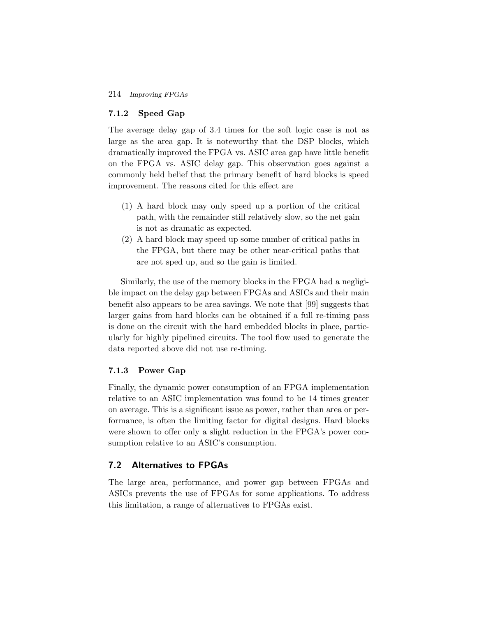#### 214 *Improving FPGAs*

# **7.1.2 Speed Gap**

The average delay gap of 3.4 times for the soft logic case is not as large as the area gap. It is noteworthy that the DSP blocks, which dramatically improved the FPGA vs. ASIC area gap have little benefit on the FPGA vs. ASIC delay gap. This observation goes against a commonly held belief that the primary benefit of hard blocks is speed improvement. The reasons cited for this effect are

- (1) A hard block may only speed up a portion of the critical path, with the remainder still relatively slow, so the net gain is not as dramatic as expected.
- (2) A hard block may speed up some number of critical paths in the FPGA, but there may be other near-critical paths that are not sped up, and so the gain is limited.

Similarly, the use of the memory blocks in the FPGA had a negligible impact on the delay gap between FPGAs and ASICs and their main benefit also appears to be area savings. We note that [99] suggests that larger gains from hard blocks can be obtained if a full re-timing pass is done on the circuit with the hard embedded blocks in place, particularly for highly pipelined circuits. The tool flow used to generate the data reported above did not use re-timing.

# **7.1.3 Power Gap**

Finally, the dynamic power consumption of an FPGA implementation relative to an ASIC implementation was found to be 14 times greater on average. This is a significant issue as power, rather than area or performance, is often the limiting factor for digital designs. Hard blocks were shown to offer only a slight reduction in the FPGA's power consumption relative to an ASIC's consumption.

# **7.2 Alternatives to FPGAs**

The large area, performance, and power gap between FPGAs and ASICs prevents the use of FPGAs for some applications. To address this limitation, a range of alternatives to FPGAs exist.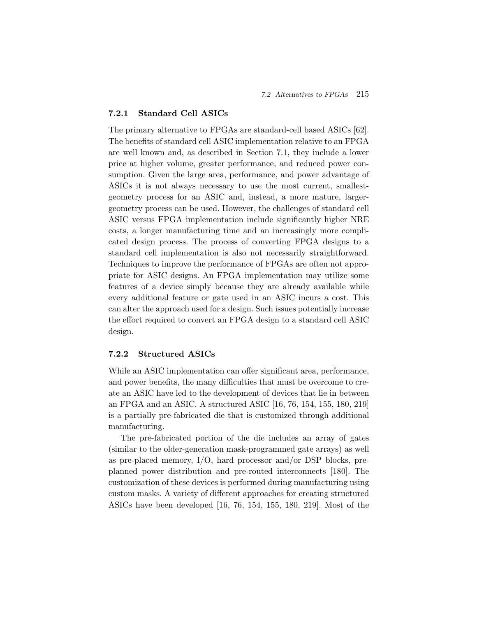# **7.2.1 Standard Cell ASICs**

The primary alternative to FPGAs are standard-cell based ASICs [62]. The benefits of standard cell ASIC implementation relative to an FPGA are well known and, as described in Section 7.1, they include a lower price at higher volume, greater performance, and reduced power consumption. Given the large area, performance, and power advantage of ASICs it is not always necessary to use the most current, smallestgeometry process for an ASIC and, instead, a more mature, largergeometry process can be used. However, the challenges of standard cell ASIC versus FPGA implementation include significantly higher NRE costs, a longer manufacturing time and an increasingly more complicated design process. The process of converting FPGA designs to a standard cell implementation is also not necessarily straightforward. Techniques to improve the performance of FPGAs are often not appropriate for ASIC designs. An FPGA implementation may utilize some features of a device simply because they are already available while every additional feature or gate used in an ASIC incurs a cost. This can alter the approach used for a design. Such issues potentially increase the effort required to convert an FPGA design to a standard cell ASIC design.

#### **7.2.2 Structured ASICs**

While an ASIC implementation can offer significant area, performance, and power benefits, the many difficulties that must be overcome to create an ASIC have led to the development of devices that lie in between an FPGA and an ASIC. A structured ASIC [16, 76, 154, 155, 180, 219] is a partially pre-fabricated die that is customized through additional manufacturing.

The pre-fabricated portion of the die includes an array of gates (similar to the older-generation mask-programmed gate arrays) as well as pre-placed memory, I/O, hard processor and/or DSP blocks, preplanned power distribution and pre-routed interconnects [180]. The customization of these devices is performed during manufacturing using custom masks. A variety of different approaches for creating structured ASICs have been developed [16, 76, 154, 155, 180, 219]. Most of the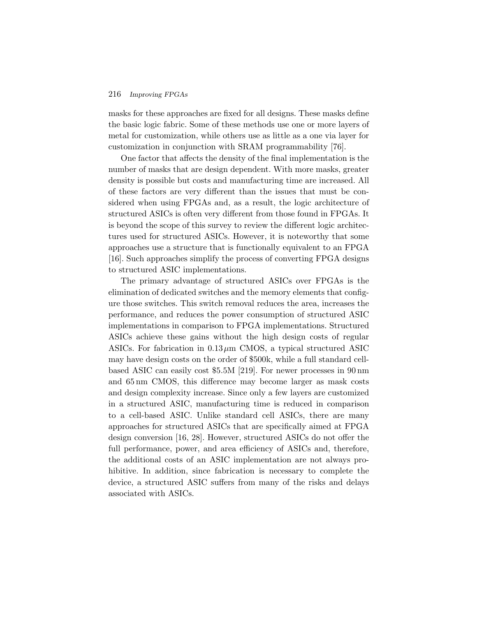#### 216 *Improving FPGAs*

masks for these approaches are fixed for all designs. These masks define the basic logic fabric. Some of these methods use one or more layers of metal for customization, while others use as little as a one via layer for customization in conjunction with SRAM programmability [76].

One factor that affects the density of the final implementation is the number of masks that are design dependent. With more masks, greater density is possible but costs and manufacturing time are increased. All of these factors are very different than the issues that must be considered when using FPGAs and, as a result, the logic architecture of structured ASICs is often very different from those found in FPGAs. It is beyond the scope of this survey to review the different logic architectures used for structured ASICs. However, it is noteworthy that some approaches use a structure that is functionally equivalent to an FPGA [16]. Such approaches simplify the process of converting FPGA designs to structured ASIC implementations.

The primary advantage of structured ASICs over FPGAs is the elimination of dedicated switches and the memory elements that configure those switches. This switch removal reduces the area, increases the performance, and reduces the power consumption of structured ASIC implementations in comparison to FPGA implementations. Structured ASICs achieve these gains without the high design costs of regular ASICs. For fabrication in  $0.13 \mu m$  CMOS, a typical structured ASIC may have design costs on the order of \$500k, while a full standard cellbased ASIC can easily cost \$5.5M [219]. For newer processes in 90 nm and 65 nm CMOS, this difference may become larger as mask costs and design complexity increase. Since only a few layers are customized in a structured ASIC, manufacturing time is reduced in comparison to a cell-based ASIC. Unlike standard cell ASICs, there are many approaches for structured ASICs that are specifically aimed at FPGA design conversion [16, 28]. However, structured ASICs do not offer the full performance, power, and area efficiency of ASICs and, therefore, the additional costs of an ASIC implementation are not always prohibitive. In addition, since fabrication is necessary to complete the device, a structured ASIC suffers from many of the risks and delays associated with ASICs.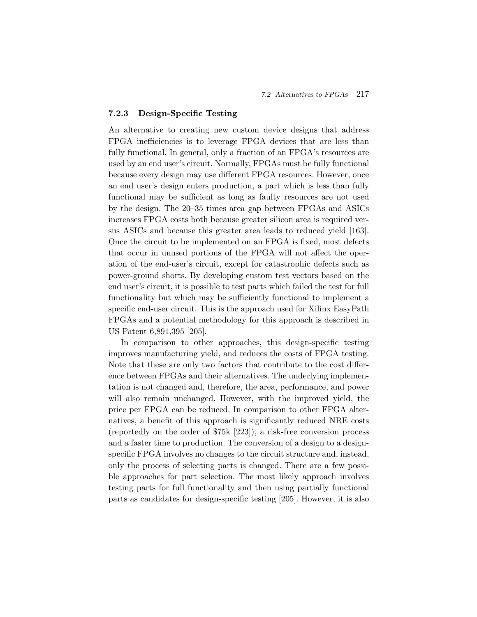#### **7.2.3 Design-Specific Testing**

An alternative to creating new custom device designs that address FPGA inefficiencies is to leverage FPGA devices that are less than fully functional. In general, only a fraction of an FPGA's resources are used by an end user's circuit. Normally, FPGAs must be fully functional because every design may use different FPGA resources. However, once an end user's design enters production, a part which is less than fully functional may be sufficient as long as faulty resources are not used by the design. The 20–35 times area gap between FPGAs and ASICs increases FPGA costs both because greater silicon area is required versus ASICs and because this greater area leads to reduced yield [163]. Once the circuit to be implemented on an FPGA is fixed, most defects that occur in unused portions of the FPGA will not affect the operation of the end-user's circuit, except for catastrophic defects such as power-ground shorts. By developing custom test vectors based on the end user's circuit, it is possible to test parts which failed the test for full functionality but which may be sufficiently functional to implement a specific end-user circuit. This is the approach used for Xilinx EasyPath FPGAs and a potential methodology for this approach is described in US Patent 6,891,395 [205].

In comparison to other approaches, this design-specific testing improves manufacturing yield, and reduces the costs of FPGA testing. Note that these are only two factors that contribute to the cost difference between FPGAs and their alternatives. The underlying implementation is not changed and, therefore, the area, performance, and power will also remain unchanged. However, with the improved yield, the price per FPGA can be reduced. In comparison to other FPGA alternatives, a benefit of this approach is significantly reduced NRE costs (reportedly on the order of \$75k [223]), a risk-free conversion process and a faster time to production. The conversion of a design to a designspecific FPGA involves no changes to the circuit structure and, instead, only the process of selecting parts is changed. There are a few possible approaches for part selection. The most likely approach involves testing parts for full functionality and then using partially functional parts as candidates for design-specific testing [205]. However, it is also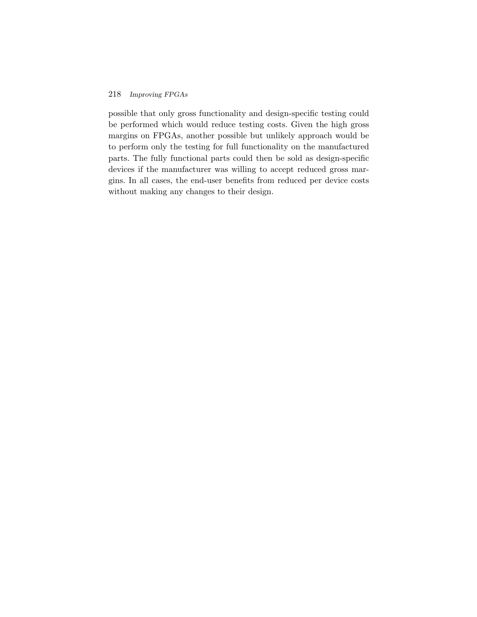## 218 *Improving FPGAs*

possible that only gross functionality and design-specific testing could be performed which would reduce testing costs. Given the high gross margins on FPGAs, another possible but unlikely approach would be to perform only the testing for full functionality on the manufactured parts. The fully functional parts could then be sold as design-specific devices if the manufacturer was willing to accept reduced gross margins. In all cases, the end-user benefits from reduced per device costs without making any changes to their design.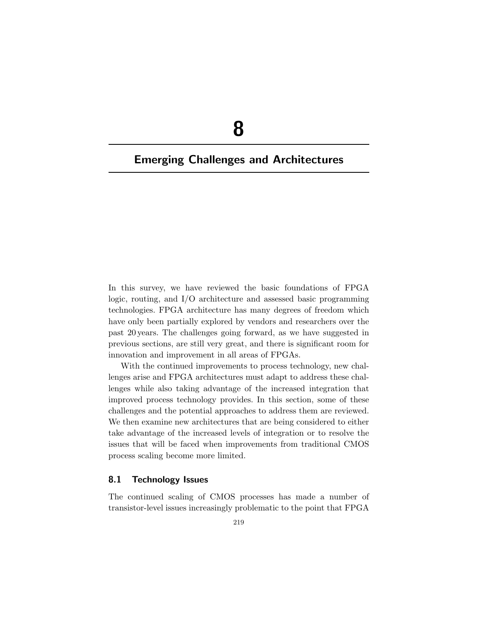# **8**

# **Emerging Challenges and Architectures**

In this survey, we have reviewed the basic foundations of FPGA logic, routing, and I/O architecture and assessed basic programming technologies. FPGA architecture has many degrees of freedom which have only been partially explored by vendors and researchers over the past 20 years. The challenges going forward, as we have suggested in previous sections, are still very great, and there is significant room for innovation and improvement in all areas of FPGAs.

With the continued improvements to process technology, new challenges arise and FPGA architectures must adapt to address these challenges while also taking advantage of the increased integration that improved process technology provides. In this section, some of these challenges and the potential approaches to address them are reviewed. We then examine new architectures that are being considered to either take advantage of the increased levels of integration or to resolve the issues that will be faced when improvements from traditional CMOS process scaling become more limited.

# **8.1 Technology Issues**

The continued scaling of CMOS processes has made a number of transistor-level issues increasingly problematic to the point that FPGA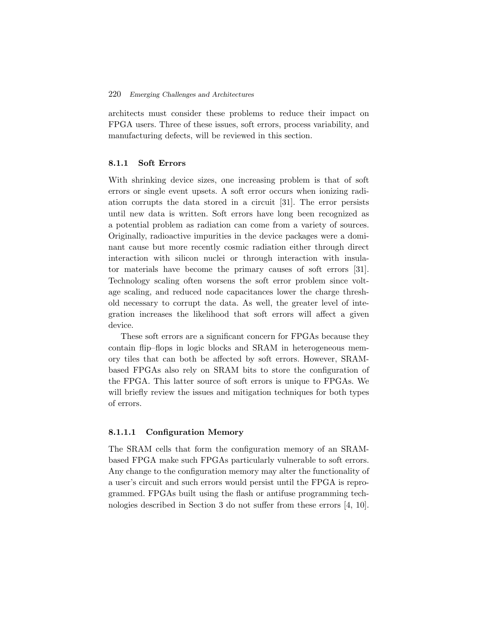architects must consider these problems to reduce their impact on FPGA users. Three of these issues, soft errors, process variability, and manufacturing defects, will be reviewed in this section.

## **8.1.1 Soft Errors**

With shrinking device sizes, one increasing problem is that of soft errors or single event upsets. A soft error occurs when ionizing radiation corrupts the data stored in a circuit [31]. The error persists until new data is written. Soft errors have long been recognized as a potential problem as radiation can come from a variety of sources. Originally, radioactive impurities in the device packages were a dominant cause but more recently cosmic radiation either through direct interaction with silicon nuclei or through interaction with insulator materials have become the primary causes of soft errors [31]. Technology scaling often worsens the soft error problem since voltage scaling, and reduced node capacitances lower the charge threshold necessary to corrupt the data. As well, the greater level of integration increases the likelihood that soft errors will affect a given device.

These soft errors are a significant concern for FPGAs because they contain flip–flops in logic blocks and SRAM in heterogeneous memory tiles that can both be affected by soft errors. However, SRAMbased FPGAs also rely on SRAM bits to store the configuration of the FPGA. This latter source of soft errors is unique to FPGAs. We will briefly review the issues and mitigation techniques for both types of errors.

#### **8.1.1.1 Configuration Memory**

The SRAM cells that form the configuration memory of an SRAMbased FPGA make such FPGAs particularly vulnerable to soft errors. Any change to the configuration memory may alter the functionality of a user's circuit and such errors would persist until the FPGA is reprogrammed. FPGAs built using the flash or antifuse programming technologies described in Section 3 do not suffer from these errors [4, 10].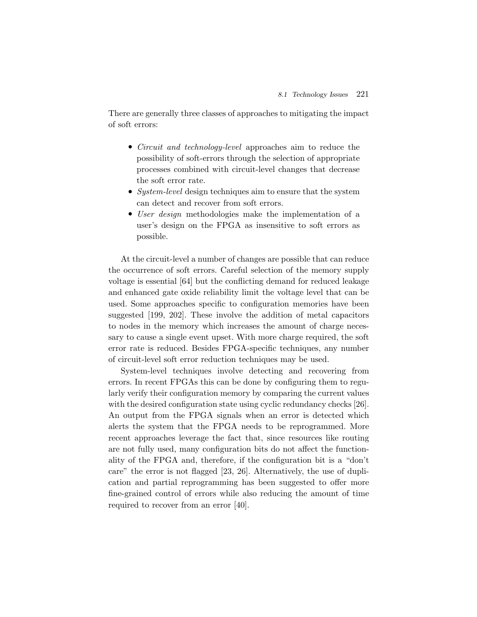There are generally three classes of approaches to mitigating the impact of soft errors:

- *Circuit and technology-level* approaches aim to reduce the possibility of soft-errors through the selection of appropriate processes combined with circuit-level changes that decrease the soft error rate.
- *System-level* design techniques aim to ensure that the system can detect and recover from soft errors.
- *User design* methodologies make the implementation of a user's design on the FPGA as insensitive to soft errors as possible.

At the circuit-level a number of changes are possible that can reduce the occurrence of soft errors. Careful selection of the memory supply voltage is essential [64] but the conflicting demand for reduced leakage and enhanced gate oxide reliability limit the voltage level that can be used. Some approaches specific to configuration memories have been suggested [199, 202]. These involve the addition of metal capacitors to nodes in the memory which increases the amount of charge necessary to cause a single event upset. With more charge required, the soft error rate is reduced. Besides FPGA-specific techniques, any number of circuit-level soft error reduction techniques may be used.

System-level techniques involve detecting and recovering from errors. In recent FPGAs this can be done by configuring them to regularly verify their configuration memory by comparing the current values with the desired configuration state using cyclic redundancy checks [26]. An output from the FPGA signals when an error is detected which alerts the system that the FPGA needs to be reprogrammed. More recent approaches leverage the fact that, since resources like routing are not fully used, many configuration bits do not affect the functionality of the FPGA and, therefore, if the configuration bit is a "don't care" the error is not flagged [23, 26]. Alternatively, the use of duplication and partial reprogramming has been suggested to offer more fine-grained control of errors while also reducing the amount of time required to recover from an error [40].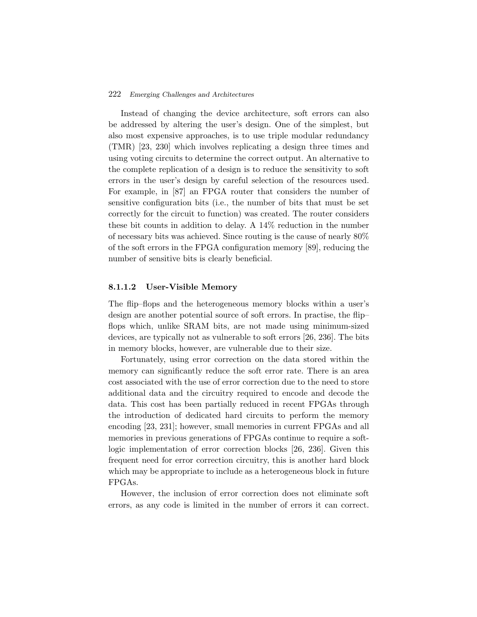Instead of changing the device architecture, soft errors can also be addressed by altering the user's design. One of the simplest, but also most expensive approaches, is to use triple modular redundancy (TMR) [23, 230] which involves replicating a design three times and using voting circuits to determine the correct output. An alternative to the complete replication of a design is to reduce the sensitivity to soft errors in the user's design by careful selection of the resources used. For example, in [87] an FPGA router that considers the number of sensitive configuration bits (i.e., the number of bits that must be set correctly for the circuit to function) was created. The router considers these bit counts in addition to delay. A 14% reduction in the number of necessary bits was achieved. Since routing is the cause of nearly 80% of the soft errors in the FPGA configuration memory [89], reducing the number of sensitive bits is clearly beneficial.

#### **8.1.1.2 User-Visible Memory**

The flip–flops and the heterogeneous memory blocks within a user's design are another potential source of soft errors. In practise, the flip– flops which, unlike SRAM bits, are not made using minimum-sized devices, are typically not as vulnerable to soft errors [26, 236]. The bits in memory blocks, however, are vulnerable due to their size.

Fortunately, using error correction on the data stored within the memory can significantly reduce the soft error rate. There is an area cost associated with the use of error correction due to the need to store additional data and the circuitry required to encode and decode the data. This cost has been partially reduced in recent FPGAs through the introduction of dedicated hard circuits to perform the memory encoding [23, 231]; however, small memories in current FPGAs and all memories in previous generations of FPGAs continue to require a softlogic implementation of error correction blocks [26, 236]. Given this frequent need for error correction circuitry, this is another hard block which may be appropriate to include as a heterogeneous block in future FPGAs.

However, the inclusion of error correction does not eliminate soft errors, as any code is limited in the number of errors it can correct.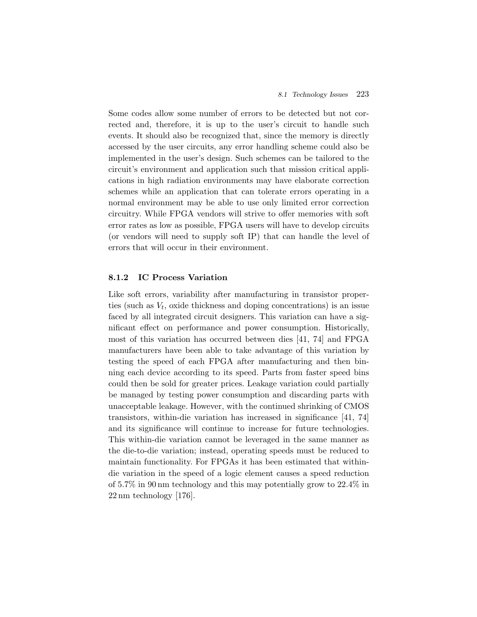Some codes allow some number of errors to be detected but not corrected and, therefore, it is up to the user's circuit to handle such events. It should also be recognized that, since the memory is directly accessed by the user circuits, any error handling scheme could also be implemented in the user's design. Such schemes can be tailored to the circuit's environment and application such that mission critical applications in high radiation environments may have elaborate correction schemes while an application that can tolerate errors operating in a normal environment may be able to use only limited error correction circuitry. While FPGA vendors will strive to offer memories with soft error rates as low as possible, FPGA users will have to develop circuits (or vendors will need to supply soft IP) that can handle the level of errors that will occur in their environment.

# **8.1.2 IC Process Variation**

Like soft errors, variability after manufacturing in transistor properties (such as  $V_t$ , oxide thickness and doping concentrations) is an issue faced by all integrated circuit designers. This variation can have a significant effect on performance and power consumption. Historically, most of this variation has occurred between dies [41, 74] and FPGA manufacturers have been able to take advantage of this variation by testing the speed of each FPGA after manufacturing and then binning each device according to its speed. Parts from faster speed bins could then be sold for greater prices. Leakage variation could partially be managed by testing power consumption and discarding parts with unacceptable leakage. However, with the continued shrinking of CMOS transistors, within-die variation has increased in significance [41, 74] and its significance will continue to increase for future technologies. This within-die variation cannot be leveraged in the same manner as the die-to-die variation; instead, operating speeds must be reduced to maintain functionality. For FPGAs it has been estimated that withindie variation in the speed of a logic element causes a speed reduction of 5.7% in 90 nm technology and this may potentially grow to 22.4% in 22 nm technology [176].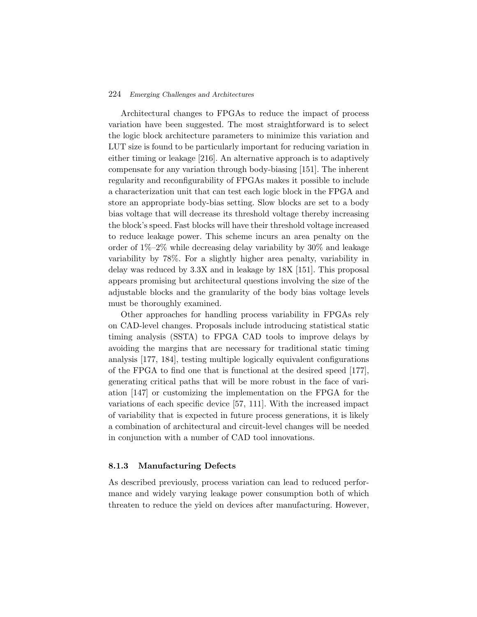Architectural changes to FPGAs to reduce the impact of process variation have been suggested. The most straightforward is to select the logic block architecture parameters to minimize this variation and LUT size is found to be particularly important for reducing variation in either timing or leakage [216]. An alternative approach is to adaptively compensate for any variation through body-biasing [151]. The inherent regularity and reconfigurability of FPGAs makes it possible to include a characterization unit that can test each logic block in the FPGA and store an appropriate body-bias setting. Slow blocks are set to a body bias voltage that will decrease its threshold voltage thereby increasing the block's speed. Fast blocks will have their threshold voltage increased to reduce leakage power. This scheme incurs an area penalty on the order of  $1\% - 2\%$  while decreasing delay variability by  $30\%$  and leakage variability by 78%. For a slightly higher area penalty, variability in delay was reduced by 3.3X and in leakage by 18X [151]. This proposal appears promising but architectural questions involving the size of the adjustable blocks and the granularity of the body bias voltage levels must be thoroughly examined.

Other approaches for handling process variability in FPGAs rely on CAD-level changes. Proposals include introducing statistical static timing analysis (SSTA) to FPGA CAD tools to improve delays by avoiding the margins that are necessary for traditional static timing analysis [177, 184], testing multiple logically equivalent configurations of the FPGA to find one that is functional at the desired speed [177], generating critical paths that will be more robust in the face of variation [147] or customizing the implementation on the FPGA for the variations of each specific device [57, 111]. With the increased impact of variability that is expected in future process generations, it is likely a combination of architectural and circuit-level changes will be needed in conjunction with a number of CAD tool innovations.

#### **8.1.3 Manufacturing Defects**

As described previously, process variation can lead to reduced performance and widely varying leakage power consumption both of which threaten to reduce the yield on devices after manufacturing. However,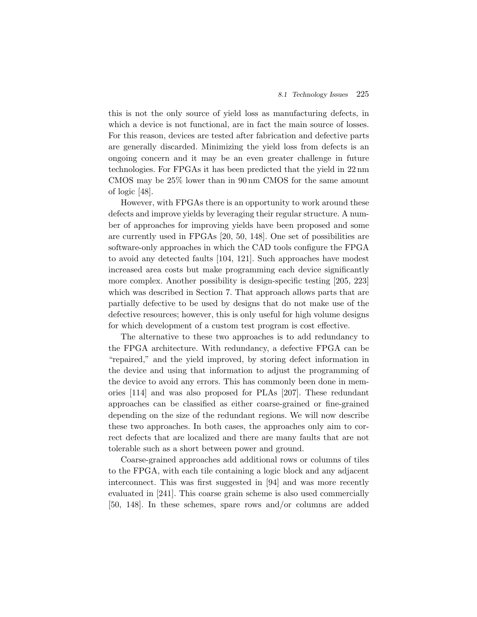this is not the only source of yield loss as manufacturing defects, in which a device is not functional, are in fact the main source of losses. For this reason, devices are tested after fabrication and defective parts are generally discarded. Minimizing the yield loss from defects is an ongoing concern and it may be an even greater challenge in future technologies. For FPGAs it has been predicted that the yield in 22 nm CMOS may be 25% lower than in 90 nm CMOS for the same amount of logic [48].

However, with FPGAs there is an opportunity to work around these defects and improve yields by leveraging their regular structure. A number of approaches for improving yields have been proposed and some are currently used in FPGAs [20, 50, 148]. One set of possibilities are software-only approaches in which the CAD tools configure the FPGA to avoid any detected faults [104, 121]. Such approaches have modest increased area costs but make programming each device significantly more complex. Another possibility is design-specific testing [205, 223] which was described in Section 7. That approach allows parts that are partially defective to be used by designs that do not make use of the defective resources; however, this is only useful for high volume designs for which development of a custom test program is cost effective.

The alternative to these two approaches is to add redundancy to the FPGA architecture. With redundancy, a defective FPGA can be "repaired," and the yield improved, by storing defect information in the device and using that information to adjust the programming of the device to avoid any errors. This has commonly been done in memories [114] and was also proposed for PLAs [207]. These redundant approaches can be classified as either coarse-grained or fine-grained depending on the size of the redundant regions. We will now describe these two approaches. In both cases, the approaches only aim to correct defects that are localized and there are many faults that are not tolerable such as a short between power and ground.

Coarse-grained approaches add additional rows or columns of tiles to the FPGA, with each tile containing a logic block and any adjacent interconnect. This was first suggested in [94] and was more recently evaluated in [241]. This coarse grain scheme is also used commercially [50, 148]. In these schemes, spare rows and/or columns are added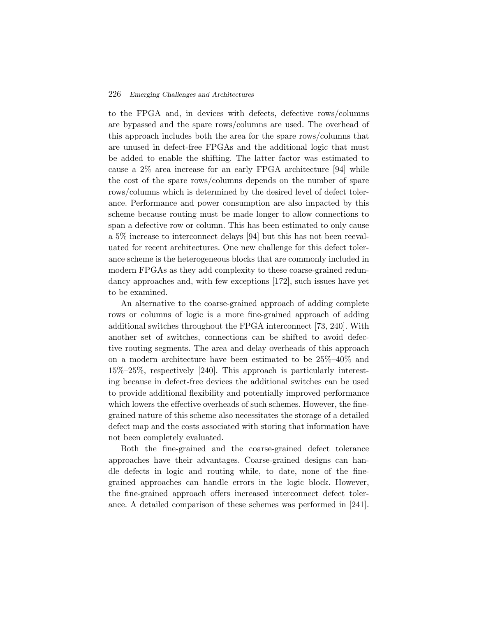to the FPGA and, in devices with defects, defective rows/columns are bypassed and the spare rows/columns are used. The overhead of this approach includes both the area for the spare rows/columns that are unused in defect-free FPGAs and the additional logic that must be added to enable the shifting. The latter factor was estimated to cause a 2% area increase for an early FPGA architecture [94] while the cost of the spare rows/columns depends on the number of spare rows/columns which is determined by the desired level of defect tolerance. Performance and power consumption are also impacted by this scheme because routing must be made longer to allow connections to span a defective row or column. This has been estimated to only cause a 5% increase to interconnect delays [94] but this has not been reevaluated for recent architectures. One new challenge for this defect tolerance scheme is the heterogeneous blocks that are commonly included in modern FPGAs as they add complexity to these coarse-grained redundancy approaches and, with few exceptions [172], such issues have yet to be examined.

An alternative to the coarse-grained approach of adding complete rows or columns of logic is a more fine-grained approach of adding additional switches throughout the FPGA interconnect [73, 240]. With another set of switches, connections can be shifted to avoid defective routing segments. The area and delay overheads of this approach on a modern architecture have been estimated to be 25%–40% and 15%–25%, respectively [240]. This approach is particularly interesting because in defect-free devices the additional switches can be used to provide additional flexibility and potentially improved performance which lowers the effective overheads of such schemes. However, the finegrained nature of this scheme also necessitates the storage of a detailed defect map and the costs associated with storing that information have not been completely evaluated.

Both the fine-grained and the coarse-grained defect tolerance approaches have their advantages. Coarse-grained designs can handle defects in logic and routing while, to date, none of the finegrained approaches can handle errors in the logic block. However, the fine-grained approach offers increased interconnect defect tolerance. A detailed comparison of these schemes was performed in [241].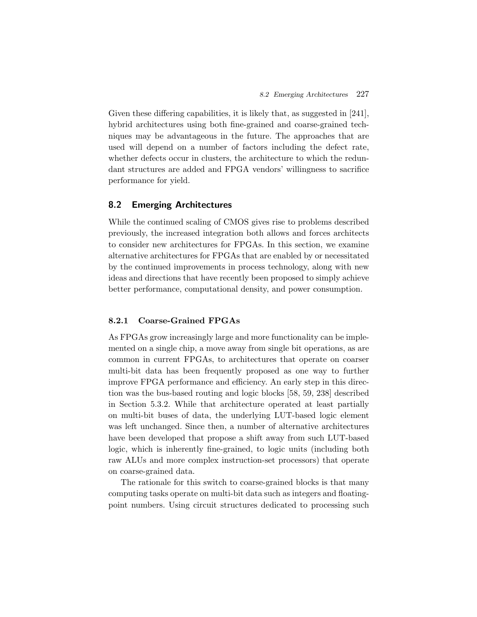Given these differing capabilities, it is likely that, as suggested in [241], hybrid architectures using both fine-grained and coarse-grained techniques may be advantageous in the future. The approaches that are used will depend on a number of factors including the defect rate, whether defects occur in clusters, the architecture to which the redundant structures are added and FPGA vendors' willingness to sacrifice performance for yield.

# **8.2 Emerging Architectures**

While the continued scaling of CMOS gives rise to problems described previously, the increased integration both allows and forces architects to consider new architectures for FPGAs. In this section, we examine alternative architectures for FPGAs that are enabled by or necessitated by the continued improvements in process technology, along with new ideas and directions that have recently been proposed to simply achieve better performance, computational density, and power consumption.

#### **8.2.1 Coarse-Grained FPGAs**

As FPGAs grow increasingly large and more functionality can be implemented on a single chip, a move away from single bit operations, as are common in current FPGAs, to architectures that operate on coarser multi-bit data has been frequently proposed as one way to further improve FPGA performance and efficiency. An early step in this direction was the bus-based routing and logic blocks [58, 59, 238] described in Section 5.3.2. While that architecture operated at least partially on multi-bit buses of data, the underlying LUT-based logic element was left unchanged. Since then, a number of alternative architectures have been developed that propose a shift away from such LUT-based logic, which is inherently fine-grained, to logic units (including both raw ALUs and more complex instruction-set processors) that operate on coarse-grained data.

The rationale for this switch to coarse-grained blocks is that many computing tasks operate on multi-bit data such as integers and floatingpoint numbers. Using circuit structures dedicated to processing such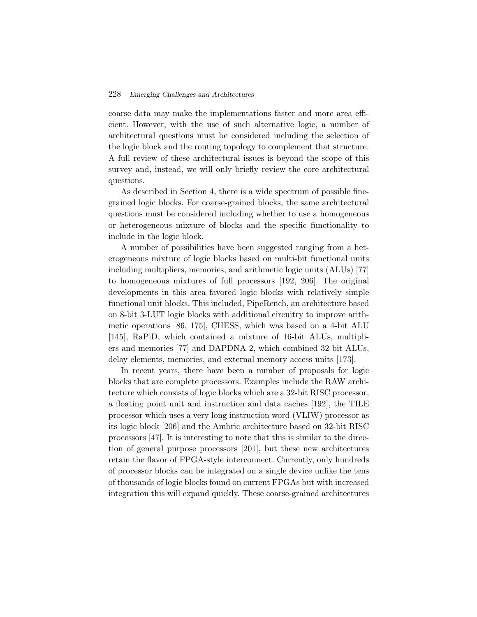coarse data may make the implementations faster and more area efficient. However, with the use of such alternative logic, a number of architectural questions must be considered including the selection of the logic block and the routing topology to complement that structure. A full review of these architectural issues is beyond the scope of this survey and, instead, we will only briefly review the core architectural questions.

As described in Section 4, there is a wide spectrum of possible finegrained logic blocks. For coarse-grained blocks, the same architectural questions must be considered including whether to use a homogeneous or heterogeneous mixture of blocks and the specific functionality to include in the logic block.

A number of possibilities have been suggested ranging from a heterogeneous mixture of logic blocks based on multi-bit functional units including multipliers, memories, and arithmetic logic units (ALUs) [77] to homogeneous mixtures of full processors [192, 206]. The original developments in this area favored logic blocks with relatively simple functional unit blocks. This included, PipeRench, an architecture based on 8-bit 3-LUT logic blocks with additional circuitry to improve arithmetic operations [86, 175], CHESS, which was based on a 4-bit ALU [145], RaPiD, which contained a mixture of 16-bit ALUs, multipliers and memories [77] and DAPDNA-2, which combined 32-bit ALUs, delay elements, memories, and external memory access units [173].

In recent years, there have been a number of proposals for logic blocks that are complete processors. Examples include the RAW architecture which consists of logic blocks which are a 32-bit RISC processor, a floating point unit and instruction and data caches [192], the TILE processor which uses a very long instruction word (VLIW) processor as its logic block [206] and the Ambric architecture based on 32-bit RISC processors [47]. It is interesting to note that this is similar to the direction of general purpose processors [201], but these new architectures retain the flavor of FPGA-style interconnect. Currently, only hundreds of processor blocks can be integrated on a single device unlike the tens of thousands of logic blocks found on current FPGAs but with increased integration this will expand quickly. These coarse-grained architectures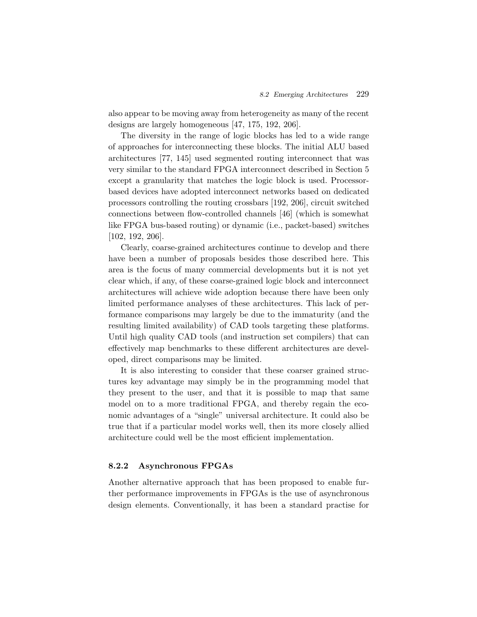also appear to be moving away from heterogeneity as many of the recent designs are largely homogeneous [47, 175, 192, 206].

The diversity in the range of logic blocks has led to a wide range of approaches for interconnecting these blocks. The initial ALU based architectures [77, 145] used segmented routing interconnect that was very similar to the standard FPGA interconnect described in Section 5 except a granularity that matches the logic block is used. Processorbased devices have adopted interconnect networks based on dedicated processors controlling the routing crossbars [192, 206], circuit switched connections between flow-controlled channels [46] (which is somewhat like FPGA bus-based routing) or dynamic (i.e., packet-based) switches [102, 192, 206].

Clearly, coarse-grained architectures continue to develop and there have been a number of proposals besides those described here. This area is the focus of many commercial developments but it is not yet clear which, if any, of these coarse-grained logic block and interconnect architectures will achieve wide adoption because there have been only limited performance analyses of these architectures. This lack of performance comparisons may largely be due to the immaturity (and the resulting limited availability) of CAD tools targeting these platforms. Until high quality CAD tools (and instruction set compilers) that can effectively map benchmarks to these different architectures are developed, direct comparisons may be limited.

It is also interesting to consider that these coarser grained structures key advantage may simply be in the programming model that they present to the user, and that it is possible to map that same model on to a more traditional FPGA, and thereby regain the economic advantages of a "single" universal architecture. It could also be true that if a particular model works well, then its more closely allied architecture could well be the most efficient implementation.

#### **8.2.2 Asynchronous FPGAs**

Another alternative approach that has been proposed to enable further performance improvements in FPGAs is the use of asynchronous design elements. Conventionally, it has been a standard practise for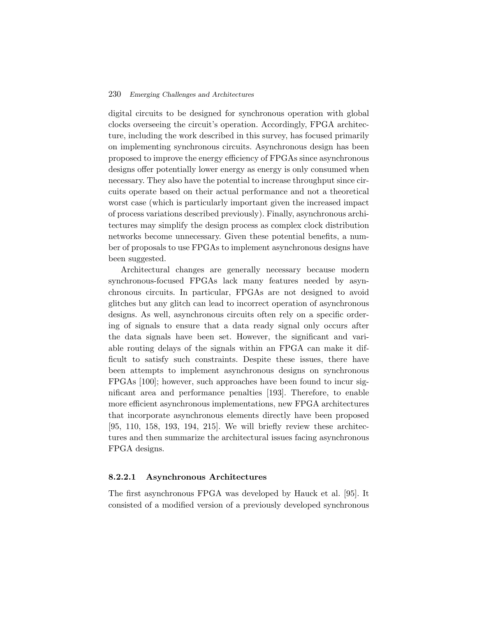digital circuits to be designed for synchronous operation with global clocks overseeing the circuit's operation. Accordingly, FPGA architecture, including the work described in this survey, has focused primarily on implementing synchronous circuits. Asynchronous design has been proposed to improve the energy efficiency of FPGAs since asynchronous designs offer potentially lower energy as energy is only consumed when necessary. They also have the potential to increase throughput since circuits operate based on their actual performance and not a theoretical worst case (which is particularly important given the increased impact of process variations described previously). Finally, asynchronous architectures may simplify the design process as complex clock distribution networks become unnecessary. Given these potential benefits, a number of proposals to use FPGAs to implement asynchronous designs have been suggested.

Architectural changes are generally necessary because modern synchronous-focused FPGAs lack many features needed by asynchronous circuits. In particular, FPGAs are not designed to avoid glitches but any glitch can lead to incorrect operation of asynchronous designs. As well, asynchronous circuits often rely on a specific ordering of signals to ensure that a data ready signal only occurs after the data signals have been set. However, the significant and variable routing delays of the signals within an FPGA can make it difficult to satisfy such constraints. Despite these issues, there have been attempts to implement asynchronous designs on synchronous FPGAs [100]; however, such approaches have been found to incur significant area and performance penalties [193]. Therefore, to enable more efficient asynchronous implementations, new FPGA architectures that incorporate asynchronous elements directly have been proposed [95, 110, 158, 193, 194, 215]. We will briefly review these architectures and then summarize the architectural issues facing asynchronous FPGA designs.

#### **8.2.2.1 Asynchronous Architectures**

The first asynchronous FPGA was developed by Hauck et al. [95]. It consisted of a modified version of a previously developed synchronous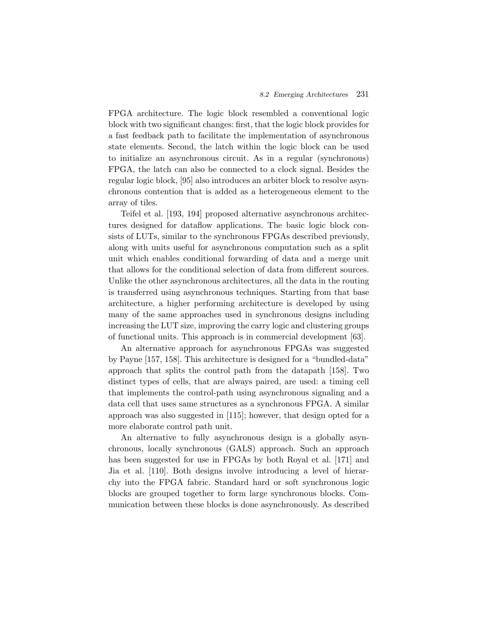FPGA architecture. The logic block resembled a conventional logic block with two significant changes: first, that the logic block provides for a fast feedback path to facilitate the implementation of asynchronous state elements. Second, the latch within the logic block can be used to initialize an asynchronous circuit. As in a regular (synchronous) FPGA, the latch can also be connected to a clock signal. Besides the regular logic block, [95] also introduces an arbiter block to resolve asynchronous contention that is added as a heterogeneous element to the array of tiles.

Teifel et al. [193, 194] proposed alternative asynchronous architectures designed for dataflow applications. The basic logic block consists of LUTs, similar to the synchronous FPGAs described previously, along with units useful for asynchronous computation such as a split unit which enables conditional forwarding of data and a merge unit that allows for the conditional selection of data from different sources. Unlike the other asynchronous architectures, all the data in the routing is transferred using asynchronous techniques. Starting from that base architecture, a higher performing architecture is developed by using many of the same approaches used in synchronous designs including increasing the LUT size, improving the carry logic and clustering groups of functional units. This approach is in commercial development [63].

An alternative approach for asynchronous FPGAs was suggested by Payne [157, 158]. This architecture is designed for a "bundled-data" approach that splits the control path from the datapath [158]. Two distinct types of cells, that are always paired, are used: a timing cell that implements the control-path using asynchronous signaling and a data cell that uses same structures as a synchronous FPGA. A similar approach was also suggested in [115]; however, that design opted for a more elaborate control path unit.

An alternative to fully asynchronous design is a globally asynchronous, locally synchronous (GALS) approach. Such an approach has been suggested for use in FPGAs by both Royal et al. [171] and Jia et al. [110]. Both designs involve introducing a level of hierarchy into the FPGA fabric. Standard hard or soft synchronous logic blocks are grouped together to form large synchronous blocks. Communication between these blocks is done asynchronously. As described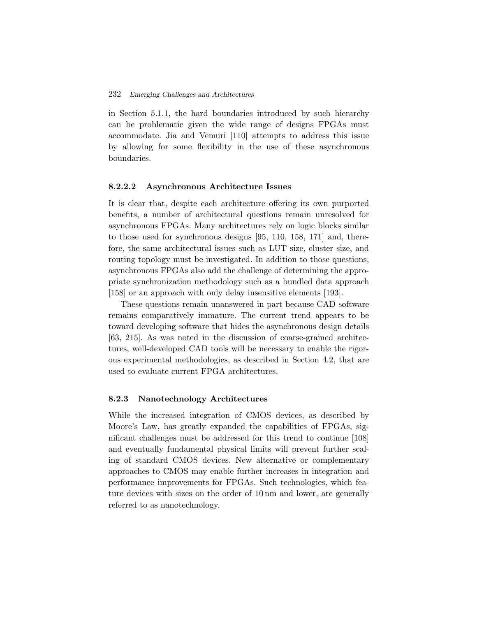in Section 5.1.1, the hard boundaries introduced by such hierarchy can be problematic given the wide range of designs FPGAs must accommodate. Jia and Vemuri [110] attempts to address this issue by allowing for some flexibility in the use of these asynchronous boundaries.

#### **8.2.2.2 Asynchronous Architecture Issues**

It is clear that, despite each architecture offering its own purported benefits, a number of architectural questions remain unresolved for asynchronous FPGAs. Many architectures rely on logic blocks similar to those used for synchronous designs [95, 110, 158, 171] and, therefore, the same architectural issues such as LUT size, cluster size, and routing topology must be investigated. In addition to those questions, asynchronous FPGAs also add the challenge of determining the appropriate synchronization methodology such as a bundled data approach [158] or an approach with only delay insensitive elements [193].

These questions remain unanswered in part because CAD software remains comparatively immature. The current trend appears to be toward developing software that hides the asynchronous design details [63, 215]. As was noted in the discussion of coarse-grained architectures, well-developed CAD tools will be necessary to enable the rigorous experimental methodologies, as described in Section 4.2, that are used to evaluate current FPGA architectures.

#### **8.2.3 Nanotechnology Architectures**

While the increased integration of CMOS devices, as described by Moore's Law, has greatly expanded the capabilities of FPGAs, significant challenges must be addressed for this trend to continue [108] and eventually fundamental physical limits will prevent further scaling of standard CMOS devices. New alternative or complementary approaches to CMOS may enable further increases in integration and performance improvements for FPGAs. Such technologies, which feature devices with sizes on the order of 10 nm and lower, are generally referred to as nanotechnology.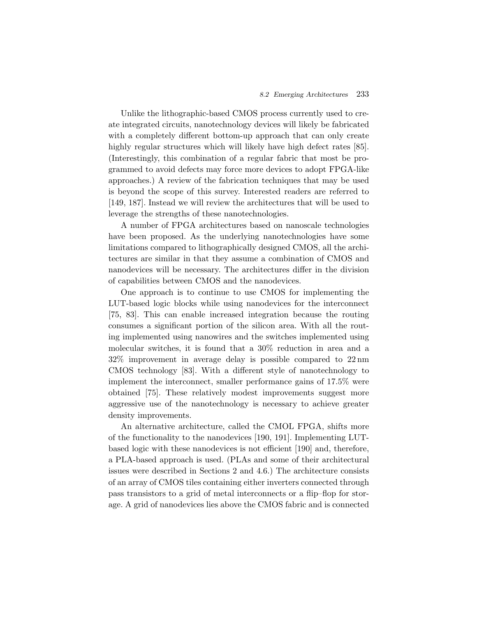Unlike the lithographic-based CMOS process currently used to create integrated circuits, nanotechnology devices will likely be fabricated with a completely different bottom-up approach that can only create highly regular structures which will likely have high defect rates [85]. (Interestingly, this combination of a regular fabric that most be programmed to avoid defects may force more devices to adopt FPGA-like approaches.) A review of the fabrication techniques that may be used is beyond the scope of this survey. Interested readers are referred to [149, 187]. Instead we will review the architectures that will be used to leverage the strengths of these nanotechnologies.

A number of FPGA architectures based on nanoscale technologies have been proposed. As the underlying nanotechnologies have some limitations compared to lithographically designed CMOS, all the architectures are similar in that they assume a combination of CMOS and nanodevices will be necessary. The architectures differ in the division of capabilities between CMOS and the nanodevices.

One approach is to continue to use CMOS for implementing the LUT-based logic blocks while using nanodevices for the interconnect [75, 83]. This can enable increased integration because the routing consumes a significant portion of the silicon area. With all the routing implemented using nanowires and the switches implemented using molecular switches, it is found that a 30% reduction in area and a 32% improvement in average delay is possible compared to 22 nm CMOS technology [83]. With a different style of nanotechnology to implement the interconnect, smaller performance gains of 17.5% were obtained [75]. These relatively modest improvements suggest more aggressive use of the nanotechnology is necessary to achieve greater density improvements.

An alternative architecture, called the CMOL FPGA, shifts more of the functionality to the nanodevices [190, 191]. Implementing LUTbased logic with these nanodevices is not efficient [190] and, therefore, a PLA-based approach is used. (PLAs and some of their architectural issues were described in Sections 2 and 4.6.) The architecture consists of an array of CMOS tiles containing either inverters connected through pass transistors to a grid of metal interconnects or a flip–flop for storage. A grid of nanodevices lies above the CMOS fabric and is connected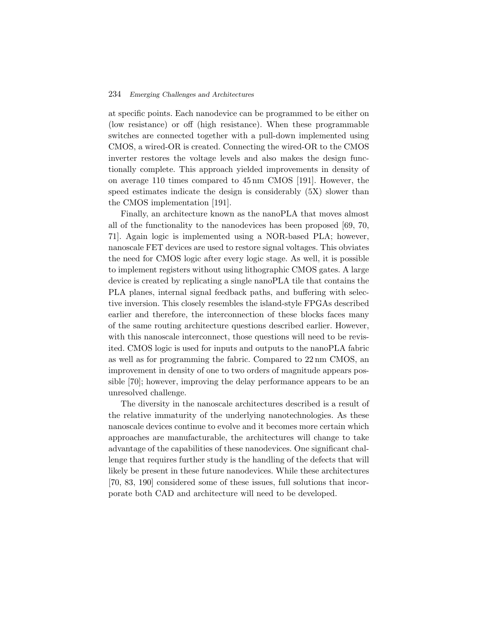at specific points. Each nanodevice can be programmed to be either on (low resistance) or off (high resistance). When these programmable switches are connected together with a pull-down implemented using CMOS, a wired-OR is created. Connecting the wired-OR to the CMOS inverter restores the voltage levels and also makes the design functionally complete. This approach yielded improvements in density of on average 110 times compared to 45 nm CMOS [191]. However, the speed estimates indicate the design is considerably (5X) slower than the CMOS implementation [191].

Finally, an architecture known as the nanoPLA that moves almost all of the functionality to the nanodevices has been proposed [69, 70, 71]. Again logic is implemented using a NOR-based PLA; however, nanoscale FET devices are used to restore signal voltages. This obviates the need for CMOS logic after every logic stage. As well, it is possible to implement registers without using lithographic CMOS gates. A large device is created by replicating a single nanoPLA tile that contains the PLA planes, internal signal feedback paths, and buffering with selective inversion. This closely resembles the island-style FPGAs described earlier and therefore, the interconnection of these blocks faces many of the same routing architecture questions described earlier. However, with this nanoscale interconnect, those questions will need to be revisited. CMOS logic is used for inputs and outputs to the nanoPLA fabric as well as for programming the fabric. Compared to 22 nm CMOS, an improvement in density of one to two orders of magnitude appears possible [70]; however, improving the delay performance appears to be an unresolved challenge.

The diversity in the nanoscale architectures described is a result of the relative immaturity of the underlying nanotechnologies. As these nanoscale devices continue to evolve and it becomes more certain which approaches are manufacturable, the architectures will change to take advantage of the capabilities of these nanodevices. One significant challenge that requires further study is the handling of the defects that will likely be present in these future nanodevices. While these architectures [70, 83, 190] considered some of these issues, full solutions that incorporate both CAD and architecture will need to be developed.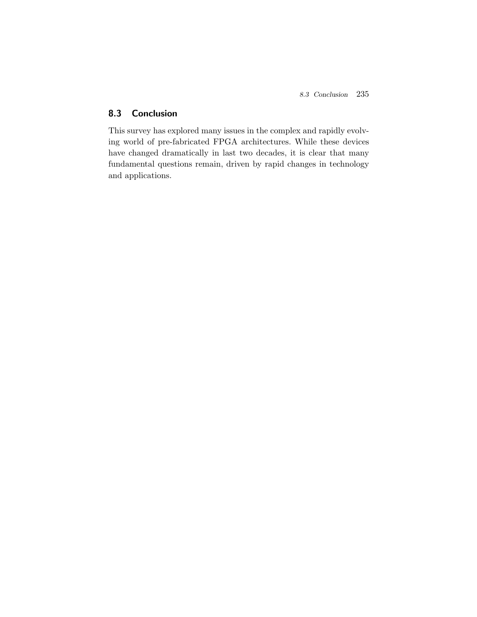# **8.3 Conclusion**

This survey has explored many issues in the complex and rapidly evolving world of pre-fabricated FPGA architectures. While these devices have changed dramatically in last two decades, it is clear that many fundamental questions remain, driven by rapid changes in technology and applications.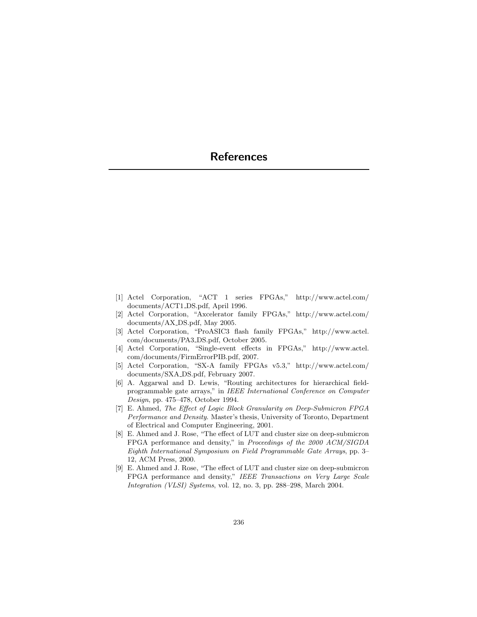# **References**

- [1] Actel Corporation, "ACT 1 series FPGAs," http://www.actel.com/ documents/ACT1 DS.pdf, April 1996.
- [2] Actel Corporation, "Axcelerator family FPGAs," http://www.actel.com/ documents/AX DS.pdf, May 2005.
- [3] Actel Corporation, "ProASIC3 flash family FPGAs," http://www.actel. com/documents/PA3 DS.pdf, October 2005.
- [4] Actel Corporation, "Single-event effects in FPGAs," http://www.actel. com/documents/FirmErrorPIB.pdf, 2007.
- [5] Actel Corporation, "SX-A family FPGAs v5.3," http://www.actel.com/ documents/SXA DS.pdf, February 2007.
- [6] A. Aggarwal and D. Lewis, "Routing architectures for hierarchical fieldprogrammable gate arrays," in IEEE International Conference on Computer Design, pp. 475–478, October 1994.
- [7] E. Ahmed, The Effect of Logic Block Granularity on Deep-Submicron FPGA Performance and Density. Master's thesis, University of Toronto, Department of Electrical and Computer Engineering, 2001.
- [8] E. Ahmed and J. Rose, "The effect of LUT and cluster size on deep-submicron FPGA performance and density," in Proceedings of the 2000 ACM/SIGDA Eighth International Symposium on Field Programmable Gate Arrays, pp. 3– 12, ACM Press, 2000.
- [9] E. Ahmed and J. Rose, "The effect of LUT and cluster size on deep-submicron FPGA performance and density," IEEE Transactions on Very Large Scale Integration (VLSI) Systems, vol. 12, no. 3, pp. 288–298, March 2004.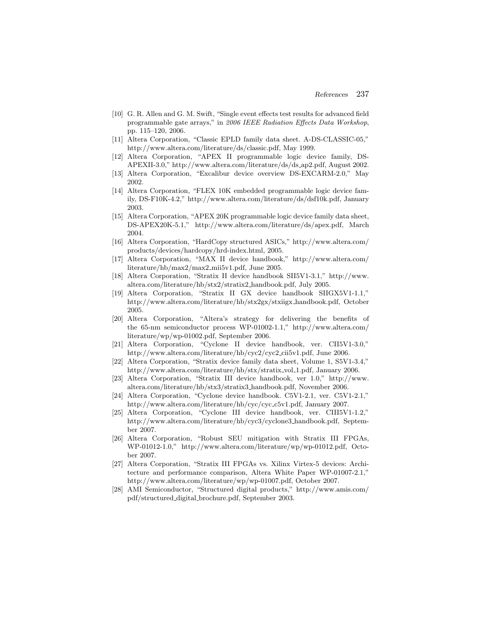- [10] G. R. Allen and G. M. Swift, "Single event effects test results for advanced field programmable gate arrays," in 2006 IEEE Radiation Effects Data Workshop, pp. 115–120, 2006.
- [11] Altera Corporation, "Classic EPLD family data sheet. A-DS-CLASSIC-05," http://www.altera.com/literature/ds/classic.pdf, May 1999.
- [12] Altera Corporation, "APEX II programmable logic device family, DS-APEXII-3.0," http://www.altera.com/literature/ds/ds ap2.pdf, August 2002.
- [13] Altera Corporation, "Excalibur device overview DS-EXCARM-2.0," May 2002.
- [14] Altera Corporation, "FLEX 10K embedded programmable logic device family, DS-F10K-4.2," http://www.altera.com/literature/ds/dsf10k.pdf, January 2003.
- [15] Altera Corporation, "APEX 20K programmable logic device family data sheet, DS-APEX20K-5.1," http://www.altera.com/literature/ds/apex.pdf, March 2004.
- [16] Altera Corporation, "HardCopy structured ASICs," http://www.altera.com/ products/devices/hardcopy/hrd-index.html, 2005.
- [17] Altera Corporation, "MAX II device handbook," http://www.altera.com/ literature/hb/max2/max2 mii5v1.pdf, June 2005.
- [18] Altera Corporation, "Stratix II device handbook SII5V1-3.1," http://www. altera.com/literature/hb/stx2/stratix2 handbook.pdf, July 2005.
- [19] Altera Corporation, "Stratix II GX device handbook SIIGX5V1-1.1," http://www.altera.com/literature/hb/stx2gx/stxiigx handbook.pdf, October 2005.
- [20] Altera Corporation, "Altera's strategy for delivering the benefits of the 65-nm semiconductor process WP-01002-1.1," http://www.altera.com/ literature/wp/wp-01002.pdf, September 2006.
- [21] Altera Corporation, "Cyclone II device handbook, ver. CII5V1-3.0," http://www.altera.com/literature/hb/cyc2/cyc2 cii5v1.pdf, June 2006.
- [22] Altera Corporation, "Stratix device family data sheet, Volume 1, S5V1-3.4," http://www.altera.com/literature/hb/stx/stratix vol 1.pdf, January 2006.
- [23] Altera Corporation, "Stratix III device handbook, ver 1.0," http://www. altera.com/literature/hb/stx3/stratix3 handbook.pdf, November 2006.
- [24] Altera Corporation, "Cyclone device handbook. C5V1-2.1, ver. C5V1-2.1," http://www.altera.com/literature/hb/cyc/cyc c5v1.pdf, January 2007.
- [25] Altera Corporation, "Cyclone III device handbook, ver. CIII5V1-1.2," http://www.altera.com/literature/hb/cyc3/cyclone3 handbook.pdf, September 2007.
- [26] Altera Corporation, "Robust SEU mitigation with Stratix III FPGAs, WP-01012-1.0," http://www.altera.com/literature/wp/wp-01012.pdf, October 2007.
- [27] Altera Corporation, "Stratix III FPGAs vs. Xilinx Virtex-5 devices: Architecture and performance comparison, Altera White Paper WP-01007-2.1," http://www.altera.com/literature/wp/wp-01007.pdf, October 2007.
- [28] AMI Semiconductor, "Structured digital products," http://www.amis.com/ pdf/structured digital brochure.pdf, September 2003.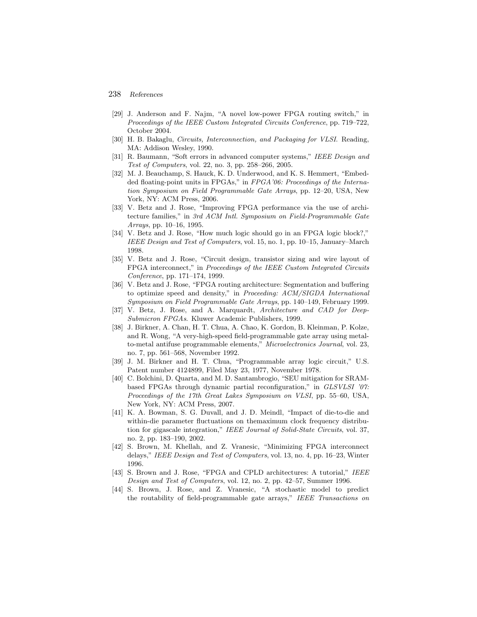#### 238 *References*

- [29] J. Anderson and F. Najm, "A novel low-power FPGA routing switch," in Proceedings of the IEEE Custom Integrated Circuits Conference, pp. 719–722, October 2004.
- [30] H. B. Bakaglu, Circuits, Interconnection, and Packaging for VLSI. Reading, MA: Addison Wesley, 1990.
- [31] R. Baumann, "Soft errors in advanced computer systems," IEEE Design and Test of Computers, vol. 22, no. 3, pp. 258–266, 2005.
- [32] M. J. Beauchamp, S. Hauck, K. D. Underwood, and K. S. Hemmert, "Embedded floating-point units in FPGAs," in FPGA'06: Proceedings of the Internation Symposium on Field Programmable Gate Arrays, pp. 12–20, USA, New York, NY: ACM Press, 2006.
- [33] V. Betz and J. Rose, "Improving FPGA performance via the use of architecture families," in 3rd ACM Intl. Symposium on Field-Programmable Gate Arrays, pp. 10–16, 1995.
- [34] V. Betz and J. Rose, "How much logic should go in an FPGA logic block?," IEEE Design and Test of Computers, vol. 15, no. 1, pp. 10–15, January–March 1998.
- [35] V. Betz and J. Rose, "Circuit design, transistor sizing and wire layout of FPGA interconnect," in Proceedings of the IEEE Custom Integrated Circuits Conference, pp. 171–174, 1999.
- [36] V. Betz and J. Rose, "FPGA routing architecture: Segmentation and buffering to optimize speed and density," in Proceeding: ACM/SIGDA International Symposium on Field Programmable Gate Arrays, pp. 140–149, February 1999.
- [37] V. Betz, J. Rose, and A. Marquardt, Architecture and CAD for Deep-Submicron FPGAs. Kluwer Academic Publishers, 1999.
- [38] J. Birkner, A. Chan, H. T. Chua, A. Chao, K. Gordon, B. Kleinman, P. Kolze, and R. Wong, "A very-high-speed field-programmable gate array using metalto-metal antifuse programmable elements," Microelectronics Journal, vol. 23, no. 7, pp. 561–568, November 1992.
- [39] J. M. Birkner and H. T. Chua, "Programmable array logic circuit," U.S. Patent number 4124899, Filed May 23, 1977, November 1978.
- [40] C. Bolchini, D. Quarta, and M. D. Santambrogio, "SEU mitigation for SRAMbased FPGAs through dynamic partial reconfiguration," in GLSVLSI '07: Proceedings of the 17th Great Lakes Symposium on VLSI, pp. 55–60, USA, New York, NY: ACM Press, 2007.
- [41] K. A. Bowman, S. G. Duvall, and J. D. Meindl, "Impact of die-to-die and within-die parameter fluctuations on themaximum clock frequency distribution for gigascale integration," IEEE Journal of Solid-State Circuits, vol. 37, no. 2, pp. 183–190, 2002.
- [42] S. Brown, M. Khellah, and Z. Vranesic, "Minimizing FPGA interconnect delays," IEEE Design and Test of Computers, vol. 13, no. 4, pp. 16–23, Winter 1996.
- [43] S. Brown and J. Rose, "FPGA and CPLD architectures: A tutorial," IEEE Design and Test of Computers, vol. 12, no. 2, pp. 42–57, Summer 1996.
- [44] S. Brown, J. Rose, and Z. Vranesic, "A stochastic model to predict the routability of field-programmable gate arrays," IEEE Transactions on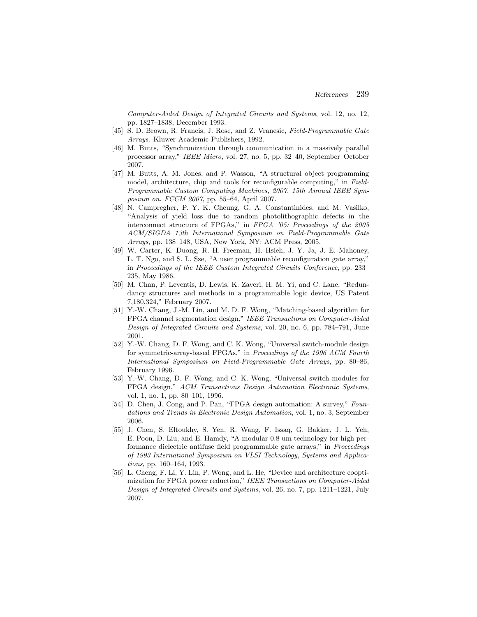Computer-Aided Design of Integrated Circuits and Systems, vol. 12, no. 12, pp. 1827–1838, December 1993.

- [45] S. D. Brown, R. Francis, J. Rose, and Z. Vranesic, Field-Programmable Gate Arrays. Kluwer Academic Publishers, 1992.
- [46] M. Butts, "Synchronization through communication in a massively parallel processor array," IEEE Micro, vol. 27, no. 5, pp. 32–40, September–October 2007.
- [47] M. Butts, A. M. Jones, and P. Wasson, "A structural object programming model, architecture, chip and tools for reconfigurable computing," in Field-Programmable Custom Computing Machines, 2007. 15th Annual IEEE Symposium on. FCCM 2007, pp. 55–64, April 2007.
- [48] N. Campregher, P. Y. K. Cheung, G. A. Constantinides, and M. Vasilko, "Analysis of yield loss due to random photolithographic defects in the interconnect structure of FPGAs," in FPGA '05: Proceedings of the 2005 ACM/SIGDA 13th International Symposium on Field-Programmable Gate Arrays, pp. 138–148, USA, New York, NY: ACM Press, 2005.
- [49] W. Carter, K. Duong, R. H. Freeman, H. Hsieh, J. Y. Ja, J. E. Mahoney, L. T. Ngo, and S. L. Sze, "A user programmable reconfiguration gate array," in Proceedings of the IEEE Custom Integrated Circuits Conference, pp. 233– 235, May 1986.
- [50] M. Chan, P. Leventis, D. Lewis, K. Zaveri, H. M. Yi, and C. Lane, "Redundancy structures and methods in a programmable logic device, US Patent 7,180,324," February 2007.
- [51] Y.-W. Chang, J.-M. Lin, and M. D. F. Wong, "Matching-based algorithm for FPGA channel segmentation design," IEEE Transactions on Computer-Aided Design of Integrated Circuits and Systems, vol. 20, no. 6, pp. 784–791, June 2001.
- [52] Y.-W. Chang, D. F. Wong, and C. K. Wong, "Universal switch-module design for symmetric-array-based FPGAs," in Proceedings of the 1996 ACM Fourth International Symposium on Field-Programmable Gate Arrays, pp. 80–86, February 1996.
- [53] Y.-W. Chang, D. F. Wong, and C. K. Wong, "Universal switch modules for FPGA design," ACM Transactions Design Automation Electronic Systems, vol. 1, no. 1, pp. 80–101, 1996.
- [54] D. Chen, J. Cong, and P. Pan, "FPGA design automation: A survey," Foundations and Trends in Electronic Design Automation, vol. 1, no. 3, September 2006.
- [55] J. Chen, S. Eltoukhy, S. Yen, R. Wang, F. Issaq, G. Bakker, J. L. Yeh, E. Poon, D. Liu, and E. Hamdy, "A modular 0.8 um technology for high performance dielectric antifuse field programmable gate arrays," in Proceedings of 1993 International Symposium on VLSI Technology, Systems and Applications, pp. 160–164, 1993.
- [56] L. Cheng, F. Li, Y. Lin, P. Wong, and L. He, "Device and architecture cooptimization for FPGA power reduction," IEEE Transactions on Computer-Aided Design of Integrated Circuits and Systems, vol. 26, no. 7, pp. 1211–1221, July 2007.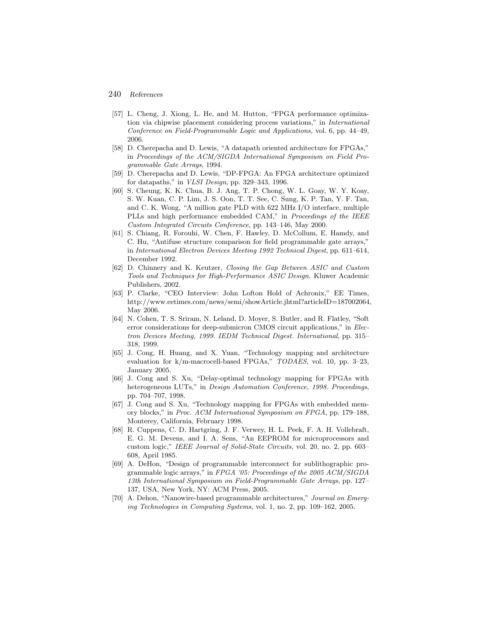#### 240 *References*

- [57] L. Cheng, J. Xiong, L. He, and M. Hutton, "FPGA performance optimization via chipwise placement considering process variations," in International Conference on Field-Programmable Logic and Applications, vol. 6, pp. 44–49, 2006.
- [58] D. Cherepacha and D. Lewis, "A datapath oriented architecture for FPGAs," in Proceedings of the ACM/SIGDA International Symposium on Field Programmable Gate Arrays, 1994.
- [59] D. Cherepacha and D. Lewis, "DP-FPGA: An FPGA architecture optimized for datapaths," in VLSI Design, pp. 329–343, 1996.
- [60] S. Cheung, K. K. Chua, B. J. Ang, T. P. Chong, W. L. Goay, W. Y. Koay, S. W. Kuan, C. P. Lim, J. S. Oon, T. T. See, C. Sung, K. P. Tan, Y. F. Tan, and C. K. Wong, "A million gate PLD with 622 MHz I/O interface, multiple PLLs and high performance embedded CAM," in Proceedings of the IEEE Custom Integrated Circuits Conference, pp. 143–146, May 2000.
- [61] S. Chiang, R. Forouhi, W. Chen, F. Hawley, D. McCollum, E. Hamdy, and C. Hu, "Antifuse structure comparison for field programmable gate arrays," in International Electron Devices Meeting 1992 Technical Digest, pp. 611–614, December 1992.
- [62] D. Chinnery and K. Keutzer, Closing the Gap Between ASIC and Custom Tools and Techniques for High-Performance ASIC Design. Kluwer Academic Publishers, 2002.
- [63] P. Clarke, "CEO Interview: John Lofton Hold of Achronix," EE Times, http://www.eetimes.com/news/semi/showArticle.jhtml?articleID=187002064, May 2006.
- [64] N. Cohen, T. S. Sriram, N. Leland, D. Moyer, S. Butler, and R. Flatley, "Soft error considerations for deep-submicron CMOS circuit applications," in Electron Devices Meeting, 1999. IEDM Technical Digest. International, pp. 315– 318, 1999.
- [65] J. Cong, H. Huang, and X. Yuan, "Technology mapping and architecture evaluation for k/m-macrocell-based FPGAs," TODAES, vol. 10, pp. 3–23, January 2005.
- [66] J. Cong and S. Xu, "Delay-optimal technology mapping for FPGAs with heterogeneous LUTs," in Design Automation Conference, 1998. Proceedings, pp. 704–707, 1998.
- [67] J. Cong and S. Xu, "Technology mapping for FPGAs with embedded memory blocks," in Proc. ACM International Symposium on FPGA, pp. 179–188, Monterey, California, February 1998.
- [68] R. Cuppens, C. D. Hartgring, J. F. Verwey, H. L. Peek, F. A. H. Vollebraft, E. G. M. Devens, and I. A. Sens, "An EEPROM for microprocessors and custom logic," IEEE Journal of Solid-State Circuits, vol. 20, no. 2, pp. 603– 608, April 1985.
- [69] A. DeHon, "Design of programmable interconnect for sublithographic programmable logic arrays," in FPGA '05: Proceedings of the 2005 ACM/SIGDA 13th International Symposium on Field-Programmable Gate Arrays, pp. 127– 137, USA, New York, NY: ACM Press, 2005.
- [70] A. Dehon, "Nanowire-based programmable architectures," Journal on Emerging Technologies in Computing Systems, vol. 1, no. 2, pp. 109–162, 2005.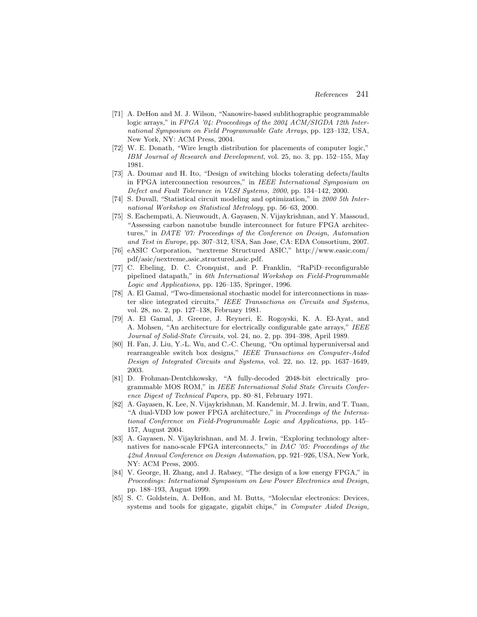- [71] A. DeHon and M. J. Wilson, "Nanowire-based sublithographic programmable logic arrays," in FPGA '04: Proceedings of the 2004 ACM/SIGDA 12th International Symposium on Field Programmable Gate Arrays, pp. 123–132, USA, New York, NY: ACM Press, 2004.
- [72] W. E. Donath, "Wire length distribution for placements of computer logic," IBM Journal of Research and Development, vol. 25, no. 3, pp. 152–155, May 1981.
- [73] A. Doumar and H. Ito, "Design of switching blocks tolerating defects/faults in FPGA interconnection resources," in IEEE International Symposium on Defect and Fault Tolerance in VLSI Systems, 2000, pp. 134–142, 2000.
- [74] S. Duvall, "Statistical circuit modeling and optimization," in 2000 5th International Workshop on Statistical Metrology, pp. 56–63, 2000.
- [75] S. Eachempati, A. Nieuwoudt, A. Gayasen, N. Vijaykrishnan, and Y. Massoud, "Assessing carbon nanotube bundle interconnect for future FPGA architectures," in DATE '07: Proceedings of the Conference on Design, Automation and Test in Europe, pp. 307–312, USA, San Jose, CA: EDA Consortium, 2007.
- [76] eASIC Corporation, "nextreme Structured ASIC," http://www.easic.com/ pdf/asic/nextreme asic structured asic.pdf.
- [77] C. Ebeling, D. C. Cronquist, and P. Franklin, "RaPiD–reconfigurable pipelined datapath," in 6th International Workshop on Field-Programmable Logic and Applications, pp. 126–135, Springer, 1996.
- [78] A. El Gamal, "Two-dimensional stochastic model for interconnections in master slice integrated circuits," IEEE Transactions on Circuits and Systems, vol. 28, no. 2, pp. 127–138, February 1981.
- [79] A. El Gamal, J. Greene, J. Reyneri, E. Rogoyski, K. A. El-Ayat, and A. Mohsen, "An architecture for electrically configurable gate arrays," IEEE Journal of Solid-State Circuits, vol. 24, no. 2, pp. 394–398, April 1989.
- [80] H. Fan, J. Liu, Y.-L. Wu, and C.-C. Cheung, "On optimal hyperuniversal and rearrangeable switch box designs," IEEE Transactions on Computer-Aided Design of Integrated Circuits and Systems, vol. 22, no. 12, pp. 1637–1649, 2003.
- [81] D. Frohman-Dentchkowsky, "A fully-decoded 2048-bit electrically programmable MOS ROM," in IEEE International Solid State Circuits Conference Digest of Technical Papers, pp. 80–81, February 1971.
- [82] A. Gayasen, K. Lee, N. Vijaykrishnan, M. Kandemir, M. J. Irwin, and T. Tuan, "A dual-VDD low power FPGA architecture," in Proceedings of the International Conference on Field-Programmable Logic and Applications, pp. 145– 157, August 2004.
- [83] A. Gayasen, N. Vijaykrishnan, and M. J. Irwin, "Exploring technology alternatives for nano-scale FPGA interconnects," in DAC '05: Proceedings of the 42nd Annual Conference on Design Automation, pp. 921–926, USA, New York, NY: ACM Press, 2005.
- [84] V. George, H. Zhang, and J. Rabaey, "The design of a low energy FPGA," in Proceedings: International Symposium on Low Power Electronics and Design, pp. 188–193, August 1999.
- [85] S. C. Goldstein, A. DeHon, and M. Butts, "Molecular electronics: Devices, systems and tools for gigagate, gigabit chips," in Computer Aided Design,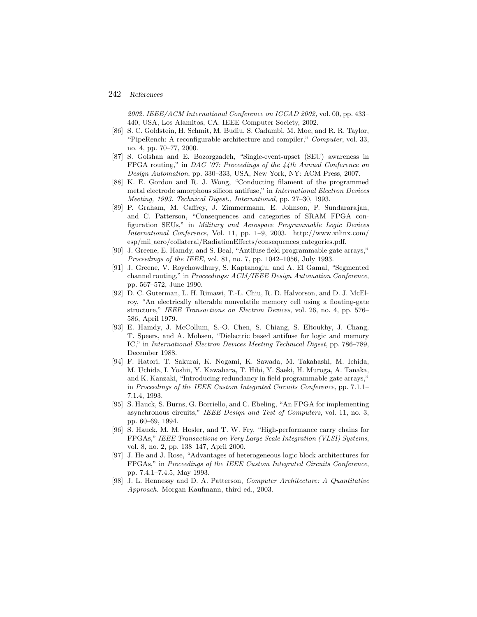#### 242 *References*

2002. IEEE/ACM International Conference on ICCAD 2002, vol. 00, pp. 433– 440, USA, Los Alamitos, CA: IEEE Computer Society, 2002.

- [86] S. C. Goldstein, H. Schmit, M. Budiu, S. Cadambi, M. Moe, and R. R. Taylor, "PipeRench: A reconfigurable architecture and compiler," Computer, vol. 33, no. 4, pp. 70–77, 2000.
- [87] S. Golshan and E. Bozorgzadeh, "Single-event-upset (SEU) awareness in FPGA routing," in DAC '07: Proceedings of the 44th Annual Conference on Design Automation, pp. 330–333, USA, New York, NY: ACM Press, 2007.
- [88] K. E. Gordon and R. J. Wong, "Conducting filament of the programmed metal electrode amorphous silicon antifuse," in International Electron Devices Meeting, 1993. Technical Digest., International, pp. 27–30, 1993.
- [89] P. Graham, M. Caffrey, J. Zimmermann, E. Johnson, P. Sundararajan, and C. Patterson, "Consequences and categories of SRAM FPGA configuration SEUs," in Military and Aerospace Programmable Logic Devices International Conference, Vol. 11, pp. 1–9, 2003. http://www.xilinx.com/ esp/mil aero/collateral/RadiationEffects/consequences categories.pdf.
- [90] J. Greene, E. Hamdy, and S. Beal, "Antifuse field programmable gate arrays," Proceedings of the IEEE, vol. 81, no. 7, pp. 1042–1056, July 1993.
- [91] J. Greene, V. Roychowdhury, S. Kaptanoglu, and A. El Gamal, "Segmented channel routing," in Proceedings: ACM/IEEE Design Automation Conference, pp. 567–572, June 1990.
- [92] D. C. Guterman, L. H. Rimawi, T.-L. Chiu, R. D. Halvorson, and D. J. McElroy, "An electrically alterable nonvolatile memory cell using a floating-gate structure," IEEE Transactions on Electron Devices, vol. 26, no. 4, pp. 576– 586, April 1979.
- [93] E. Hamdy, J. McCollum, S.-O. Chen, S. Chiang, S. Eltoukhy, J. Chang, T. Speers, and A. Mohsen, "Dielectric based antifuse for logic and memory IC," in International Electron Devices Meeting Technical Digest, pp. 786–789, December 1988.
- [94] F. Hatori, T. Sakurai, K. Nogami, K. Sawada, M. Takahashi, M. Ichida, M. Uchida, I. Yoshii, Y. Kawahara, T. Hibi, Y. Saeki, H. Muroga, A. Tanaka, and K. Kanzaki, "Introducing redundancy in field programmable gate arrays," in Proceedings of the IEEE Custom Integrated Circuits Conference, pp. 7.1.1– 7.1.4, 1993.
- [95] S. Hauck, S. Burns, G. Borriello, and C. Ebeling, "An FPGA for implementing asynchronous circuits," IEEE Design and Test of Computers, vol. 11, no. 3, pp. 60–69, 1994.
- [96] S. Hauck, M. M. Hosler, and T. W. Fry, "High-performance carry chains for FPGAs," IEEE Transactions on Very Large Scale Integration (VLSI) Systems, vol. 8, no. 2, pp. 138–147, April 2000.
- [97] J. He and J. Rose, "Advantages of heterogeneous logic block architectures for FPGAs," in Proceedings of the IEEE Custom Integrated Circuits Conference, pp. 7.4.1–7.4.5, May 1993.
- [98] J. L. Hennessy and D. A. Patterson, Computer Architecture: A Quantitative Approach. Morgan Kaufmann, third ed., 2003.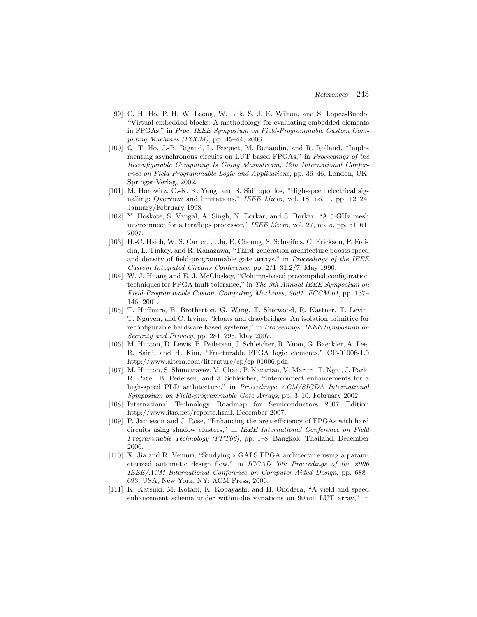- [99] C. H. Ho, P. H. W. Leong, W. Luk, S. J. E. Wilton, and S. Lopez-Buedo, "Virtual embedded blocks: A methodology for evaluating embedded elements in FPGAs," in Proc. IEEE Symposium on Field-Programmable Custom Computing Machines (FCCM), pp. 45–44, 2006.
- [100] Q. T. Ho, J.-B. Rigaud, L. Fesquet, M. Renaudin, and R. Rolland, "Implementing asynchronous circuits on LUT based FPGAs," in Proceedings of the Reconfigurable Computing Is Going Mainstream, 12th International Conference on Field-Programmable Logic and Applications, pp. 36–46, London, UK: Springer-Verlag, 2002.
- [101] M. Horowitz, C.-K. K. Yang, and S. Sidiropoulos, "High-speed electrical signalling: Overview and limitations," IEEE Micro, vol. 18, no. 1, pp. 12–24, January/February 1998.
- [102] Y. Hoskote, S. Vangal, A. Singh, N. Borkar, and S. Borkar, "A 5-GHz mesh interconnect for a teraflops processor," IEEE Micro, vol. 27, no. 5, pp. 51–61, 2007.
- [103] H.-C. Hsieh, W. S. Carter, J. Ja, E. Cheung, S. Schreifels, C. Erickson, P. Freidin, L. Tinkey, and R. Kanazawa, "Third-generation architecture boosts speed and density of field-programmable gate arrays," in Proceedings of the IEEE Custom Integrated Circuits Conference, pp. 2/1–31.2/7, May 1990.
- [104] W. J. Huang and E. J. McCluskey, "Column-based precompiled configuration techniques for FPGA fault tolerance," in The 9th Annual IEEE Symposium on Field-Programmable Custom Computing Machines, 2001. FCCM'01, pp. 137– 146, 2001.
- [105] T. Huffmire, B. Brotherton, G. Wang, T. Sherwood, R. Kastner, T. Levin, T. Nguyen, and C. Irvine, "Moats and drawbridges: An isolation primitive for reconfigurable hardware based systems," in Proceedings: IEEE Symposium on Security and Privacy, pp. 281–295, May 2007.
- [106] M. Hutton, D. Lewis, B. Pedersen, J. Schleicher, R. Yuan, G. Baeckler, A. Lee, R. Saini, and H. Kim, "Fracturable FPGA logic elements," CP-01006-1.0 http://www.altera.com/literature/cp/cp-01006.pdf.
- [107] M. Hutton, S. Shumarayev, V. Chan, P. Kazarian, V. Maruri, T. Ngai, J. Park, R. Patel, B. Pedersen, and J. Schleicher, "Interconnect enhancements for a high-speed PLD architecture," in Proceedings: ACM/SIGDA International Symposium on Field-programmable Gate Arrays, pp. 3–10, February 2002.
- [108] International Technology Roadmap for Semiconductors 2007 Edition http://www.itrs.net/reports.html, December 2007.
- [109] P. Jamieson and J. Rose, "Enhancing the area-efficiency of FPGAs with hard circuits using shadow clusters," in IEEE International Conference on Field Programmable Technology (FPT06), pp. 1–8, Bangkok, Thailand, December 2006.
- [110] X. Jia and R. Vemuri, "Studying a GALS FPGA architecture using a parameterized automatic design flow," in ICCAD '06: Proceedings of the 2006 IEEE/ACM International Conference on Computer-Aided Design, pp. 688– 693, USA, New York, NY: ACM Press, 2006.
- [111] K. Katsuki, M. Kotani, K. Kobayashi, and H. Onodera, "A yield and speed enhancement scheme under within-die variations on 90 nm LUT array," in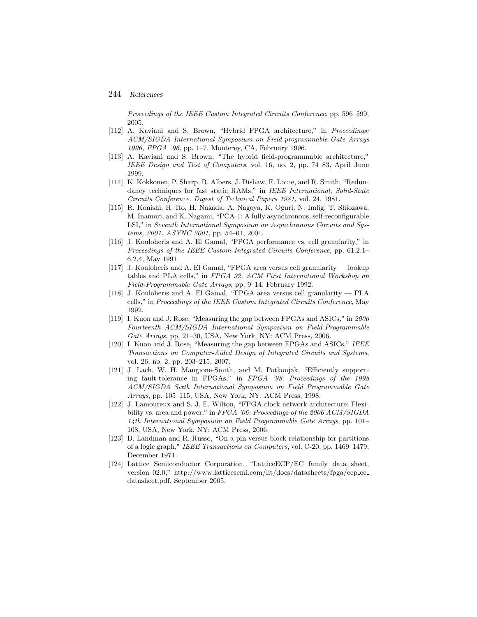## 244 *References*

Proceedings of the IEEE Custom Integrated Circuits Conference, pp. 596–599, 2005.

- [112] A. Kaviani and S. Brown, "Hybrid FPGA architecture," in *Proceedings:* ACM/SIGDA International Symposium on Field-programmable Gate Arrays 1996, FPGA '96, pp. 1–7, Monterey, CA, February 1996.
- [113] A. Kaviani and S. Brown, "The hybrid field-programmable architecture," IEEE Design and Test of Computers, vol. 16, no. 2, pp. 74–83, April–June 1999.
- [114] K. Kokkonen, P. Sharp, R. Albers, J. Dishaw, F. Louie, and R. Smith, "Redundancy techniques for fast static RAMs," in *IEEE International, Solid-State* Circuits Conference. Digest of Technical Papers 1981, vol. 24, 1981.
- [115] R. Konishi, H. Ito, H. Nakada, A. Nagoya, K. Oguri, N. Imlig, T. Shiozawa, M. Inamori, and K. Nagami, "PCA-1: A fully asynchronous, self-reconfigurable LSI," in Seventh International Symposium on Asynchronous Circuits and Systems, 2001. ASYNC 2001, pp. 54–61, 2001.
- [116] J. Kouloheris and A. El Gamal, "FPGA performance vs. cell granularity," in Proceedings of the IEEE Custom Integrated Circuits Conference, pp. 61.2.1– 6.2.4, May 1991.
- [117] J. Kouloheris and A. El Gamal, "FPGA area versus cell granularity lookup tables and PLA cells," in FPGA 92, ACM First International Workshop on Field-Programmable Gate Arrays, pp. 9–14, February 1992.
- [118] J. Kouloheris and A. El Gamal, "FPGA area versus cell granularity PLA cells," in Proceedings of the IEEE Custom Integrated Circuits Conference, May 1992.
- [119] I. Kuon and J. Rose, "Measuring the gap between FPGAs and ASICs," in 2006 Fourteenth ACM/SIGDA International Symposium on Field-Programmable Gate Arrays, pp. 21–30, USA, New York, NY: ACM Press, 2006.
- [120] I. Kuon and J. Rose, "Measuring the gap between FPGAs and ASICs," IEEE Transactions on Computer-Aided Design of Integrated Circuits and Systems, vol. 26, no. 2, pp. 203–215, 2007.
- [121] J. Lach, W. H. Mangione-Smith, and M. Potkonjak, "Efficiently supporting fault-tolerance in FPGAs," in FPGA '98: Proceedings of the 1998 ACM/SIGDA Sixth International Symposium on Field Programmable Gate Arrays, pp. 105–115, USA, New York, NY: ACM Press, 1998.
- [122] J. Lamoureux and S. J. E. Wilton, "FPGA clock network architecture: Flexibility vs. area and power," in FPGA '06: Proceedings of the 2006 ACM/SIGDA 14th International Symposium on Field Programmable Gate Arrays, pp. 101– 108, USA, New York, NY: ACM Press, 2006.
- [123] B. Landman and R. Russo, "On a pin versus block relationship for partitions of a logic graph," IEEE Transactions on Computers, vol. C-20, pp. 1469–1479, December 1971.
- [124] Lattice Semiconductor Corporation, "LatticeECP/EC family data sheet, version 02.0," http://www.latticesemi.com/lit/docs/datasheets/fpga/ecp ec datasheet.pdf, September 2005.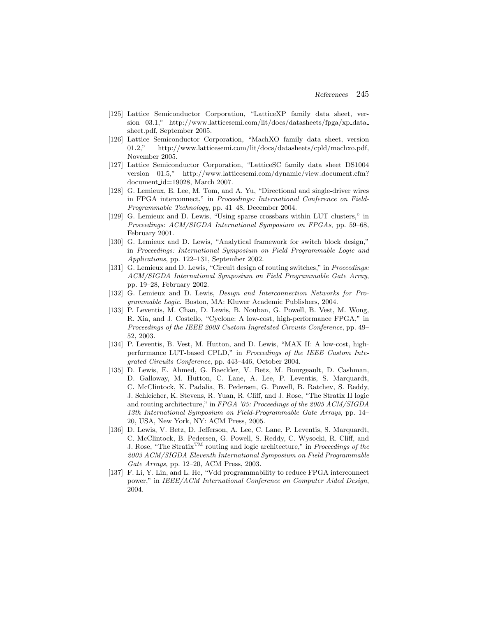- [125] Lattice Semiconductor Corporation, "LatticeXP family data sheet, version 03.1," http://www.latticesemi.com/lit/docs/datasheets/fpga/xp\_data\_ sheet.pdf, September 2005.
- [126] Lattice Semiconductor Corporation, "MachXO family data sheet, version 01.2," http://www.latticesemi.com/lit/docs/datasheets/cpld/machxo.pdf, November 2005.
- [127] Lattice Semiconductor Corporation, "LatticeSC family data sheet DS1004 version 01.5," http://www.latticesemi.com/dynamic/view document.cfm? document id=19028, March 2007.
- [128] G. Lemieux, E. Lee, M. Tom, and A. Yu, "Directional and single-driver wires in FPGA interconnect," in Proceedings: International Conference on Field-Programmable Technology, pp. 41–48, December 2004.
- [129] G. Lemieux and D. Lewis, "Using sparse crossbars within LUT clusters," in Proceedings: ACM/SIGDA International Symposium on FPGAs, pp. 59–68, February 2001.
- [130] G. Lemieux and D. Lewis, "Analytical framework for switch block design," in Proceedings: International Symposium on Field Programmable Logic and Applications, pp. 122–131, September 2002.
- [131] G. Lemieux and D. Lewis, "Circuit design of routing switches," in Proceedings: ACM/SIGDA International Symposium on Field Programmable Gate Array, pp. 19–28, February 2002.
- [132] G. Lemieux and D. Lewis, Design and Interconnection Networks for Programmable Logic. Boston, MA: Kluwer Academic Publishers, 2004.
- [133] P. Leventis, M. Chan, D. Lewis, B. Nouban, G. Powell, B. Vest, M. Wong, R. Xia, and J. Costello, "Cyclone: A low-cost, high-performance FPGA," in Proceedings of the IEEE 2003 Custom Ingretated Circuits Conference, pp. 49– 52, 2003.
- [134] P. Leventis, B. Vest, M. Hutton, and D. Lewis, "MAX II: A low-cost, highperformance LUT-based CPLD," in Proceedings of the IEEE Custom Integrated Circuits Conference, pp. 443–446, October 2004.
- [135] D. Lewis, E. Ahmed, G. Baeckler, V. Betz, M. Bourgeault, D. Cashman, D. Galloway, M. Hutton, C. Lane, A. Lee, P. Leventis, S. Marquardt, C. McClintock, K. Padalia, B. Pedersen, G. Powell, B. Ratchev, S. Reddy, J. Schleicher, K. Stevens, R. Yuan, R. Cliff, and J. Rose, "The Stratix II logic and routing architecture," in FPGA '05: Proceedings of the 2005 ACM/SIGDA 13th International Symposium on Field-Programmable Gate Arrays, pp. 14– 20, USA, New York, NY: ACM Press, 2005.
- [136] D. Lewis, V. Betz, D. Jefferson, A. Lee, C. Lane, P. Leventis, S. Marquardt, C. McClintock, B. Pedersen, G. Powell, S. Reddy, C. Wysocki, R. Cliff, and J. Rose, "The Stratix<sup>TM</sup> routing and logic architecture," in *Proceedings of the* 2003 ACM/SIGDA Eleventh International Symposium on Field Programmable Gate Arrays, pp. 12–20, ACM Press, 2003.
- [137] F. Li, Y. Lin, and L. He, "Vdd programmability to reduce FPGA interconnect power," in IEEE/ACM International Conference on Computer Aided Design, 2004.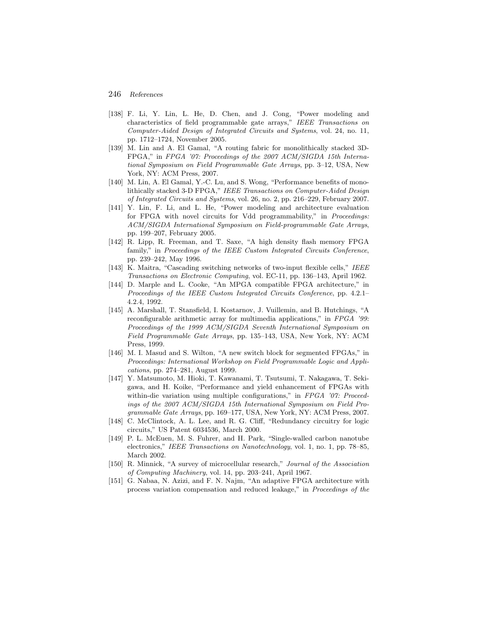## 246 *References*

- [138] F. Li, Y. Lin, L. He, D. Chen, and J. Cong, "Power modeling and characteristics of field programmable gate arrays," IEEE Transactions on Computer-Aided Design of Integrated Circuits and Systems, vol. 24, no. 11, pp. 1712–1724, November 2005.
- [139] M. Lin and A. El Gamal, "A routing fabric for monolithically stacked 3D-FPGA," in FPGA '07: Proceedings of the 2007 ACM/SIGDA 15th International Symposium on Field Programmable Gate Arrays, pp. 3–12, USA, New York, NY: ACM Press, 2007.
- [140] M. Lin, A. El Gamal, Y.-C. Lu, and S. Wong, "Performance benefits of monolithically stacked 3-D FPGA," IEEE Transactions on Computer-Aided Design of Integrated Circuits and Systems, vol. 26, no. 2, pp. 216–229, February 2007.
- [141] Y. Lin, F. Li, and L. He, "Power modeling and architecture evaluation for FPGA with novel circuits for Vdd programmability," in Proceedings: ACM/SIGDA International Symposium on Field-programmable Gate Arrays, pp. 199–207, February 2005.
- [142] R. Lipp, R. Freeman, and T. Saxe, "A high density flash memory FPGA family," in Proceedings of the IEEE Custom Integrated Circuits Conference, pp. 239–242, May 1996.
- [143] K. Maitra, "Cascading switching networks of two-input flexible cells," IEEE Transactions on Electronic Computing, vol. EC-11, pp. 136–143, April 1962.
- [144] D. Marple and L. Cooke, "An MPGA compatible FPGA architecture," in Proceedings of the IEEE Custom Integrated Circuits Conference, pp. 4.2.1– 4.2.4, 1992.
- [145] A. Marshall, T. Stansfield, I. Kostarnov, J. Vuillemin, and B. Hutchings, "A reconfigurable arithmetic array for multimedia applications," in FPGA '99: Proceedings of the 1999 ACM/SIGDA Seventh International Symposium on Field Programmable Gate Arrays, pp. 135–143, USA, New York, NY: ACM Press, 1999.
- [146] M. I. Masud and S. Wilton, "A new switch block for segmented FPGAs," in Proceedings: International Workshop on Field Programmable Logic and Applications, pp. 274–281, August 1999.
- [147] Y. Matsumoto, M. Hioki, T. Kawanami, T. Tsutsumi, T. Nakagawa, T. Sekigawa, and H. Koike, "Performance and yield enhancement of FPGAs with within-die variation using multiple configurations," in FPGA '07: Proceedings of the 2007 ACM/SIGDA 15th International Symposium on Field Programmable Gate Arrays, pp. 169–177, USA, New York, NY: ACM Press, 2007.
- [148] C. McClintock, A. L. Lee, and R. G. Cliff, "Redundancy circuitry for logic circuits," US Patent 6034536, March 2000.
- [149] P. L. McEuen, M. S. Fuhrer, and H. Park, "Single-walled carbon nanotube electronics," IEEE Transactions on Nanotechnology, vol. 1, no. 1, pp. 78–85, March 2002.
- [150] R. Minnick, "A survey of microcellular research," Journal of the Association of Computing Machinery, vol. 14, pp. 203–241, April 1967.
- [151] G. Nabaa, N. Azizi, and F. N. Najm, "An adaptive FPGA architecture with process variation compensation and reduced leakage," in Proceedings of the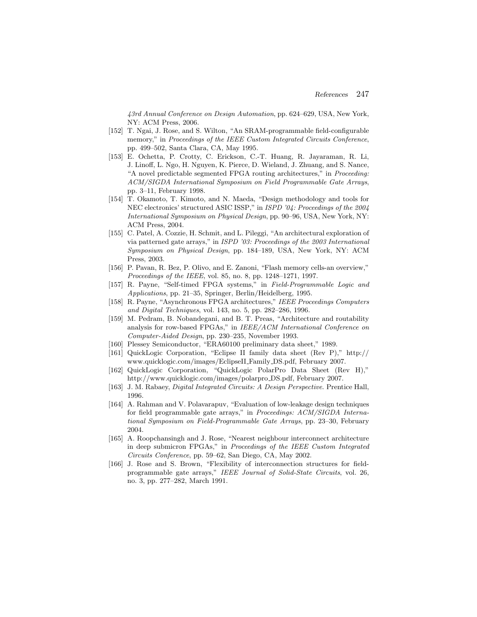43rd Annual Conference on Design Automation, pp. 624–629, USA, New York, NY: ACM Press, 2006.

- [152] T. Ngai, J. Rose, and S. Wilton, "An SRAM-programmable field-configurable memory," in Proceedings of the IEEE Custom Integrated Circuits Conference, pp. 499–502, Santa Clara, CA, May 1995.
- [153] E. Ochetta, P. Crotty, C. Erickson, C.-T. Huang, R. Jayaraman, R. Li, J. Linoff, L. Ngo, H. Nguyen, K. Pierce, D. Wieland, J. Zhuang, and S. Nance, "A novel predictable segmented FPGA routing architectures," in Proceeding: ACM/SIGDA International Symposium on Field Programmable Gate Arrays, pp. 3–11, February 1998.
- [154] T. Okamoto, T. Kimoto, and N. Maeda, "Design methodology and tools for NEC electronics' structured ASIC ISSP," in *ISPD '04: Proceedings of the 2004* International Symposium on Physical Design, pp. 90–96, USA, New York, NY: ACM Press, 2004.
- [155] C. Patel, A. Cozzie, H. Schmit, and L. Pileggi, "An architectural exploration of via patterned gate arrays," in ISPD '03: Proceedings of the 2003 International Symposium on Physical Design, pp. 184–189, USA, New York, NY: ACM Press, 2003.
- [156] P. Pavan, R. Bez, P. Olivo, and E. Zanoni, "Flash memory cells-an overview," Proceedings of the IEEE, vol. 85, no. 8, pp. 1248–1271, 1997.
- [157] R. Payne, "Self-timed FPGA systems," in Field-Programmable Logic and Applications, pp. 21–35, Springer, Berlin/Heidelberg, 1995.
- [158] R. Payne, "Asynchronous FPGA architectures," IEEE Proceedings Computers and Digital Techniques, vol. 143, no. 5, pp. 282–286, 1996.
- [159] M. Pedram, B. Nobandegani, and B. T. Preas, "Architecture and routability analysis for row-based FPGAs," in IEEE/ACM International Conference on Computer-Aided Design, pp. 230–235, November 1993.
- [160] Plessey Semiconductor, "ERA60100 preliminary data sheet," 1989.
- [161] QuickLogic Corporation, "Eclipse II family data sheet (Rev P)," http:// www.quicklogic.com/images/EclipseII Family DS.pdf, February 2007.
- [162] QuickLogic Corporation, "QuickLogic PolarPro Data Sheet (Rev H)," http://www.quicklogic.com/images/polarpro DS.pdf, February 2007.
- [163] J. M. Rabaey, Digital Integrated Circuits: A Design Perspective. Prentice Hall, 1996.
- [164] A. Rahman and V. Polavarapuv, "Evaluation of low-leakage design techniques for field programmable gate arrays," in Proceedings: ACM/SIGDA International Symposium on Field-Programmable Gate Arrays, pp. 23–30, February 2004.
- [165] A. Roopchansingh and J. Rose, "Nearest neighbour interconnect architecture in deep submicron FPGAs," in Proceedings of the IEEE Custom Integrated Circuits Conference, pp. 59–62, San Diego, CA, May 2002.
- [166] J. Rose and S. Brown, "Flexibility of interconnection structures for fieldprogrammable gate arrays," IEEE Journal of Solid-State Circuits, vol. 26, no. 3, pp. 277–282, March 1991.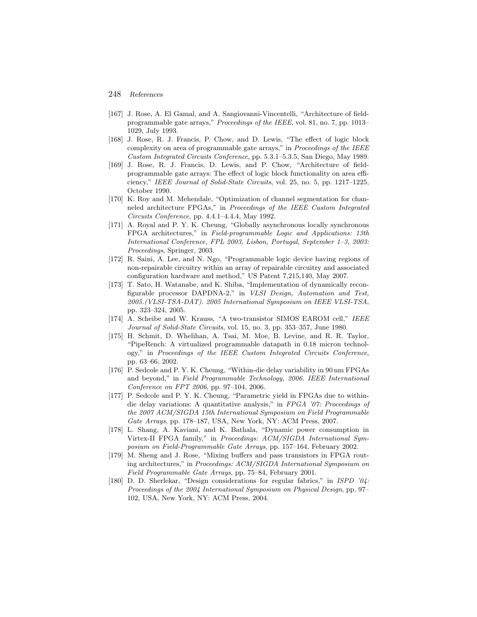## 248 *References*

- [167] J. Rose, A. El Gamal, and A. Sangiovanni-Vincentelli, "Architecture of fieldprogrammable gate arrays," Proceedings of the IEEE, vol. 81, no. 7, pp. 1013– 1029, July 1993.
- [168] J. Rose, R. J. Francis, P. Chow, and D. Lewis, "The effect of logic block complexity on area of programmable gate arrays," in *Proceedings of the IEEE* Custom Integrated Circuits Conference, pp. 5.3.1–5.3.5, San Diego, May 1989.
- [169] J. Rose, R. J. Francis, D. Lewis, and P. Chow, "Architecture of fieldprogrammable gate arrays: The effect of logic block functionality on area efficiency," IEEE Journal of Solid-State Circuits, vol. 25, no. 5, pp. 1217–1225, October 1990.
- [170] K. Roy and M. Mehendale, "Optimization of channel segmentation for channeled architecture FPGAs," in Proceedings of the IEEE Custom Integrated Circuits Conference, pp. 4.4.1–4.4.4, May 1992.
- [171] A. Royal and P. Y. K. Cheung, "Globally asynchronous locally synchronous FPGA architectures," in Field-programmable Logic and Applications: 13th International Conference, FPL 2003, Lisbon, Portugal, September 1–3, 2003: Proceedings, Springer, 2003.
- [172] R. Saini, A. Lee, and N. Ngo, "Programmable logic device having regions of non-repairable circuitry within an array of repairable circuitry and associated configuration hardware and method," US Patent 7,215,140, May 2007.
- [173] T. Sato, H. Watanabe, and K. Shiba, "Implementation of dynamically reconfigurable processor DAPDNA-2," in VLSI Design, Automation and Test, 2005.(VLSI-TSA-DAT). 2005 International Symposium on IEEE VLSI-TSA, pp. 323–324, 2005.
- [174] A. Scheibe and W. Krauss, "A two-transistor SIMOS EAROM cell," IEEE Journal of Solid-State Circuits, vol. 15, no. 3, pp. 353–357, June 1980.
- [175] H. Schmit, D. Whelihan, A. Tsai, M. Moe, B. Levine, and R. R. Taylor, "PipeRench: A virtualized programmable datapath in 0.18 micron technology," in Proceedings of the IEEE Custom Integrated Circuits Conference, pp. 63–66, 2002.
- [176] P. Sedcole and P. Y. K. Cheung, "Within-die delay variability in 90 nm FPGAs and beyond," in Field Programmable Technology, 2006. IEEE International Conference on FPT 2006, pp. 97–104, 2006.
- [177] P. Sedcole and P. Y. K. Cheung, "Parametric yield in FPGAs due to withindie delay variations: A quantitative analysis," in FPGA '07: Proceedings of the 2007 ACM/SIGDA 15th International Symposium on Field Programmable Gate Arrays, pp. 178–187, USA, New York, NY: ACM Press, 2007.
- [178] L. Shang, A. Kaviani, and K. Bathala, "Dynamic power consumption in Virtex-II FPGA family," in Proceedings: ACM/SIGDA International Symposium on Field-Programmable Gate Arrays, pp. 157–164, February 2002.
- [179] M. Sheng and J. Rose, "Mixing buffers and pass transistors in FPGA routing architectures," in Proceedings: ACM/SIGDA International Symposium on Field Programmable Gate Arrays, pp. 75–84, February 2001.
- [180] D. D. Sherlekar, "Design considerations for regular fabrics," in ISPD '04: Proceedings of the 2004 International Symposium on Physical Design, pp. 97– 102, USA, New York, NY: ACM Press, 2004.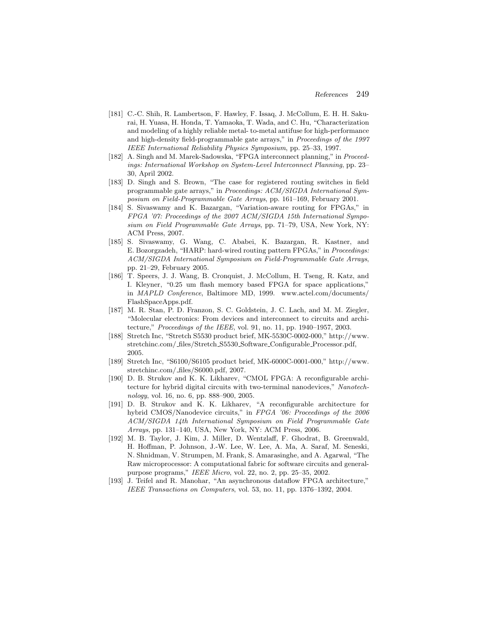- [181] C.-C. Shih, R. Lambertson, F. Hawley, F. Issaq, J. McCollum, E. H. H. Sakurai, H. Yuasa, H. Honda, T. Yamaoka, T. Wada, and C. Hu, "Characterization and modeling of a highly reliable metal- to-metal antifuse for high-performance and high-density field-programmable gate arrays," in Proceedings of the 1997 IEEE International Reliability Physics Symposium, pp. 25–33, 1997.
- [182] A. Singh and M. Marek-Sadowska, "FPGA interconnect planning," in Proceedings: International Workshop on System-Level Interconnect Planning, pp. 23– 30, April 2002.
- [183] D. Singh and S. Brown, "The case for registered routing switches in field programmable gate arrays," in Proceedings: ACM/SIGDA International Symposium on Field-Programmable Gate Arrays, pp. 161–169, February 2001.
- [184] S. Sivaswamy and K. Bazargan, "Variation-aware routing for FPGAs," in FPGA '07: Proceedings of the 2007 ACM/SIGDA 15th International Symposium on Field Programmable Gate Arrays, pp. 71–79, USA, New York, NY: ACM Press, 2007.
- [185] S. Sivaswamy, G. Wang, C. Ababei, K. Bazargan, R. Kastner, and E. Bozorgzadeh, "HARP: hard-wired routing pattern FPGAs," in Proceedings: ACM/SIGDA International Symposium on Field-Programmable Gate Arrays, pp. 21–29, February 2005.
- [186] T. Speers, J. J. Wang, B. Cronquist, J. McCollum, H. Tseng, R. Katz, and I. Kleyner, "0.25 um flash memory based FPGA for space applications," in MAPLD Conference, Baltimore MD, 1999. www.actel.com/documents/ FlashSpaceApps.pdf.
- [187] M. R. Stan, P. D. Franzon, S. C. Goldstein, J. C. Lach, and M. M. Ziegler, "Molecular electronics: From devices and interconnect to circuits and architecture," Proceedings of the IEEE, vol. 91, no. 11, pp. 1940–1957, 2003.
- [188] Stretch Inc, "Stretch S5530 product brief, MK-5530C-0002-000," http://www. stretchinc.com/ files/Stretch S5530 Software Configurable Processor.pdf, 2005.
- [189] Stretch Inc, "S6100/S6105 product brief, MK-6000C-0001-000," http://www. stretchinc.com/ files/S6000.pdf, 2007.
- [190] D. B. Strukov and K. K. Likharev, "CMOL FPGA: A reconfigurable architecture for hybrid digital circuits with two-terminal nanodevices," Nanotechnology, vol. 16, no. 6, pp. 888–900, 2005.
- [191] D. B. Strukov and K. K. Likharev, "A reconfigurable architecture for hybrid CMOS/Nanodevice circuits," in FPGA '06: Proceedings of the 2006 ACM/SIGDA 14th International Symposium on Field Programmable Gate Arrays, pp. 131–140, USA, New York, NY: ACM Press, 2006.
- [192] M. B. Taylor, J. Kim, J. Miller, D. Wentzlaff, F. Ghodrat, B. Greenwald, H. Hoffman, P. Johnson, J.-W. Lee, W. Lee, A. Ma, A. Saraf, M. Seneski, N. Shnidman, V. Strumpen, M. Frank, S. Amarasinghe, and A. Agarwal, "The Raw microprocessor: A computational fabric for software circuits and generalpurpose programs," IEEE Micro, vol. 22, no. 2, pp. 25–35, 2002.
- [193] J. Teifel and R. Manohar, "An asynchronous dataflow FPGA architecture," IEEE Transactions on Computers, vol. 53, no. 11, pp. 1376–1392, 2004.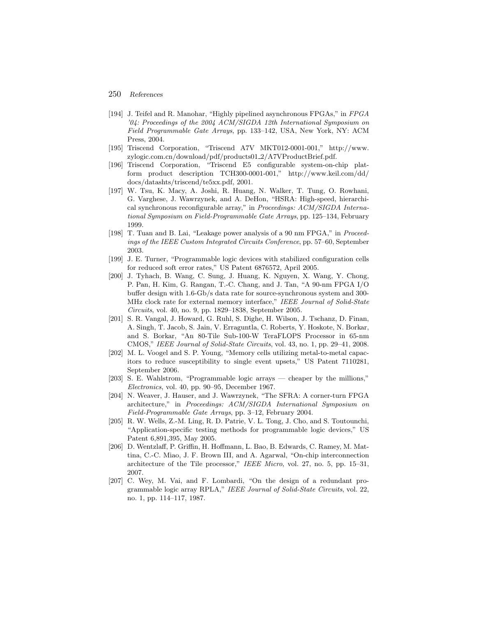- 250 *References*
- [194] J. Teifel and R. Manohar, "Highly pipelined asynchronous FPGAs," in FPGA '04: Proceedings of the 2004 ACM/SIGDA 12th International Symposium on Field Programmable Gate Arrays, pp. 133–142, USA, New York, NY: ACM Press, 2004.
- [195] Triscend Corporation, "Triscend A7V MKT012-0001-001," http://www. zylogic.com.cn/download/pdf/products01 2/A7VProductBrief.pdf.
- [196] Triscend Corporation, "Triscend E5 configurable system-on-chip platform product description TCH300-0001-001," http://www.keil.com/dd/ docs/datashts/triscend/te5xx.pdf, 2001.
- [197] W. Tsu, K. Macy, A. Joshi, R. Huang, N. Walker, T. Tung, O. Rowhani, G. Varghese, J. Wawrzynek, and A. DeHon, "HSRA: High-speed, hierarchical synchronous reconfigurable array," in Proceedings: ACM/SIGDA International Symposium on Field-Programmable Gate Arrays, pp. 125–134, February 1999.
- [198] T. Tuan and B. Lai, "Leakage power analysis of a 90 nm FPGA," in Proceedings of the IEEE Custom Integrated Circuits Conference, pp. 57–60, September 2003.
- [199] J. E. Turner, "Programmable logic devices with stabilized configuration cells for reduced soft error rates," US Patent 6876572, April 2005.
- [200] J. Tyhach, B. Wang, C. Sung, J. Huang, K. Nguyen, X. Wang, Y. Chong, P. Pan, H. Kim, G. Rangan, T.-C. Chang, and J. Tan, "A 90-nm FPGA I/O buffer design with 1.6-Gb/s data rate for source-synchronous system and 300- MHz clock rate for external memory interface," IEEE Journal of Solid-State Circuits, vol. 40, no. 9, pp. 1829–1838, September 2005.
- [201] S. R. Vangal, J. Howard, G. Ruhl, S. Dighe, H. Wilson, J. Tschanz, D. Finan, A. Singh, T. Jacob, S. Jain, V. Erraguntla, C. Roberts, Y. Hoskote, N. Borkar, and S. Borkar, "An 80-Tile Sub-100-W TeraFLOPS Processor in 65-nm CMOS," IEEE Journal of Solid-State Circuits, vol. 43, no. 1, pp. 29–41, 2008.
- [202] M. L. Voogel and S. P. Young, "Memory cells utilizing metal-to-metal capacitors to reduce susceptibility to single event upsets," US Patent 7110281, September 2006.
- [203] S. E. Wahlstrom, "Programmable logic arrays cheaper by the millions," Electronics, vol. 40, pp. 90–95, December 1967.
- [204] N. Weaver, J. Hauser, and J. Wawrzynek, "The SFRA: A corner-turn FPGA architecture," in Proceedings: ACM/SIGDA International Symposium on Field-Programmable Gate Arrays, pp. 3–12, February 2004.
- [205] R. W. Wells, Z.-M. Ling, R. D. Patrie, V. L. Tong, J. Cho, and S. Toutounchi, "Application-specific testing methods for programmable logic devices," US Patent 6,891,395, May 2005.
- [206] D. Wentzlaff, P. Griffin, H. Hoffmann, L. Bao, B. Edwards, C. Ramey, M. Mattina, C.-C. Miao, J. F. Brown III, and A. Agarwal, "On-chip interconnection architecture of the Tile processor," IEEE Micro, vol. 27, no. 5, pp. 15–31, 2007.
- [207] C. Wey, M. Vai, and F. Lombardi, "On the design of a redundant programmable logic array RPLA," IEEE Journal of Solid-State Circuits, vol. 22, no. 1, pp. 114–117, 1987.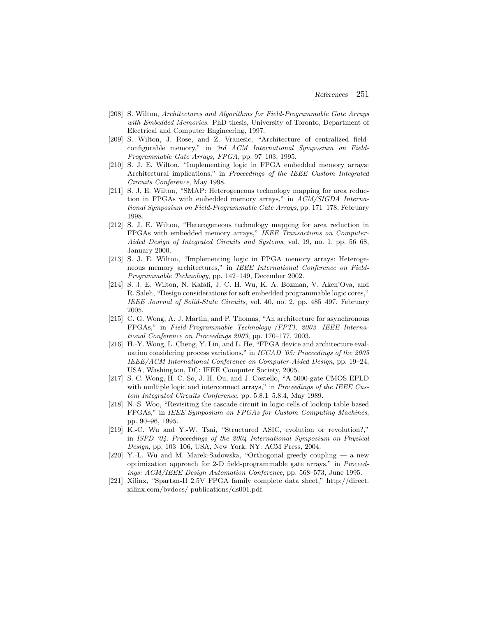- [208] S. Wilton, Architectures and Algorithms for Field-Programmable Gate Arrays with Embedded Memories. PhD thesis, University of Toronto, Department of Electrical and Computer Engineering, 1997.
- [209] S. Wilton, J. Rose, and Z. Vranesic, "Architecture of centralized fieldconfigurable memory," in 3rd ACM International Symposium on Field-Programmable Gate Arrays, FPGA, pp. 97–103, 1995.
- [210] S. J. E. Wilton, "Implementing logic in FPGA embedded memory arrays: Architectural implications," in Proceedings of the IEEE Custom Integrated Circuits Conference, May 1998.
- [211] S. J. E. Wilton, "SMAP: Heterogeneous technology mapping for area reduction in FPGAs with embedded memory arrays," in ACM/SIGDA International Symposium on Field-Programmable Gate Arrays, pp. 171–178, February 1998.
- [212] S. J. E. Wilton, "Heterogeneous technology mapping for area reduction in FPGAs with embedded memory arrays," IEEE Transactions on Computer-Aided Design of Integrated Circuits and Systems, vol. 19, no. 1, pp. 56–68, January 2000.
- [213] S. J. E. Wilton, "Implementing logic in FPGA memory arrays: Heterogeneous memory architectures," in IEEE International Conference on Field-Programmable Technology, pp. 142–149, December 2002.
- [214] S. J. E. Wilton, N. Kafafi, J. C. H. Wu, K. A. Bozman, V. Aken'Ova, and R. Saleh, "Design considerations for soft embedded programmable logic cores," IEEE Journal of Solid-State Circuits, vol. 40, no. 2, pp. 485–497, February 2005.
- [215] C. G. Wong, A. J. Martin, and P. Thomas, "An architecture for asynchronous FPGAs," in Field-Programmable Technology (FPT), 2003. IEEE International Conference on Proceedings 2003, pp. 170–177, 2003.
- [216] H.-Y. Wong, L. Cheng, Y. Lin, and L. He, "FPGA device and architecture evaluation considering process variations," in ICCAD '05: Proceedings of the 2005 IEEE/ACM International Conference on Computer-Aided Design, pp. 19–24, USA, Washington, DC: IEEE Computer Society, 2005.
- [217] S. C. Wong, H. C. So, J. H. Ou, and J. Costello, "A 5000-gate CMOS EPLD with multiple logic and interconnect arrays," in Proceedings of the IEEE Custom Integrated Circuits Conference, pp. 5.8.1–5.8.4, May 1989.
- [218] N.-S. Woo, "Revisiting the cascade circuit in logic cells of lookup table based FPGAs," in IEEE Symposium on FPGAs for Custom Computing Machines, pp. 90–96, 1995.
- [219] K.-C. Wu and Y.-W. Tsai, "Structured ASIC, evolution or revolution?," in ISPD '04: Proceedings of the 2004 International Symposium on Physical Design, pp. 103–106, USA, New York, NY: ACM Press, 2004.
- [220] Y.-L. Wu and M. Marek-Sadowska, "Orthogonal greedy coupling a new optimization approach for 2-D field-programmable gate arrays," in Proceedings: ACM/IEEE Design Automation Conference, pp. 568–573, June 1995.
- [221] Xilinx, "Spartan-II 2.5V FPGA family complete data sheet," http://direct. xilinx.com/bvdocs/ publications/ds001.pdf.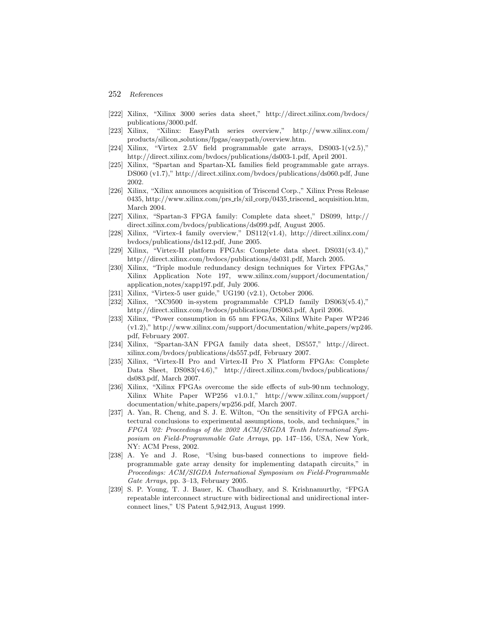- 252 *References*
- [222] Xilinx, "Xilinx 3000 series data sheet," http://direct.xilinx.com/bvdocs/ publications/3000.pdf.
- [223] Xilinx, "Xilinx: EasyPath series overview," http://www.xilinx.com/ products/silicon solutions/fpgas/easypath/overview.htm.
- [224] Xilinx, "Virtex 2.5V field programmable gate arrays, DS003-1(v2.5)," http://direct.xilinx.com/bvdocs/publications/ds003-1.pdf, April 2001.
- [225] Xilinx, "Spartan and Spartan-XL families field programmable gate arrays. DS060 (v1.7)," http://direct.xilinx.com/bvdocs/publications/ds060.pdf, June 2002.
- [226] Xilinx, "Xilinx announces acquisition of Triscend Corp.," Xilinx Press Release 0435, http://www.xilinx.com/prs\_rls/xil\_corp/0435\_triscend\_acquisition.htm, March 2004.
- [227] Xilinx, "Spartan-3 FPGA family: Complete data sheet," DS099, http:// direct.xilinx.com/bvdocs/publications/ds099.pdf, August 2005.
- [228] Xilinx, "Virtex-4 family overview," DS112(v1.4), http://direct.xilinx.com/ bvdocs/publications/ds112.pdf, June 2005.
- [229] Xilinx, "Virtex-II platform FPGAs: Complete data sheet. DS031(v3.4)," http://direct.xilinx.com/bvdocs/publications/ds031.pdf, March 2005.
- [230] Xilinx, "Triple module redundancy design techniques for Virtex FPGAs," Xilinx Application Note 197, www.xilinx.com/support/documentation/ application notes/xapp197.pdf, July 2006.
- [231] Xilinx, "Virtex-5 user guide," UG190 (v2.1), October 2006.
- [232] Xilinx, "XC9500 in-system programmable CPLD family DS063(v5.4)," http://direct.xilinx.com/bvdocs/publications/DS063.pdf, April 2006.
- [233] Xilinx, "Power consumption in 65 nm FPGAs, Xilinx White Paper WP246 (v1.2)," http://www.xilinx.com/support/documentation/white papers/wp246. pdf, February 2007.
- [234] Xilinx, "Spartan-3AN FPGA family data sheet, DS557," http://direct. xilinx.com/bvdocs/publications/ds557.pdf, February 2007.
- [235] Xilinx, "Virtex-II Pro and Virtex-II Pro X Platform FPGAs: Complete Data Sheet, DS083(v4.6)," http://direct.xilinx.com/bvdocs/publications/ ds083.pdf, March 2007.
- [236] Xilinx, "Xilinx FPGAs overcome the side effects of sub-90 nm technology, Xilinx White Paper WP256 v1.0.1," http://www.xilinx.com/support/ documentation/white papers/wp256.pdf, March 2007.
- [237] A. Yan, R. Cheng, and S. J. E. Wilton, "On the sensitivity of FPGA architectural conclusions to experimental assumptions, tools, and techniques," in FPGA '02: Proceedings of the 2002 ACM/SIGDA Tenth International Symposium on Field-Programmable Gate Arrays, pp. 147–156, USA, New York, NY: ACM Press, 2002.
- [238] A. Ye and J. Rose, "Using bus-based connections to improve fieldprogrammable gate array density for implementing datapath circuits," in Proceedings: ACM/SIGDA International Symposium on Field-Programmable Gate Arrays, pp. 3–13, February 2005.
- [239] S. P. Young, T. J. Bauer, K. Chaudhary, and S. Krishnamurthy, "FPGA repeatable interconnect structure with bidirectional and unidirectional interconnect lines," US Patent 5,942,913, August 1999.